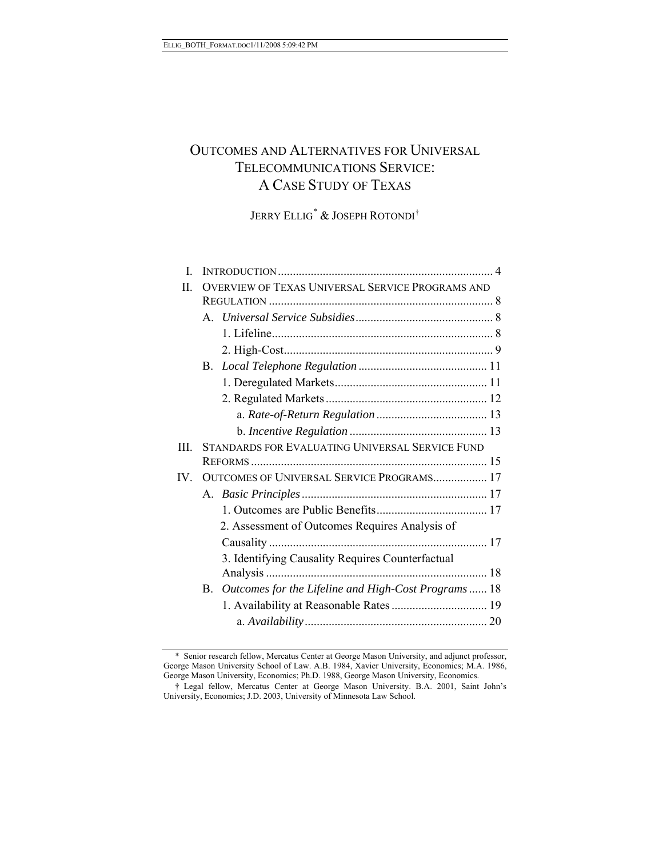# OUTCOMES AND ALTERNATIVES FOR UNIVERSAL TELECOMMUNICATIONS SERVICE: A CASE STUDY OF TEXAS

JERRY ELLIG[\\*](#page-0-0) & JOSEPH ROTONDI[†](#page-0-1)

| L    |                                                                 |  |
|------|-----------------------------------------------------------------|--|
| Π.   | OVERVIEW OF TEXAS UNIVERSAL SERVICE PROGRAMS AND                |  |
|      |                                                                 |  |
|      |                                                                 |  |
|      |                                                                 |  |
|      |                                                                 |  |
|      | B.                                                              |  |
|      |                                                                 |  |
|      |                                                                 |  |
|      |                                                                 |  |
|      |                                                                 |  |
| III. | <b>STANDARDS FOR EVALUATING UNIVERSAL SERVICE FUND</b>          |  |
|      |                                                                 |  |
| IV.  | OUTCOMES OF UNIVERSAL SERVICE PROGRAMS 17                       |  |
|      |                                                                 |  |
|      |                                                                 |  |
|      | 2. Assessment of Outcomes Requires Analysis of                  |  |
|      |                                                                 |  |
|      | 3. Identifying Causality Requires Counterfactual                |  |
|      |                                                                 |  |
|      | Outcomes for the Lifeline and High-Cost Programs  18<br>$B_{-}$ |  |
|      |                                                                 |  |
|      |                                                                 |  |
|      |                                                                 |  |

<span id="page-0-0"></span><sup>\*</sup> Senior research fellow, Mercatus Center at George Mason University, and adjunct professor, George Mason University School of Law. A.B. 1984, Xavier University, Economics; M.A. 1986, George Mason University, Economics; Ph.D. 1988, George Mason University, Economics.

<span id="page-0-1"></span><sup>†</sup> Legal fellow, Mercatus Center at George Mason University. B.A. 2001, Saint John's University, Economics; J.D. 2003, University of Minnesota Law School.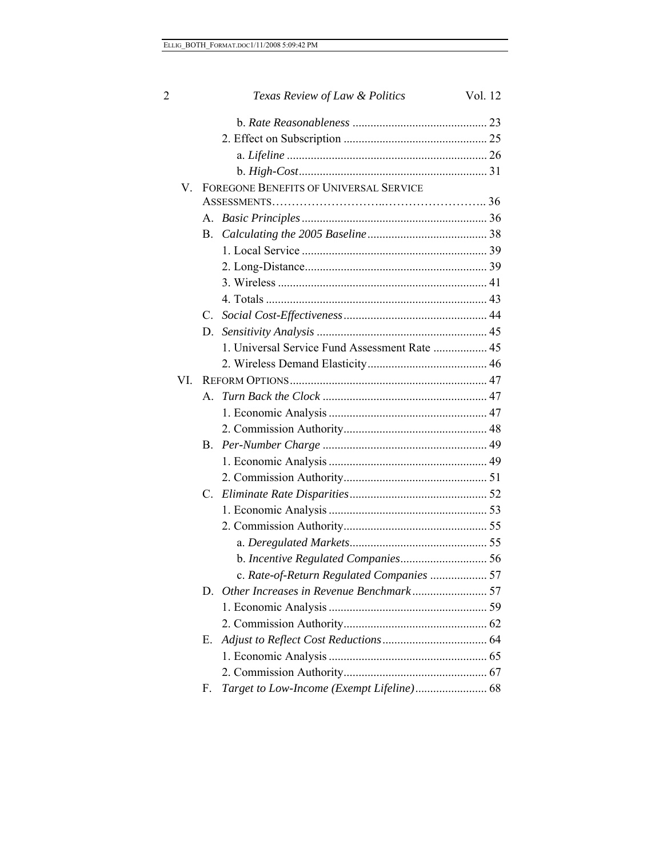| 2   | Texas Review of Law & Politics                | Vol. 12 |
|-----|-----------------------------------------------|---------|
|     |                                               |         |
|     |                                               |         |
|     |                                               |         |
|     |                                               |         |
| V.  | FOREGONE BENEFITS OF UNIVERSAL SERVICE        |         |
|     |                                               |         |
|     | $A_{-}$                                       |         |
|     | В.                                            |         |
|     |                                               |         |
|     |                                               |         |
|     |                                               |         |
|     |                                               |         |
|     | $C$ .                                         |         |
|     | D.                                            |         |
|     | 1. Universal Service Fund Assessment Rate  45 |         |
|     |                                               |         |
| VI. |                                               |         |
|     | A                                             |         |
|     |                                               |         |
|     |                                               |         |
|     | B.                                            |         |
|     |                                               |         |
|     |                                               |         |
|     | C.                                            |         |
|     |                                               |         |
|     |                                               |         |
|     |                                               |         |
|     |                                               |         |
|     | c. Rate-of-Return Regulated Companies  57     |         |
|     | D.                                            |         |
|     |                                               |         |
|     |                                               |         |
|     | Е.                                            |         |
|     |                                               |         |
|     |                                               |         |
|     | F.                                            |         |
|     |                                               |         |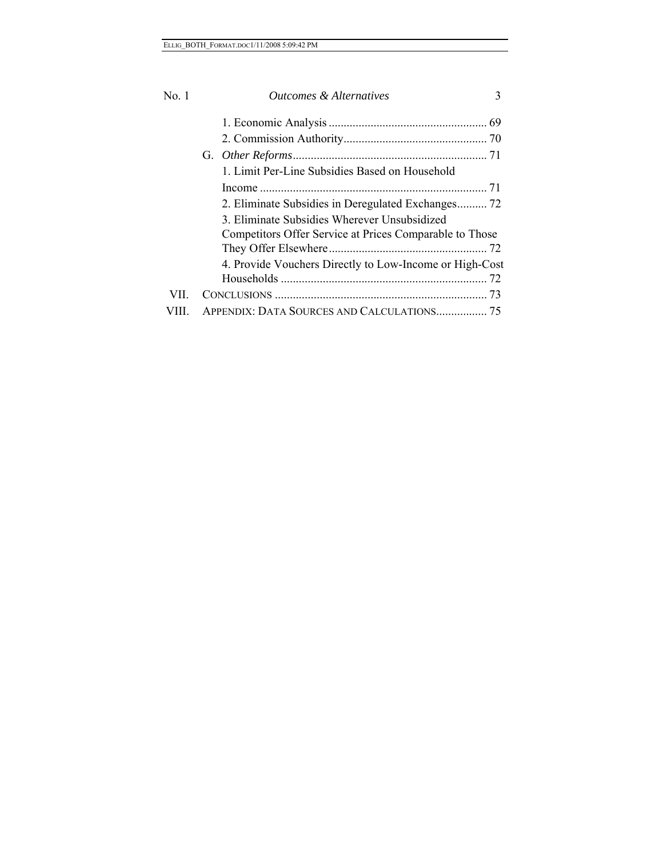| No. 1 | Outcomes & Alternatives<br>3                            |
|-------|---------------------------------------------------------|
|       |                                                         |
|       |                                                         |
|       |                                                         |
|       | 1. Limit Per-Line Subsidies Based on Household          |
|       |                                                         |
|       | 2. Eliminate Subsidies in Deregulated Exchanges 72      |
|       | 3. Eliminate Subsidies Wherever Unsubsidized            |
|       | Competitors Offer Service at Prices Comparable to Those |
|       |                                                         |
|       | 4. Provide Vouchers Directly to Low-Income or High-Cost |
|       |                                                         |
| VII - |                                                         |
|       |                                                         |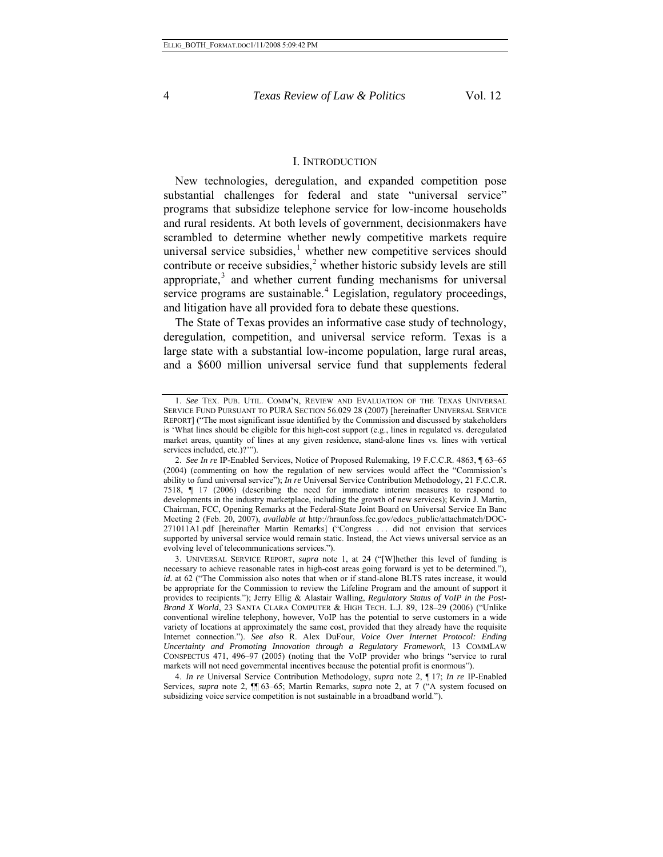#### I. INTRODUCTION

New technologies, deregulation, and expanded competition pose substantial challenges for federal and state "universal service" programs that subsidize telephone service for low-income households and rural residents. At both levels of government, decisionmakers have scrambled to determine whether newly competitive markets require universal service subsidies, $<sup>1</sup>$  $<sup>1</sup>$  $<sup>1</sup>$  whether new competitive services should</sup> contribute or receive subsidies, $2$  whether historic subsidy levels are still appropriate, $3$  and whether current funding mechanisms for universal service programs are sustainable.<sup>[4](#page-3-3)</sup> Legislation, regulatory proceedings, and litigation have all provided fora to debate these questions.

The State of Texas provides an informative case study of technology, deregulation, competition, and universal service reform. Texas is a large state with a substantial low-income population, large rural areas, and a \$600 million universal service fund that supplements federal

<span id="page-3-3"></span>4. *In re* Universal Service Contribution Methodology, *supra* note 2, ¶ 17; *In re* IP-Enabled Services, *supra* note 2, ¶¶ 63–65; Martin Remarks, *supra* note 2, at 7 ("A system focused on subsidizing voice service competition is not sustainable in a broadband world.").

<span id="page-3-0"></span><sup>1.</sup> *See* TEX. PUB. UTIL. COMM'N, REVIEW AND EVALUATION OF THE TEXAS UNIVERSAL SERVICE FUND PURSUANT TO PURA SECTION 56.029 28 (2007) [hereinafter UNIVERSAL SERVICE REPORT] ("The most significant issue identified by the Commission and discussed by stakeholders is 'What lines should be eligible for this high-cost support (e.g., lines in regulated vs. deregulated market areas, quantity of lines at any given residence, stand-alone lines vs. lines with vertical services included, etc.)?'").

<span id="page-3-1"></span><sup>2.</sup> *See In re* IP-Enabled Services, Notice of Proposed Rulemaking, 19 F.C.C.R. 4863, ¶ 63–65 (2004) (commenting on how the regulation of new services would affect the "Commission's ability to fund universal service"); *In re* Universal Service Contribution Methodology, 21 F.C.C.R. 7518, ¶ 17 (2006) (describing the need for immediate interim measures to respond to developments in the industry marketplace, including the growth of new services); Kevin J. Martin, Chairman, FCC, Opening Remarks at the Federal-State Joint Board on Universal Service En Banc Meeting 2 (Feb. 20, 2007), *available at* http://hraunfoss.fcc.gov/edocs\_public/attachmatch/DOC-271011A1.pdf [hereinafter Martin Remarks] ("Congress . . . did not envision that services supported by universal service would remain static. Instead, the Act views universal service as an evolving level of telecommunications services.").

<span id="page-3-2"></span><sup>3.</sup> UNIVERSAL SERVICE REPORT, *supra* note 1, at 24 ("[W]hether this level of funding is necessary to achieve reasonable rates in high-cost areas going forward is yet to be determined."), *id.* at 62 ("The Commission also notes that when or if stand-alone BLTS rates increase, it would be appropriate for the Commission to review the Lifeline Program and the amount of support it provides to recipients."); Jerry Ellig & Alastair Walling, *Regulatory Status of VoIP in the Post-Brand X World*, 23 SANTA CLARA COMPUTER & HIGH TECH. L.J. 89, 128–29 (2006) ("Unlike conventional wireline telephony, however, VoIP has the potential to serve customers in a wide variety of locations at approximately the same cost, provided that they already have the requisite Internet connection."). *See also* R. Alex DuFour, *Voice Over Internet Protocol: Ending Uncertainty and Promoting Innovation through a Regulatory Framework*, 13 COMMLAW CONSPECTUS 471, 496–97 (2005) (noting that the VoIP provider who brings "service to rural markets will not need governmental incentives because the potential profit is enormous").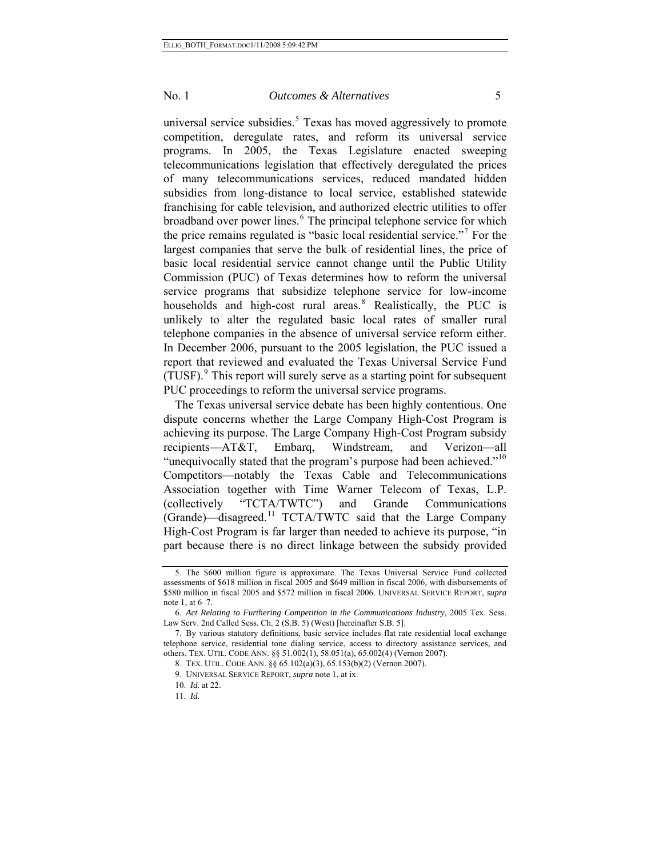universal service subsidies. $5$  Texas has moved aggressively to promote competition, deregulate rates, and reform its universal service programs. In 2005, the Texas Legislature enacted sweeping telecommunications legislation that effectively deregulated the prices of many telecommunications services, reduced mandated hidden subsidies from long-distance to local service, established statewide franchising for cable television, and authorized electric utilities to offer broadband over power lines.<sup>[6](#page-4-1)</sup> The principal telephone service for which the price remains regulated is "basic local residential service."[7](#page-4-2) For the largest companies that serve the bulk of residential lines, the price of basic local residential service cannot change until the Public Utility Commission (PUC) of Texas determines how to reform the universal service programs that subsidize telephone service for low-income households and high-cost rural areas.<sup>[8](#page-4-3)</sup> Realistically, the PUC is unlikely to alter the regulated basic local rates of smaller rural telephone companies in the absence of universal service reform either. In December 2006, pursuant to the 2005 legislation, the PUC issued a report that reviewed and evaluated the Texas Universal Service Fund (TUSF).<sup>[9](#page-4-4)</sup> This report will surely serve as a starting point for subsequent PUC proceedings to reform the universal service programs.

The Texas universal service debate has been highly contentious. One dispute concerns whether the Large Company High-Cost Program is achieving its purpose. The Large Company High-Cost Program subsidy recipients—AT&T, Embarq, Windstream, and Verizon—all "unequivocally stated that the program's purpose had been achieved."<sup>[10](#page-4-5)</sup> Competitors—notably the Texas Cable and Telecommunications Association together with Time Warner Telecom of Texas, L.P. (collectively "TCTA/TWTC") and Grande Communications (Grande)—disagreed.[11](#page-4-6) TCTA/TWTC said that the Large Company High-Cost Program is far larger than needed to achieve its purpose, "in part because there is no direct linkage between the subsidy provided

<span id="page-4-0"></span><sup>5.</sup> The \$600 million figure is approximate. The Texas Universal Service Fund collected assessments of \$618 million in fiscal 2005 and \$649 million in fiscal 2006, with disbursements of \$580 million in fiscal 2005 and \$572 million in fiscal 2006. UNIVERSAL SERVICE REPORT, *supra* note 1, at 6–7.

<span id="page-4-1"></span><sup>6.</sup> *Act Relating to Furthering Competition in the Communications Industry*, 2005 Tex. Sess. Law Serv. 2nd Called Sess. Ch. 2 (S.B. 5) (West) [hereinafter S.B. 5].

<span id="page-4-5"></span><span id="page-4-4"></span><span id="page-4-3"></span><span id="page-4-2"></span><sup>7.</sup> By various statutory definitions, basic service includes flat rate residential local exchange telephone service, residential tone dialing service, access to directory assistance services, and others. TEX. UTIL. CODE ANN. §§ 51.002(1), 58.051(a), 65.002(4) (Vernon 2007).

<sup>8.</sup> TEX. UTIL. CODE ANN. §§ 65.102(a)(3), 65.153(b)(2) (Vernon 2007).

<sup>9.</sup> UNIVERSAL SERVICE REPORT, *supra* note 1, at ix.

<span id="page-4-6"></span><sup>10.</sup> *Id.* at 22.

<sup>11.</sup> *Id.*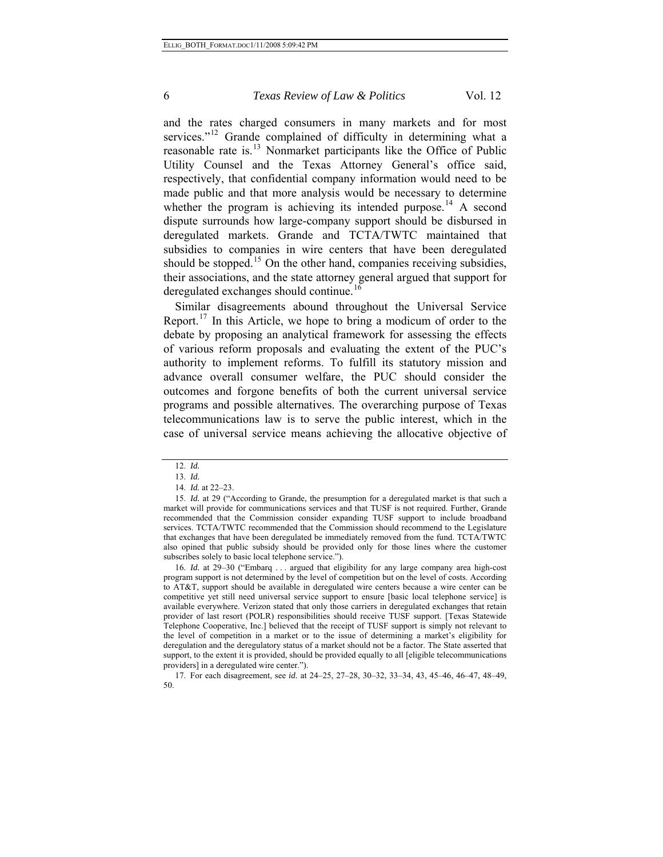and the rates charged consumers in many markets and for most services."<sup>[12](#page-5-0)</sup> Grande complained of difficulty in determining what a reasonable rate is.<sup>[13](#page-5-1)</sup> Nonmarket participants like the Office of Public Utility Counsel and the Texas Attorney General's office said, respectively, that confidential company information would need to be made public and that more analysis would be necessary to determine whether the program is achieving its intended purpose.<sup>[14](#page-5-2)</sup> A second dispute surrounds how large-company support should be disbursed in deregulated markets. Grande and TCTA/TWTC maintained that subsidies to companies in wire centers that have been deregulated should be stopped.<sup>[15](#page-5-3)</sup> On the other hand, companies receiving subsidies, their associations, and the state attorney general argued that support for deregulated exchanges should continue.<sup>1</sup>

Similar disagreements abound throughout the Universal Service Report.<sup>[17](#page-5-5)</sup> In this Article, we hope to bring a modicum of order to the debate by proposing an analytical framework for assessing the effects of various reform proposals and evaluating the extent of the PUC's authority to implement reforms. To fulfill its statutory mission and advance overall consumer welfare, the PUC should consider the outcomes and forgone benefits of both the current universal service programs and possible alternatives. The overarching purpose of Texas telecommunications law is to serve the public interest, which in the case of universal service means achieving the allocative objective of

<sup>12.</sup> *Id.* 13. *Id.*

<sup>14.</sup> *Id.* at 22–23.

<span id="page-5-3"></span><span id="page-5-2"></span><span id="page-5-1"></span><span id="page-5-0"></span><sup>15.</sup> *Id.* at 29 ("According to Grande, the presumption for a deregulated market is that such a market will provide for communications services and that TUSF is not required. Further, Grande recommended that the Commission consider expanding TUSF support to include broadband services. TCTA/TWTC recommended that the Commission should recommend to the Legislature that exchanges that have been deregulated be immediately removed from the fund. TCTA/TWTC also opined that public subsidy should be provided only for those lines where the customer subscribes solely to basic local telephone service.").

<span id="page-5-4"></span><sup>16.</sup> *Id.* at 29–30 ("Embarq . . . argued that eligibility for any large company area high-cost program support is not determined by the level of competition but on the level of costs. According to AT&T, support should be available in deregulated wire centers because a wire center can be competitive yet still need universal service support to ensure [basic local telephone service] is available everywhere. Verizon stated that only those carriers in deregulated exchanges that retain provider of last resort (POLR) responsibilities should receive TUSF support. [Texas Statewide Telephone Cooperative, Inc.] believed that the receipt of TUSF support is simply not relevant to the level of competition in a market or to the issue of determining a market's eligibility for deregulation and the deregulatory status of a market should not be a factor. The State asserted that support, to the extent it is provided, should be provided equally to all [eligible telecommunications providers] in a deregulated wire center.").

<span id="page-5-5"></span><sup>17.</sup> For each disagreement, see *id.* at 24–25, 27–28, 30–32, 33–34, 43, 45–46, 46–47, 48–49, 50.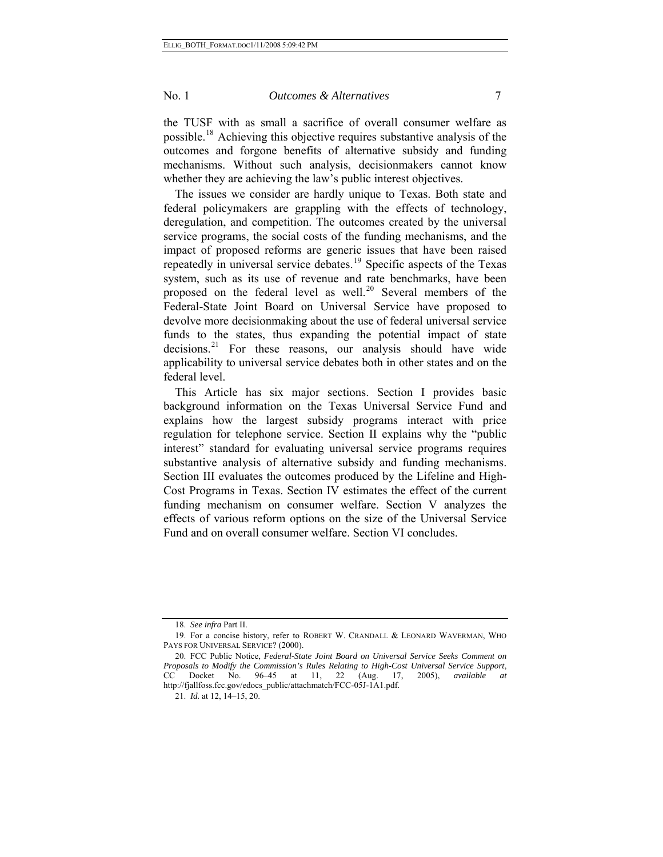the TUSF with as small a sacrifice of overall consumer welfare as possible.[18](#page-6-0) Achieving this objective requires substantive analysis of the outcomes and forgone benefits of alternative subsidy and funding mechanisms. Without such analysis, decisionmakers cannot know whether they are achieving the law's public interest objectives.

The issues we consider are hardly unique to Texas. Both state and federal policymakers are grappling with the effects of technology, deregulation, and competition. The outcomes created by the universal service programs, the social costs of the funding mechanisms, and the impact of proposed reforms are generic issues that have been raised repeatedly in universal service debates.<sup>[19](#page-6-1)</sup> Specific aspects of the Texas system, such as its use of revenue and rate benchmarks, have been proposed on the federal level as well.<sup>[20](#page-6-2)</sup> Several members of the Federal-State Joint Board on Universal Service have proposed to devolve more decisionmaking about the use of federal universal service funds to the states, thus expanding the potential impact of state decisions.<sup>[21](#page-6-3)</sup> For these reasons, our analysis should have wide applicability to universal service debates both in other states and on the federal level.

This Article has six major sections. Section I provides basic background information on the Texas Universal Service Fund and explains how the largest subsidy programs interact with price regulation for telephone service. Section II explains why the "public interest" standard for evaluating universal service programs requires substantive analysis of alternative subsidy and funding mechanisms. Section III evaluates the outcomes produced by the Lifeline and High-Cost Programs in Texas. Section IV estimates the effect of the current funding mechanism on consumer welfare. Section V analyzes the effects of various reform options on the size of the Universal Service Fund and on overall consumer welfare. Section VI concludes.

<sup>18.</sup> *See infra* Part II.

<span id="page-6-1"></span><span id="page-6-0"></span><sup>19.</sup> For a concise history, refer to ROBERT W. CRANDALL & LEONARD WAVERMAN, WHO PAYS FOR UNIVERSAL SERVICE? (2000).

<span id="page-6-3"></span><span id="page-6-2"></span><sup>20.</sup> FCC Public Notice, *Federal-State Joint Board on Universal Service Seeks Comment on Proposals to Modify the Commission's Rules Relating to High-Cost Universal Service Support*, CC Docket No. 96–45 at 11, 22 (Aug. 17, 2005), *available at* http://fjallfoss.fcc.gov/edocs\_public/attachmatch/FCC-05J-1A1.pdf.

<sup>21.</sup> *Id.* at 12, 14–15, 20.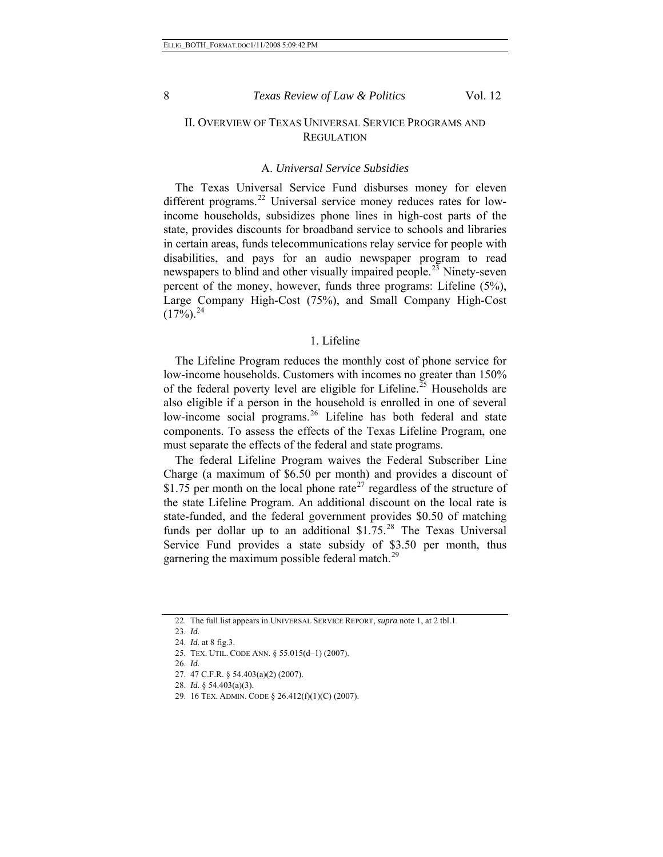## II. OVERVIEW OF TEXAS UNIVERSAL SERVICE PROGRAMS AND **REGULATION**

#### A. *Universal Service Subsidies*

The Texas Universal Service Fund disburses money for eleven different programs.<sup>[22](#page-7-0)</sup> Universal service money reduces rates for lowincome households, subsidizes phone lines in high-cost parts of the state, provides discounts for broadband service to schools and libraries in certain areas, funds telecommunications relay service for people with disabilities, and pays for an audio newspaper program to read newspapers to blind and other visually impaired people.<sup>[23](#page-7-1)</sup> Ninety-seven percent of the money, however, funds three programs: Lifeline (5%), Large Company High-Cost (75%), and Small Company High-Cost  $(17\%)$ <sup>[24](#page-7-2)</sup>

## 1. Lifeline

The Lifeline Program reduces the monthly cost of phone service for low-income households. Customers with incomes no greater than 150% of the federal poverty level are eligible for Lifeline.<sup>[25](#page-7-3)</sup> Households are also eligible if a person in the household is enrolled in one of several low-income social programs.<sup>[26](#page-7-4)</sup> Lifeline has both federal and state components. To assess the effects of the Texas Lifeline Program, one must separate the effects of the federal and state programs.

The federal Lifeline Program waives the Federal Subscriber Line Charge (a maximum of \$6.50 per month) and provides a discount of \$1.75 per month on the local phone rate<sup>[27](#page-7-5)</sup> regardless of the structure of the state Lifeline Program. An additional discount on the local rate is state-funded, and the federal government provides \$0.50 of matching funds per dollar up to an additional  $$1.75<sup>28</sup>$  $$1.75<sup>28</sup>$  $$1.75<sup>28</sup>$  The Texas Universal Service Fund provides a state subsidy of \$3.50 per month, thus garnering the maximum possible federal match.<sup>[29](#page-7-7)</sup>

<span id="page-7-1"></span><span id="page-7-0"></span><sup>22.</sup> The full list appears in UNIVERSAL SERVICE REPORT, *supra* note 1, at 2 tbl.1.

<span id="page-7-3"></span><span id="page-7-2"></span><sup>23.</sup> *Id.*

<sup>24.</sup> *Id.* at 8 fig.3.

<span id="page-7-4"></span><sup>25.</sup> TEX. UTIL. CODE ANN. § 55.015(d–1) (2007).

<sup>26.</sup> *Id.*

<span id="page-7-5"></span><sup>27. 47</sup> C.F.R. § 54.403(a)(2) (2007).

<span id="page-7-6"></span><sup>28.</sup> *Id.* § 54.403(a)(3).

<span id="page-7-7"></span><sup>29. 16</sup> TEX. ADMIN. CODE § 26.412(f)(1)(C) (2007).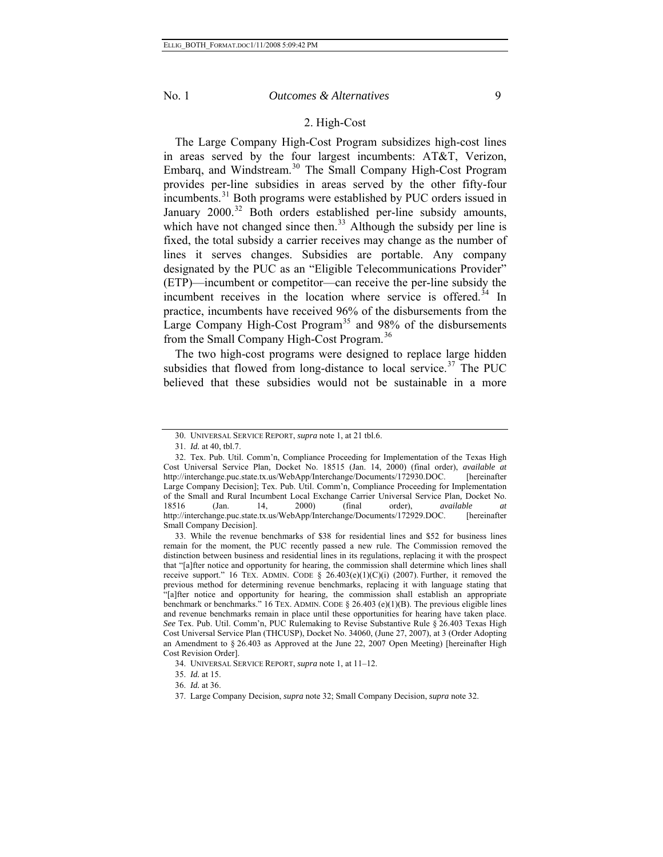### 2. High-Cost

The Large Company High-Cost Program subsidizes high-cost lines in areas served by the four largest incumbents: AT&T, Verizon, Embarq, and Windstream.<sup>[30](#page-8-0)</sup> The Small Company High-Cost Program provides per-line subsidies in areas served by the other fifty-four incumbents.<sup>[31](#page-8-1)</sup> Both programs were established by PUC orders issued in January 2000.<sup>[32](#page-8-2)</sup> Both orders established per-line subsidy amounts, which have not changed since then.<sup>[33](#page-8-3)</sup> Although the subsidy per line is fixed, the total subsidy a carrier receives may change as the number of lines it serves changes. Subsidies are portable. Any company designated by the PUC as an "Eligible Telecommunications Provider" (ETP)—incumbent or competitor—can receive the per-line subsidy the incumbent receives in the location where service is offered.<sup>[34](#page-8-4)</sup> In practice, incumbents have received 96% of the disbursements from the Large Company High-Cost Program<sup>[35](#page-8-5)</sup> and 98% of the disbursements from the Small Company High-Cost Program.<sup>[36](#page-8-6)</sup>

The two high-cost programs were designed to replace large hidden subsidies that flowed from long-distance to local service.<sup>[37](#page-8-7)</sup> The PUC believed that these subsidies would not be sustainable in a more

<sup>30.</sup> UNIVERSAL SERVICE REPORT, *supra* note 1, at 21 tbl.6.

<sup>31.</sup> *Id.* at 40, tbl.7.

<span id="page-8-2"></span><span id="page-8-1"></span><span id="page-8-0"></span><sup>32.</sup> Tex. Pub. Util. Comm'n, Compliance Proceeding for Implementation of the Texas High Cost Universal Service Plan*,* Docket No. 18515 (Jan. 14, 2000) (final order), *available at* http://interchange.puc.state.tx.us/WebApp/Interchange/Documents/172930.DOC. [hereinafter Large Company Decision]; Tex. Pub. Util. Comm'n, Compliance Proceeding for Implementation of the Small and Rural Incumbent Local Exchange Carrier Universal Service Plan, Docket No.<br>18516 (Jan. 14, 2000) (final order), *available at* 18516 (Jan. 14, 2000) (final order), *available at* http://interchange.puc.state.tx.us/WebApp/Interchange/Documents/172929.DOC. [hereinafter Small Company Decision].

<span id="page-8-3"></span><sup>33.</sup> While the revenue benchmarks of \$38 for residential lines and \$52 for business lines remain for the moment, the PUC recently passed a new rule. The Commission removed the distinction between business and residential lines in its regulations, replacing it with the prospect that "[a]fter notice and opportunity for hearing, the commission shall determine which lines shall receive support." 16 TEX. ADMIN. CODE  $\S$  26.403(e)(1)(C)(i) (2007). Further, it removed the previous method for determining revenue benchmarks, replacing it with language stating that "[a]fter notice and opportunity for hearing, the commission shall establish an appropriate benchmark or benchmarks." 16 TEX. ADMIN. CODE § 26.403 (e)(1)(B). The previous eligible lines and revenue benchmarks remain in place until these opportunities for hearing have taken place. *See* Tex. Pub. Util. Comm'n, PUC Rulemaking to Revise Substantive Rule § 26.403 Texas High Cost Universal Service Plan (THCUSP), Docket No. 34060, (June 27, 2007), at 3 (Order Adopting an Amendment to § 26.403 as Approved at the June 22, 2007 Open Meeting) [hereinafter High Cost Revision Order].

<sup>34.</sup> UNIVERSAL SERVICE REPORT, *supra* note 1, at 11–12.

<sup>35.</sup> *Id.* at 15.

<span id="page-8-7"></span><span id="page-8-6"></span><span id="page-8-5"></span><span id="page-8-4"></span><sup>36.</sup> *Id.* at 36.

<sup>37.</sup> Large Company Decision, *supra* note 32; Small Company Decision, *supra* note 32.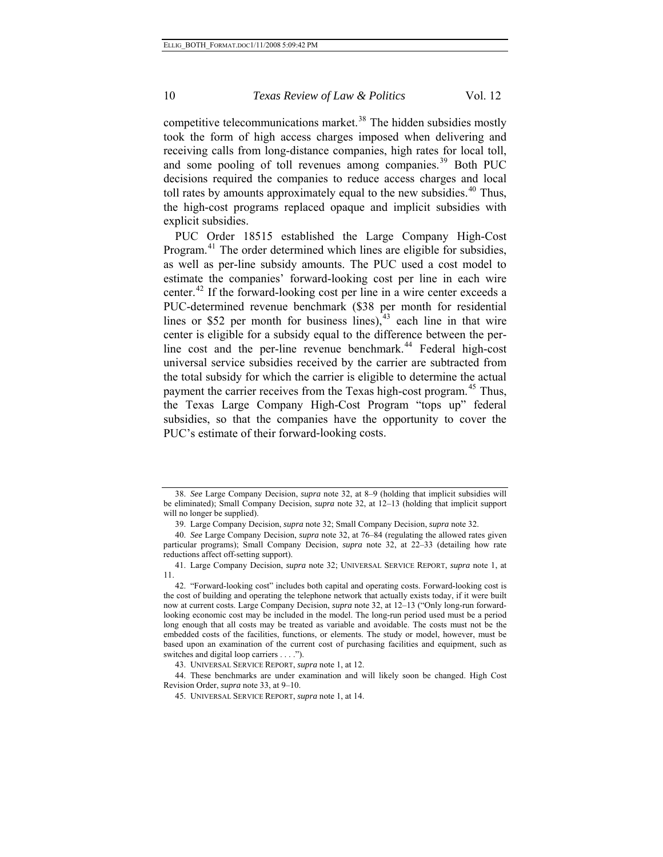competitive telecommunications market.<sup>[38](#page-9-0)</sup> The hidden subsidies mostly took the form of high access charges imposed when delivering and receiving calls from long-distance companies, high rates for local toll, and some pooling of toll revenues among companies.<sup>[39](#page-9-1)</sup> Both PUC decisions required the companies to reduce access charges and local toll rates by amounts approximately equal to the new subsidies.<sup>[40](#page-9-2)</sup> Thus, the high-cost programs replaced opaque and implicit subsidies with explicit subsidies.

PUC's estimate of their forward-looking costs. PUC Order 18515 established the Large Company High-Cost Program.<sup>[41](#page-9-3)</sup> The order determined which lines are eligible for subsidies, as well as per-line subsidy amounts. The PUC used a cost model to estimate the companies' forward-looking cost per line in each wire center.<sup>[42](#page-9-4)</sup> If the forward-looking cost per line in a wire center exceeds a PUC-determined revenue benchmark (\$38 per month for residential lines or \$52 per month for business lines), $43$  each line in that wire center is eligible for a subsidy equal to the difference between the per-line cost and the per-line revenue benchmark.<sup>[44](#page-9-6)</sup> Federal high-cost universal service subsidies received by the carrier are subtracted from the total subsidy for which the carrier is eligible to determine the actual payment the carrier receives from the Texas high-cost program.<sup>[45](#page-9-7)</sup> Thus, the Texas Large Company High-Cost Program "tops up" federal subsidies, so that the companies have the opportunity to cover the

<span id="page-9-0"></span><sup>38.</sup> *See* Large Company Decision, *supra* note 32, at 8–9 (holding that implicit subsidies will be eliminated); Small Company Decision, *supra* note 32, at 12–13 (holding that implicit support will no longer be supplied).

<sup>39.</sup> Large Company Decision, *supra* note 32; Small Company Decision, *supra* note 32.

<span id="page-9-2"></span><span id="page-9-1"></span><sup>40.</sup> *See* Large Company Decision, *supra* note 32, at 76–84 (regulating the allowed rates given particular programs); Small Company Decision, *supra* note 32, at 22–33 (detailing how rate reductions affect off-setting support).

<span id="page-9-3"></span><sup>41.</sup> Large Company Decision, *supra* note 32; UNIVERSAL SERVICE REPORT, *supra* note 1, at 11.

<span id="page-9-4"></span><sup>42. &</sup>quot;Forward-looking cost" includes both capital and operating costs. Forward-looking cost is the cost of building and operating the telephone network that actually exists today, if it were built now at current costs. Large Company Decision, *supra* note 32, at 12–13 ("Only long-run forwardlooking economic cost may be included in the model. The long-run period used must be a period long enough that all costs may be treated as variable and avoidable. The costs must not be the embedded costs of the facilities, functions, or elements. The study or model, however, must be based upon an examination of the current cost of purchasing facilities and equipment, such as switches and digital loop carriers . . . .").

<sup>43.</sup> UNIVERSAL SERVICE REPORT, *supra* note 1, at 12.

<span id="page-9-7"></span><span id="page-9-6"></span><span id="page-9-5"></span><sup>44.</sup> These benchmarks are under examination and will likely soon be changed. High Cost Revision Order, *supra* note 33, at 9–10.

<sup>45.</sup> UNIVERSAL SERVICE REPORT, *supra* note 1, at 14.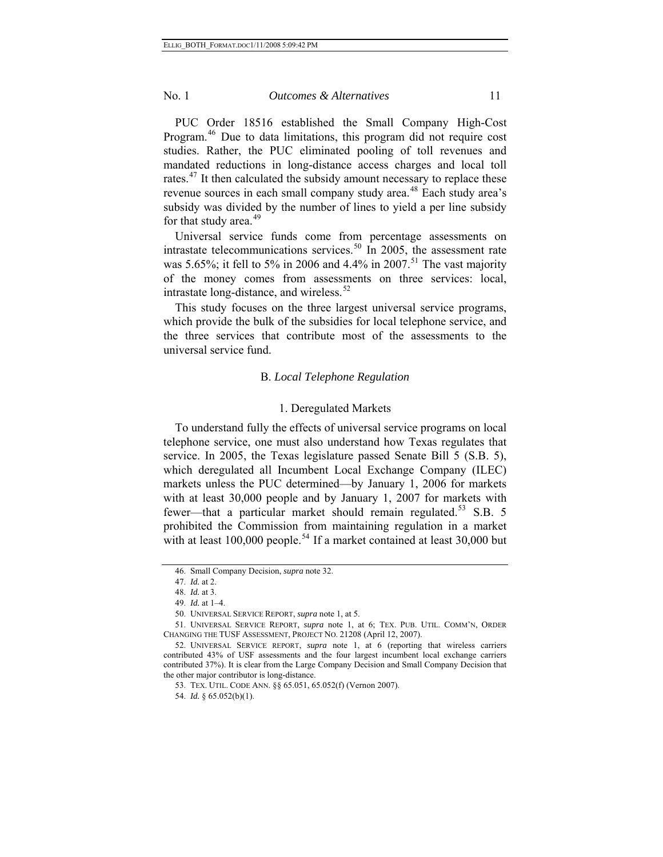PUC Order 18516 established the Small Company High-Cost Program.<sup>[46](#page-10-0)</sup> Due to data limitations, this program did not require cost studies. Rather, the PUC eliminated pooling of toll revenues and mandated reductions in long-distance access charges and local toll rates.<sup>[47](#page-10-1)</sup> It then calculated the subsidy amount necessary to replace these revenue sources in each small company study area.<sup>[48](#page-10-2)</sup> Each study area's subsidy was divided by the number of lines to yield a per line subsidy for that study area. $49$ 

Universal service funds come from percentage assessments on intrastate telecommunications services.<sup>[50](#page-10-4)</sup> In 2005, the assessment rate was 5.65%; it fell to 5% in 2006 and 4.4% in 2007.<sup>[51](#page-10-5)</sup> The vast majority of the money comes from assessments on three services: local, intrastate long-distance, and wireless. $52$ 

This study focuses on the three largest universal service programs, which provide the bulk of the subsidies for local telephone service, and the three services that contribute most of the assessments to the universal service fund.

#### B. *Local Telephone Regulation*

#### 1. Deregulated Markets

To understand fully the effects of universal service programs on local telephone service, one must also understand how Texas regulates that service. In 2005, the Texas legislature passed Senate Bill 5 (S.B. 5), which deregulated all Incumbent Local Exchange Company (ILEC) markets unless the PUC determined—by January 1, 2006 for markets with at least 30,000 people and by January 1, 2007 for markets with fewer—that a particular market should remain regulated.<sup>[53](#page-10-7)</sup> S.B. 5 prohibited the Commission from maintaining regulation in a market with at least  $100,000$  people.<sup>[54](#page-10-8)</sup> If a market contained at least 30,000 but

<sup>46.</sup> Small Company Decision, *supra* note 32.

<sup>47.</sup> *Id.* at 2.

<sup>48.</sup> *Id.* at 3.

<sup>49.</sup> *Id.* at 1–4.

<sup>50.</sup> UNIVERSAL SERVICE REPORT, *supra* note 1, at 5.

<span id="page-10-5"></span><span id="page-10-4"></span><span id="page-10-3"></span><span id="page-10-2"></span><span id="page-10-1"></span><span id="page-10-0"></span><sup>51.</sup> UNIVERSAL SERVICE REPORT, *supra* note 1, at 6; TEX. PUB. UTIL. COMM'N, ORDER CHANGING THE TUSF ASSESSMENT, PROJECT NO. 21208 (April 12, 2007).

<span id="page-10-8"></span><span id="page-10-7"></span><span id="page-10-6"></span><sup>52.</sup> UNIVERSAL SERVICE REPORT, *supra* note 1, at 6 (reporting that wireless carriers contributed 43% of USF assessments and the four largest incumbent local exchange carriers contributed 37%). It is clear from the Large Company Decision and Small Company Decision that the other major contributor is long-distance.

<sup>53.</sup> TEX. UTIL. CODE ANN. §§ 65.051, 65.052(f) (Vernon 2007).

<sup>54.</sup> *Id.* § 65.052(b)(1).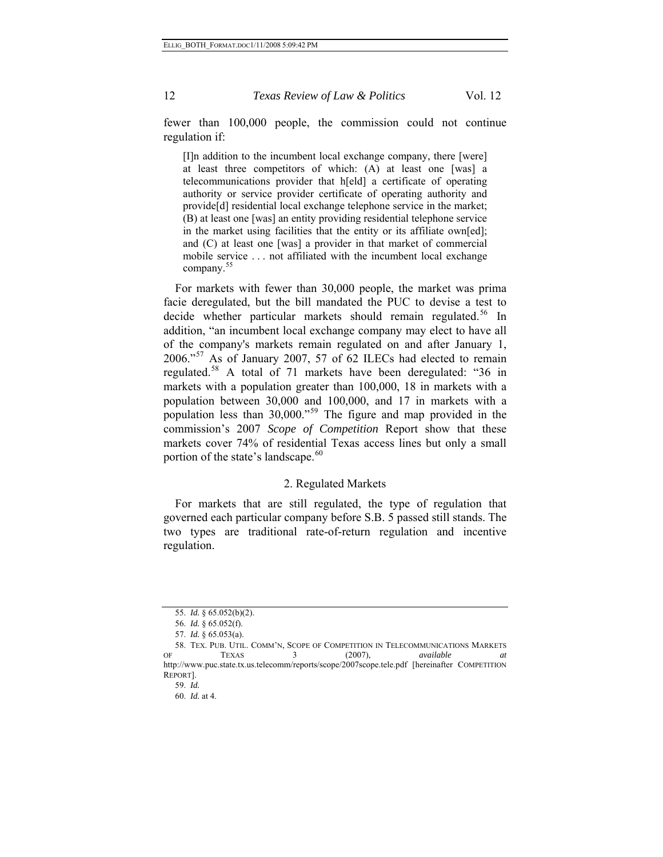fewer than 100,000 people, the commission could not continue regulation if:

[I]n addition to the incumbent local exchange company, there [were] at least three competitors of which: (A) at least one [was] a telecommunications provider that h[eld] a certificate of operating authority or service provider certificate of operating authority and provide[d] residential local exchange telephone service in the market; (B) at least one [was] an entity providing residential telephone service in the market using facilities that the entity or its affiliate own[ed]; and (C) at least one [was] a provider in that market of commercial mobile service . . . not affiliated with the incumbent local exchange company.<sup>[55](#page-11-0)</sup>

For markets with fewer than 30,000 people, the market was prima facie deregulated, but the bill mandated the PUC to devise a test to decide whether particular markets should remain regulated.<sup>[56](#page-11-1)</sup> In addition, "an incumbent local exchange company may elect to have all of the company's markets remain regulated on and after January 1, 2006."[57](#page-11-2) As of January 2007, 57 of 62 ILECs had elected to remain regulated.<sup>[58](#page-11-3)</sup> A total of 71 markets have been deregulated: "36 in markets with a population greater than 100,000, 18 in markets with a population between 30,000 and 100,000, and 17 in markets with a population less than 30,000."[59](#page-11-4) The figure and map provided in the commission's 2007 *Scope of Competition* Report show that these markets cover 74% of residential Texas access lines but only a small portion of the state's landscape.<sup>[60](#page-11-5)</sup>

## 2. Regulated Markets

For markets that are still regulated, the type of regulation that governed each particular company before S.B. 5 passed still stands. The two types are traditional rate-of-return regulation and incentive regulation.

<sup>55.</sup> *Id.* § 65.052(b)(2).

<sup>56.</sup> *Id.* § 65.052(f).

<sup>57.</sup> *Id.* § 65.053(a).

<span id="page-11-5"></span><span id="page-11-4"></span><span id="page-11-3"></span><span id="page-11-2"></span><span id="page-11-1"></span><span id="page-11-0"></span><sup>58.</sup> TEX. PUB. UTIL. COMM'N, SCOPE OF COMPETITION IN TELECOMMUNICATIONS MARKETS OF TEXAS 3 (2007), *available at*  http://www.puc.state.tx.us.telecomm/reports/scope/2007scope.tele.pdf [hereinafter COMPETITION REPORT].

<sup>59.</sup> *Id.*

<sup>60.</sup> *Id.* at 4.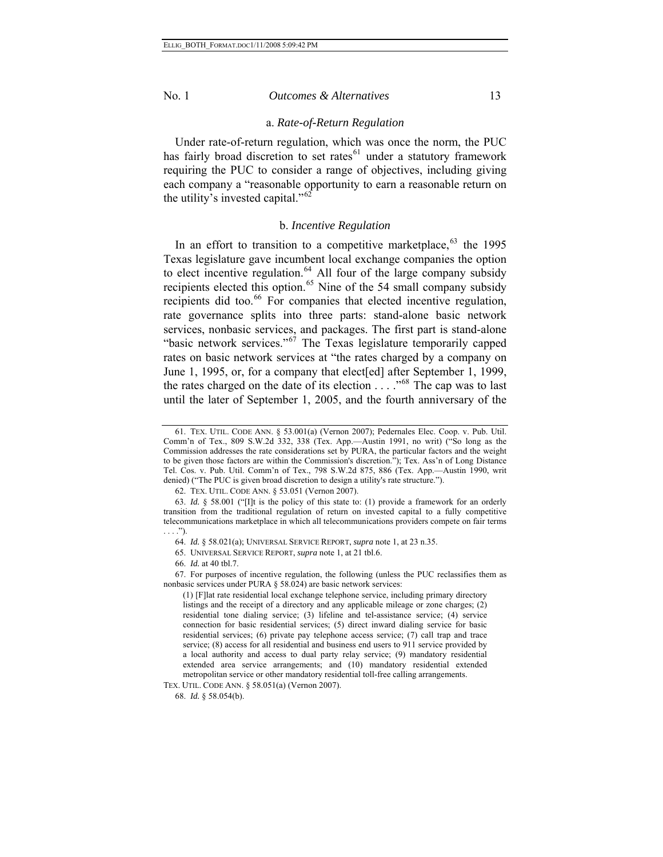#### a. *Rate-of-Return Regulation*

Under rate-of-return regulation, which was once the norm, the PUC has fairly broad discretion to set rates $^{61}$  $^{61}$  $^{61}$  under a statutory framework requiring the PUC to consider a range of objectives, including giving each company a "reasonable opportunity to earn a reasonable return on the utility's invested capital." $62$ 

## b. *Incentive Regulation*

In an effort to transition to a competitive marketplace,  $63$  the 1995 Texas legislature gave incumbent local exchange companies the option to elect incentive regulation.<sup>[64](#page-12-3)</sup> All four of the large company subsidy recipients elected this option.<sup>[65](#page-12-4)</sup> Nine of the 54 small company subsidy recipients did too.<sup>[66](#page-12-5)</sup> For companies that elected incentive regulation, rate governance splits into three parts: stand-alone basic network services, nonbasic services, and packages. The first part is stand-alone "basic network services."<sup>[67](#page-12-6)</sup> The Texas legislature temporarily capped rates on basic network services at "the rates charged by a company on June 1, 1995, or, for a company that elect[ed] after September 1, 1999, the rates charged on the date of its election . . . ."[68](#page-12-7) The cap was to last until the later of September 1, 2005, and the fourth anniversary of the

<span id="page-12-0"></span><sup>61.</sup> TEX. UTIL. CODE ANN. § 53.001(a) (Vernon 2007); Pedernales Elec. Coop. v. Pub. Util. Comm'n of Tex., 809 S.W.2d 332, 338 (Tex. App.—Austin 1991, no writ) ("So long as the Commission addresses the rate considerations set by PURA, the particular factors and the weight to be given those factors are within the Commission's discretion."); Tex. Ass'n of Long Distance Tel. Cos. v. Pub. Util. Comm'n of Tex., 798 S.W.2d 875, 886 (Tex. App.—Austin 1990, writ denied) ("The PUC is given broad discretion to design a utility's rate structure.").

<sup>62.</sup> TEX. UTIL. CODE ANN. § 53.051 (Vernon 2007).

<span id="page-12-2"></span><span id="page-12-1"></span><sup>63.</sup> *Id.* § 58.001 ("[I]t is the policy of this state to: (1) provide a framework for an orderly transition from the traditional regulation of return on invested capital to a fully competitive telecommunications marketplace in which all telecommunications providers compete on fair terms  $\ldots$ .").

<sup>64.</sup> *Id.* § 58.021(a); UNIVERSAL SERVICE REPORT, *supra* note 1, at 23 n.35.

<sup>65.</sup> UNIVERSAL SERVICE REPORT, *supra* note 1, at 21 tbl.6.

<sup>66.</sup> *Id.* at 40 tbl.7.

<span id="page-12-6"></span><span id="page-12-5"></span><span id="page-12-4"></span><span id="page-12-3"></span><sup>67.</sup> For purposes of incentive regulation, the following (unless the PUC reclassifies them as nonbasic services under PURA § 58.024) are basic network services:

<sup>(1) [</sup>F]lat rate residential local exchange telephone service, including primary directory listings and the receipt of a directory and any applicable mileage or zone charges; (2) residential tone dialing service; (3) lifeline and tel-assistance service; (4) service connection for basic residential services; (5) direct inward dialing service for basic residential services; (6) private pay telephone access service; (7) call trap and trace service; (8) access for all residential and business end users to 911 service provided by a local authority and access to dual party relay service; (9) mandatory residential extended area service arrangements; and (10) mandatory residential extended metropolitan service or other mandatory residential toll-free calling arrangements. TEX. UTIL. CODE ANN. § 58.051(a) (Vernon 2007).

<span id="page-12-7"></span>

<sup>68.</sup> *Id.* § 58.054(b).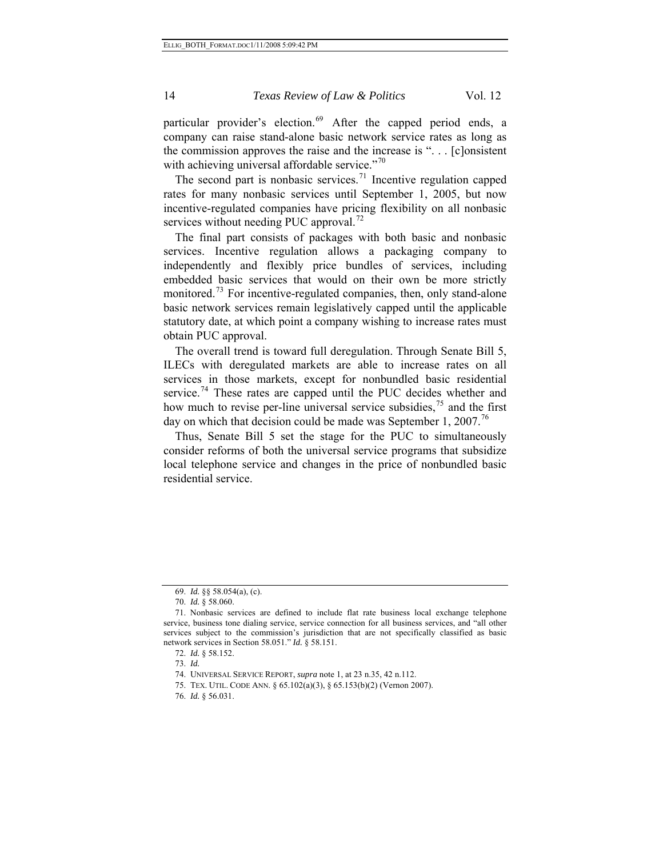particular provider's election.<sup>[69](#page-13-0)</sup> After the capped period ends, a company can raise stand-alone basic network service rates as long as the commission approves the raise and the increase is ". . . [c]onsistent with achieving universal affordable service."<sup>[70](#page-13-1)</sup>

The second part is nonbasic services.<sup>[71](#page-13-2)</sup> Incentive regulation capped rates for many nonbasic services until September 1, 2005, but now incentive-regulated companies have pricing flexibility on all nonbasic services without needing PUC approval.<sup>[72](#page-13-3)</sup>

The final part consists of packages with both basic and nonbasic services. Incentive regulation allows a packaging company to independently and flexibly price bundles of services, including embedded basic services that would on their own be more strictly monitored.<sup>[73](#page-13-4)</sup> For incentive-regulated companies, then, only stand-alone basic network services remain legislatively capped until the applicable statutory date, at which point a company wishing to increase rates must obtain PUC approval.

The overall trend is toward full deregulation. Through Senate Bill 5, ILECs with deregulated markets are able to increase rates on all services in those markets, except for nonbundled basic residential service.<sup>[74](#page-13-5)</sup> These rates are capped until the PUC decides whether and how much to revise per-line universal service subsidies,  $\frac{75}{15}$  $\frac{75}{15}$  $\frac{75}{15}$  and the first day on which that decision could be made was September 1, 2007.<sup>[76](#page-13-7)</sup>

Thus, Senate Bill 5 set the stage for the PUC to simultaneously consider reforms of both the universal service programs that subsidize local telephone service and changes in the price of nonbundled basic residential service.

<sup>69.</sup> *Id.* §§ 58.054(a), (c).

<sup>70.</sup> *Id.* § 58.060.

<span id="page-13-5"></span><span id="page-13-4"></span><span id="page-13-3"></span><span id="page-13-2"></span><span id="page-13-1"></span><span id="page-13-0"></span><sup>71.</sup> Nonbasic services are defined to include flat rate business local exchange telephone service, business tone dialing service, service connection for all business services, and "all other services subject to the commission's jurisdiction that are not specifically classified as basic network services in Section 58.051." *Id.* § 58.151.

<sup>72.</sup> *Id.* § 58.152.

<sup>73.</sup> *Id.*

<sup>74.</sup> UNIVERSAL SERVICE REPORT, *supra* note 1, at 23 n.35, 42 n.112.

<sup>75.</sup> TEX. UTIL. CODE ANN. § 65.102(a)(3), § 65.153(b)(2) (Vernon 2007).

<span id="page-13-7"></span><span id="page-13-6"></span><sup>76.</sup> *Id.* § 56.031.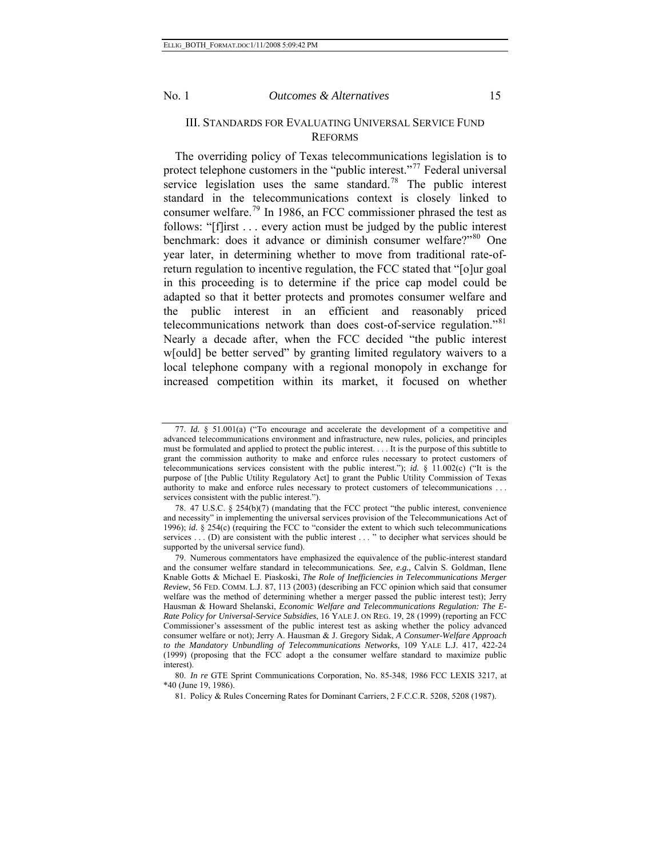III. STANDARDS FOR EVALUATING UNIVERSAL SERVICE FUND

#### REFORMS

The overriding policy of Texas telecommunications legislation is to protect telephone customers in the "public interest."<sup>[77](#page-14-0)</sup> Federal universal service legislation uses the same standard.<sup>[78](#page-14-1)</sup> The public interest standard in the telecommunications context is closely linked to consumer welfare.<sup>[79](#page-14-2)</sup> In 1986, an FCC commissioner phrased the test as follows: "[f]irst . . . every action must be judged by the public interest benchmark: does it advance or diminish consumer welfare?"<sup>[80](#page-14-3)</sup> One year later, in determining whether to move from traditional rate-ofreturn regulation to incentive regulation, the FCC stated that "[o]ur goal in this proceeding is to determine if the price cap model could be adapted so that it better protects and promotes consumer welfare and the public interest in an efficient and reasonably priced telecommunications network than does cost-of-service regulation."<sup>[81](#page-14-4)</sup> Nearly a decade after, when the FCC decided "the public interest w[ould] be better served" by granting limited regulatory waivers to a local telephone company with a regional monopoly in exchange for increased competition within its market, it focused on whether

81. Policy & Rules Concerning Rates for Dominant Carriers, 2 F.C.C.R. 5208, 5208 (1987).

<span id="page-14-0"></span><sup>77.</sup> *Id.* § 51.001(a) ("To encourage and accelerate the development of a competitive and advanced telecommunications environment and infrastructure, new rules, policies, and principles must be formulated and applied to protect the public interest. . . . It is the purpose of this subtitle to grant the commission authority to make and enforce rules necessary to protect customers of telecommunications services consistent with the public interest."); *id.* § 11.002(c) ("It is the purpose of [the Public Utility Regulatory Act] to grant the Public Utility Commission of Texas authority to make and enforce rules necessary to protect customers of telecommunications . . . services consistent with the public interest.").

<span id="page-14-1"></span><sup>78. 47</sup> U.S.C. § 254(b)(7) (mandating that the FCC protect "the public interest, convenience and necessity" in implementing the universal services provision of the Telecommunications Act of 1996); *id.* § 254(c) (requiring the FCC to "consider the extent to which such telecommunications services . . . (D) are consistent with the public interest . . . " to decipher what services should be supported by the universal service fund).

<span id="page-14-2"></span><sup>79.</sup> Numerous commentators have emphasized the equivalence of the public-interest standard and the consumer welfare standard in telecommunications. *See, e.g.*, Calvin S. Goldman, Ilene Knable Gotts & Michael E. Piaskoski, *The Role of Inefficiencies in Telecommunications Merger Review*, 56 FED. COMM. L.J. 87, 113 (2003) (describing an FCC opinion which said that consumer welfare was the method of determining whether a merger passed the public interest test); Jerry Hausman & Howard Shelanski, *Economic Welfare and Telecommunications Regulation: The E-Rate Policy for Universal-Service Subsidies*, 16 YALE J. ON REG. 19, 28 (1999) (reporting an FCC Commissioner's assessment of the public interest test as asking whether the policy advanced consumer welfare or not); Jerry A. Hausman & J. Gregory Sidak, *A Consumer-Welfare Approach to the Mandatory Unbundling of Telecommunications Networks*, 109 YALE L.J. 417, 422-24 (1999) (proposing that the FCC adopt a the consumer welfare standard to maximize public interest).

<span id="page-14-4"></span><span id="page-14-3"></span><sup>80.</sup> *In re* GTE Sprint Communications Corporation, No. 85-348, 1986 FCC LEXIS 3217, at \*40 (June 19, 1986).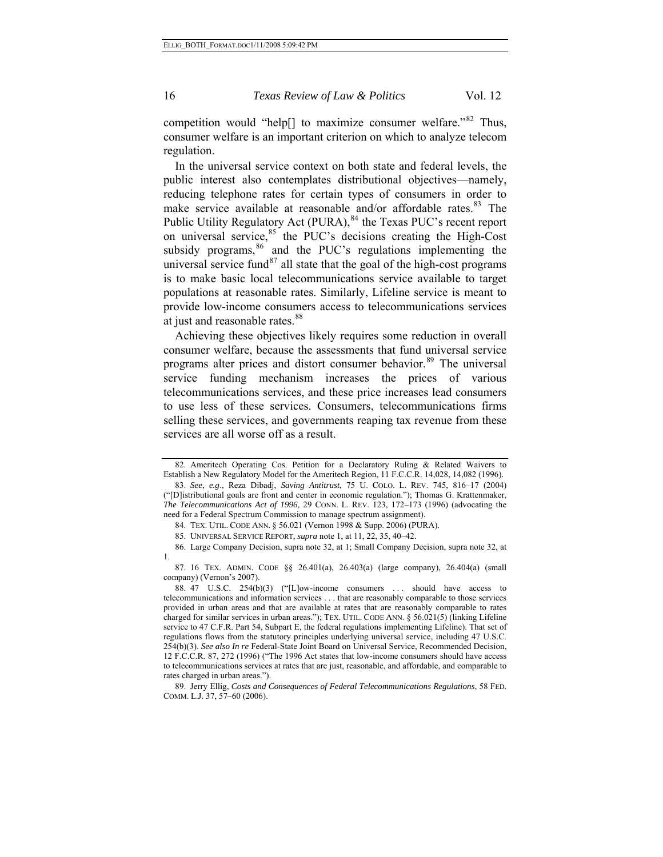consumer welfare is an important criterion on which to analyze telecom re gulation. competition would "help[] to maximize consumer welfare."<sup>[82](#page-15-0)</sup> Thus,

provide low-income consumers access to telecommunications services at just and reasonable rates.<sup>[88](#page-15-6)</sup> In the universal service context on both state and federal levels, the public interest also contemplates distributional objectives—namely, reducing telephone rates for certain types of consumers in order to make service available at reasonable and/or affordable rates.<sup>[83](#page-15-1)</sup> The Public Utility Regulatory Act (PURA), [84](#page-15-2) the Texas PUC's recent report on universal service,<sup>[85](#page-15-3)</sup> the PUC's decisions creating the High-Cost subsidy programs, $86$  and the PUC's regulations implementing the universal service fund<sup>[87](#page-15-5)</sup> all state that the goal of the high-cost programs is to make basic local telecommunications service available to target populations at reasonable rates. Similarly, Lifeline service is meant to

selling these services, and governments reaping tax revenue from these services are all worse off as a result. Achieving these objectives likely requires some reduction in overall consumer welfare, because the assessments that fund universal service programs alter prices and distort consumer behavior.<sup>[89](#page-15-6)</sup> The universal service funding mechanism increases the prices of various telecommunications services, and these price increases lead consumers to use less of these services. Consumers, telecommunications firms

<span id="page-15-4"></span><span id="page-15-3"></span><span id="page-15-2"></span>1.

<span id="page-15-0"></span><sup>82.</sup> Ameritech Operating Cos. Petition for a Declaratory Ruling & Related Waivers to Establish a New Regulatory Model for the Ameritech Region, 11 F.C.C.R. 14,028, 14,082 (1996).

<span id="page-15-1"></span><sup>83.</sup> *See*, *e.g*., Reza Dibadj, *Saving Antitrust*, 75 U. COLO. L. REV. 745, 816–17 (2004) ("[D]istributional goals are front and center in economic regulation."); Thomas G. Krattenmaker, *The Telecommunications Act of 1996*, 29 CONN. L. REV. 123, 172–173 (1996) (advocating the need for a Federal Spectrum Commission to manage spectrum assignment).

<sup>84.</sup> TEX. UTIL. CODE ANN. § 56.021 (Vernon 1998 & Supp. 2006) (PURA).

<sup>85.</sup> UNIVERSAL SERVICE REPORT, *supra* note 1, at 11, 22, 35, 40–42.

<sup>86.</sup> Large Company Decision, supra note 32, at 1; Small Company Decision, supra note 32, at

<span id="page-15-5"></span><sup>87. 16</sup> TEX. ADMIN. CODE §§ 26.401(a), 26.403(a) (large company), 26.404(a) (small company) (Vernon's 2007).

<sup>88. 47</sup> U.S.C. 254(b)(3) ("[L]ow-income consumers . . . should have access to telecommunications and information services . . . that are reasonably comparable to those services provided in urban areas and that are available at rates that are reasonably comparable to rates charged for similar services in urban areas."); TEX. UTIL. CODE ANN. § 56.021(5) (linking Lifeline service to 47 C.F.R. Part 54, Subpart E, the federal regulations implementing Lifeline). That set of regulations flows from the statutory principles underlying universal service, including 47 U.S.C. 254(b)(3). *See also In re* Federal-State Joint Board on Universal Service, Recommended Decision, 12 F.C.C.R. 87, 272 (1996) ("The 1996 Act states that low-income consumers should have access to telecommunications services at rates that are just, reasonable, and affordable, and comparable to rates charged in urban areas.").

<span id="page-15-6"></span><sup>89.</sup> Jerry Ellig, *Costs and Consequences of Federal Telecommunications Regulations*, 58 FED. COMM. L.J. 37, 57–60 (2006).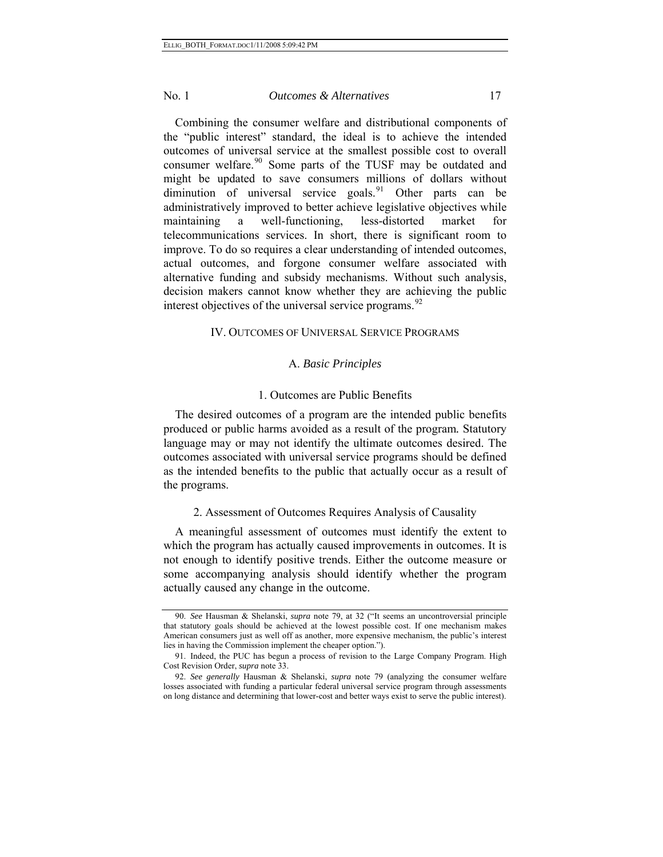Combining the consumer welfare and distributional components of the "public interest" standard, the ideal is to achieve the intended outcomes of universal service at the smallest possible cost to overall consumer welfare.<sup>[90](#page-16-0)</sup> Some parts of the TUSF may be outdated and might be updated to save consumers millions of dollars without diminution of universal service goals. <sup>[91](#page-16-1)</sup> Other parts can be administratively improved to better achieve legislative objectives while maintaining a well-functioning, less-distorted market for telecommunications services. In short, there is significant room to improve. To do so requires a clear understanding of intended outcomes, actual outcomes, and forgone consumer welfare associated with alternative funding and subsidy mechanisms. Without such analysis, decision makers cannot know whether they are achieving the public interest objectives of the universal service programs.<sup>[92](#page-16-2)</sup>

#### IV. OUTCOMES OF UNIVERSAL SERVICE PROGRAMS

### A. *Basic Principles*

## 1. Outcomes are Public Benefits

The desired outcomes of a program are the intended public benefits produced or public harms avoided as a result of the program*.* Statutory language may or may not identify the ultimate outcomes desired. The outcomes associated with universal service programs should be defined as the intended benefits to the public that actually occur as a result of the programs.

## 2. Assessment of Outcomes Requires Analysis of Causality

A meaningful assessment of outcomes must identify the extent to which the program has actually caused improvements in outcomes. It is not enough to identify positive trends. Either the outcome measure or some accompanying analysis should identify whether the program actually caused any change in the outcome.

<span id="page-16-0"></span><sup>90.</sup> *See* Hausman & Shelanski, *supra* note 79, at 32 ("It seems an uncontroversial principle that statutory goals should be achieved at the lowest possible cost. If one mechanism makes American consumers just as well off as another, more expensive mechanism, the public's interest lies in having the Commission implement the cheaper option.").

<span id="page-16-1"></span><sup>91.</sup> Indeed, the PUC has begun a process of revision to the Large Company Program. High Cost Revision Order, *supra* note 33.

<span id="page-16-2"></span><sup>92.</sup> *See generally* Hausman & Shelanski, *supra* note 79 (analyzing the consumer welfare losses associated with funding a particular federal universal service program through assessments on long distance and determining that lower-cost and better ways exist to serve the public interest).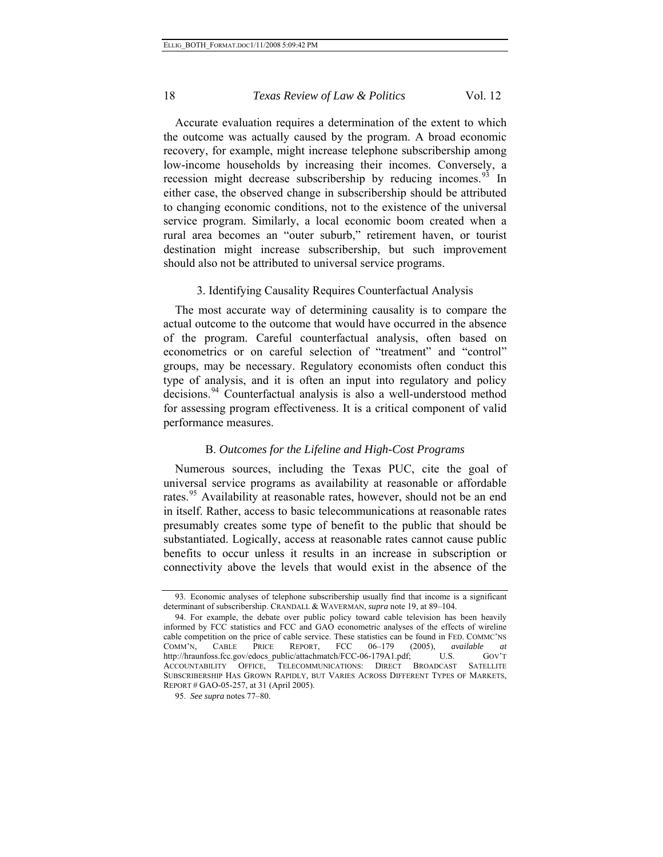Accurate evaluation requires a determination of the extent to which the outcome was actually caused by the program. A broad economic recovery, for example, might increase telephone subscribership among low-income households by increasing their incomes. Conversely, a recession might decrease subscribership by reducing incomes.<sup>[93](#page-17-0)</sup> In either case, the observed change in subscribership should be attributed to changing economic conditions, not to the existence of the universal service program. Similarly, a local economic boom created when a rural area becomes an "outer suburb," retirement haven, or tourist destination might increase subscribership, but such improvement should also not be attributed to universal service programs.

## 3. Identifying Causality Requires Counterfactual Analysis

The most accurate way of determining causality is to compare the actual outcome to the outcome that would have occurred in the absence of the program. Careful counterfactual analysis, often based on econometrics or on careful selection of "treatment" and "control" groups, may be necessary. Regulatory economists often conduct this type of analysis, and it is often an input into regulatory and policy decisions.<sup>[94](#page-17-1)</sup> Counterfactual analysis is also a well-understood method for assessing program effectiveness. It is a critical component of valid performance measures.

### B. *Outcomes for the Lifeline and High-Cost Programs*

Numerous sources, including the Texas PUC, cite the goal of universal service programs as availability at reasonable or affordable rates.<sup>[95](#page-17-2)</sup> Availability at reasonable rates, however, should not be an end in itself. Rather, access to basic telecommunications at reasonable rates presumably creates some type of benefit to the public that should be substantiated. Logically, access at reasonable rates cannot cause public benefits to occur unless it results in an increase in subscription or connectivity above the levels that would exist in the absence of the

<span id="page-17-0"></span><sup>93.</sup> Economic analyses of telephone subscribership usually find that income is a significant determinant of subscribership. CRANDALL & WAVERMAN, *supra* note 19, at 89–104.

<span id="page-17-1"></span><sup>94.</sup> For example, the debate over public policy toward cable television has been heavily informed by FCC statistics and FCC and GAO econometric analyses of the effects of wireline cable competition on the price of cable service. These statistics can be found in FED. COMMC'NS<br>COMM'N, CABLE PRICE REPORT, FCC 06-179 (2005), available at COMM'N, CABLE PRICE REPORT, FCC 06–179 (2005), *available at* http://hraunfoss.fcc.gov/edocs\_public/attachmatch/FCC-06-179A1.pdf; U.S. GOV'T ACCOUNTABILITY OFFICE, TELECOMMUNICATIONS: DIRECT BROADCAST SATELLITE SUBSCRIBERSHIP HAS GROWN RAPIDLY, BUT VARIES ACROSS DIFFERENT TYPES OF MARKETS, REPORT # GAO-05-257, at 31 (April 2005).

<span id="page-17-2"></span><sup>95.</sup> *See supra* notes 77–80.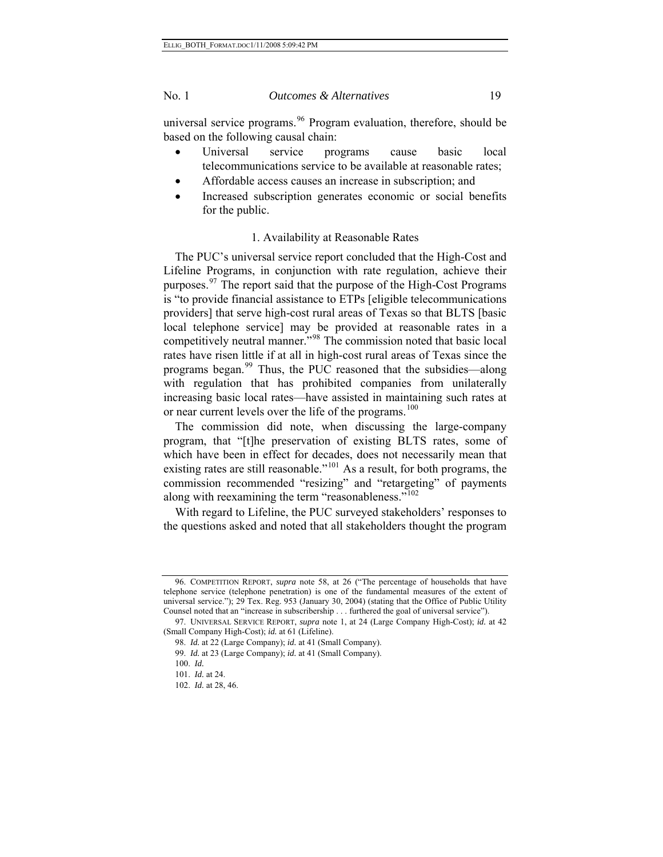universal service programs.  $96$  Program evaluation, therefore, should be based on the following causal chain:

- Universal service programs cause basic local telecommunications service to be available at reasonable rates;
- Affordable access causes an increase in subscription; and
- Increased subscription generates economic or social benefits for the public.

## 1. Availability at Reasonable Rates

The PUC's universal service report concluded that the High-Cost and Lifeline Programs, in conjunction with rate regulation, achieve their purposes.<sup>[97](#page-18-1)</sup> The report said that the purpose of the High-Cost Programs is "to provide financial assistance to ETPs [eligible telecommunications providers] that serve high-cost rural areas of Texas so that BLTS [basic local telephone service] may be provided at reasonable rates in a competitively neutral manner."<sup>[98](#page-18-2)</sup> The commission noted that basic local rates have risen little if at all in high-cost rural areas of Texas since the programs began.<sup>[99](#page-18-3)</sup> Thus, the PUC reasoned that the subsidies—along with regulation that has prohibited companies from unilaterally increasing basic local rates—have assisted in maintaining such rates at or near current levels over the life of the programs.<sup>[100](#page-18-4)</sup>

The commission did note, when discussing the large-company program, that "[t]he preservation of existing BLTS rates, some of which have been in effect for decades, does not necessarily mean that existing rates are still reasonable."<sup>[101](#page-18-5)</sup> As a result, for both programs, the commission recommended "resizing" and "retargeting" of payments along with reexamining the term "reasonableness."<sup>[102](#page-18-6)</sup>

With regard to Lifeline, the PUC surveyed stakeholders' responses to the questions asked and noted that all stakeholders thought the program

<span id="page-18-0"></span><sup>96.</sup> COMPETITION REPORT, *supra* note 58, at 26 ("The percentage of households that have telephone service (telephone penetration) is one of the fundamental measures of the extent of universal service."); 29 Tex. Reg. 953 (January 30, 2004) (stating that the Office of Public Utility Counsel noted that an "increase in subscribership . . . furthered the goal of universal service").

<span id="page-18-5"></span><span id="page-18-4"></span><span id="page-18-3"></span><span id="page-18-2"></span><span id="page-18-1"></span><sup>97.</sup> UNIVERSAL SERVICE REPORT, *supra* note 1, at 24 (Large Company High-Cost); *id.* at 42 (Small Company High-Cost); *id.* at 61 (Lifeline).

<sup>98.</sup> *Id.* at 22 (Large Company); *id.* at 41 (Small Company).

<sup>99.</sup> *Id.* at 23 (Large Company); *id.* at 41 (Small Company).

<sup>100.</sup> *Id.*

<sup>101.</sup> *Id.* at 24.

<span id="page-18-6"></span><sup>102.</sup> *Id.* at 28, 46.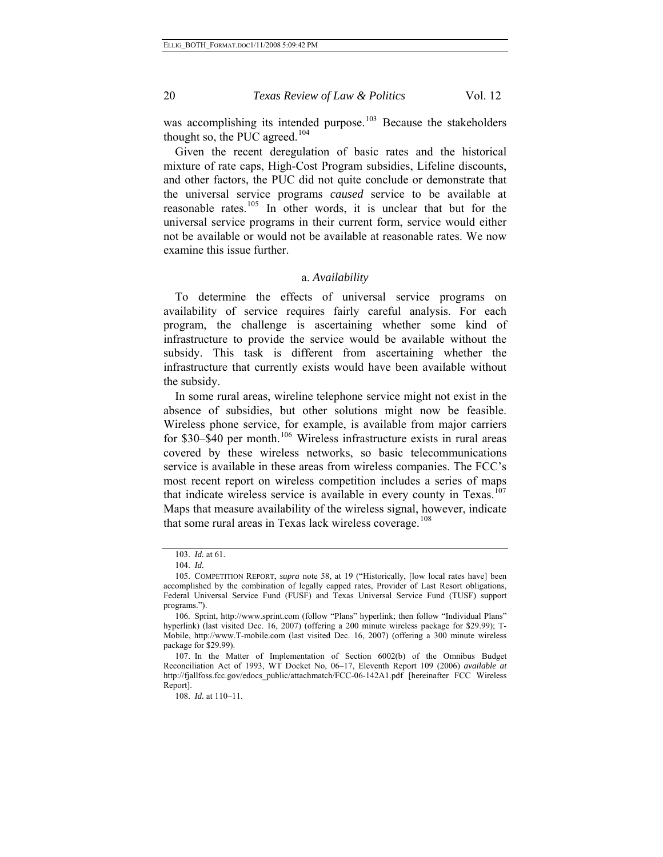was accomplishing its intended purpose.<sup>[103](#page-19-0)</sup> Because the stakeholders thought so, the PUC agreed. $104$ 

Given the recent deregulation of basic rates and the historical mixture of rate caps, High-Cost Program subsidies, Lifeline discounts, and other factors, the PUC did not quite conclude or demonstrate that the universal service programs *caused* service to be available at reasonable rates.<sup>[105](#page-19-2)</sup> In other words, it is unclear that but for the universal service programs in their current form, service would either not be available or would not be available at reasonable rates. We now examine this issue further.

#### a. *Availability*

To determine the effects of universal service programs on availability of service requires fairly careful analysis. For each program, the challenge is ascertaining whether some kind of infrastructure to provide the service would be available without the subsidy. This task is different from ascertaining whether the infrastructure that currently exists would have been available without the subsidy.

In some rural areas, wireline telephone service might not exist in the absence of subsidies, but other solutions might now be feasible. Wireless phone service, for example, is available from major carriers for \$30–\$40 per month.<sup>[106](#page-19-3)</sup> Wireless infrastructure exists in rural areas covered by these wireless networks, so basic telecommunications service is available in these areas from wireless companies. The FCC's most recent report on wireless competition includes a series of maps that indicate wireless service is available in every county in Texas.<sup>[107](#page-19-4)</sup> Maps that measure availability of the wireless signal, however, indicate that some rural areas in Texas lack wireless coverage.<sup>[108](#page-19-5)</sup>

108. *Id.* at 110–11.

<sup>103.</sup> *Id.* at 61.

<sup>104.</sup> *Id.*

<span id="page-19-2"></span><span id="page-19-1"></span><span id="page-19-0"></span><sup>105.</sup> COMPETITION REPORT, *supra* note 58, at 19 ("Historically, [low local rates have] been accomplished by the combination of legally capped rates, Provider of Last Resort obligations, Federal Universal Service Fund (FUSF) and Texas Universal Service Fund (TUSF) support programs.").

<span id="page-19-3"></span><sup>106.</sup> Sprint, http://www.sprint.com (follow "Plans" hyperlink; then follow "Individual Plans" hyperlink) (last visited Dec. 16, 2007) (offering a 200 minute wireless package for \$29.99); T-Mobile, http://www.T-mobile.com (last visited Dec. 16, 2007) (offering a 300 minute wireless package for \$29.99).

<span id="page-19-5"></span><span id="page-19-4"></span><sup>107.</sup> In the Matter of Implementation of Section 6002(b) of the Omnibus Budget Reconciliation Act of 1993, WT Docket No, 06–17, Eleventh Report 109 (2006) *available at* http://fjallfoss.fcc.gov/edocs\_public/attachmatch/FCC-06-142A1.pdf [hereinafter FCC Wireless Report].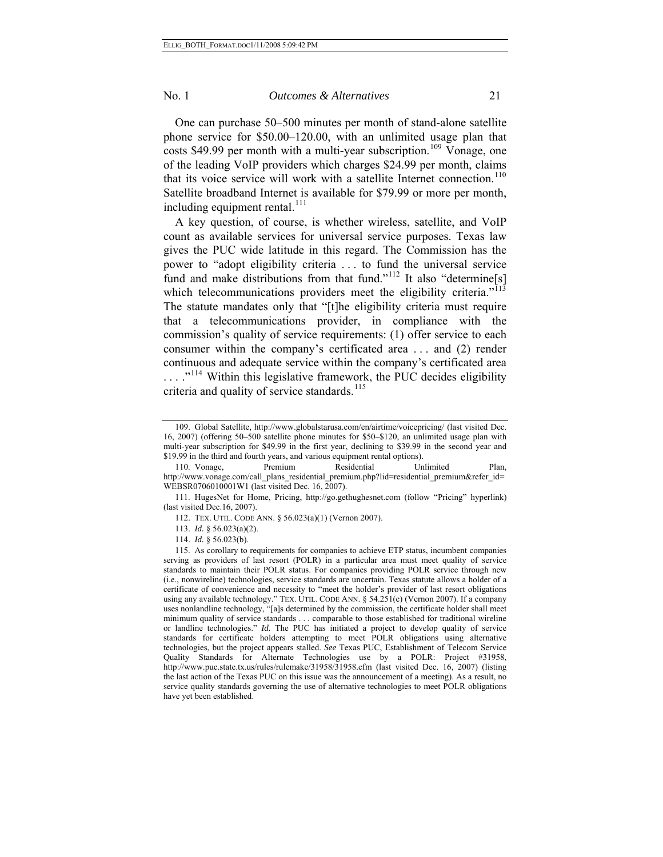One can purchase 50–500 minutes per month of stand-alone satellite phone service for \$50.00–120.00, with an unlimited usage plan that costs \$49.99 per month with a multi-year subscription.<sup>[109](#page-20-0)</sup> Vonage, one of the leading VoIP providers which charges \$24.99 per month, claims that its voice service will work with a satellite Internet connection.<sup>[110](#page-20-1)</sup> Satellite broadband Internet is available for \$79.99 or more per month, including equipment rental.<sup>[111](#page-20-2)</sup>

A key question, of course, is whether wireless, satellite, and VoIP count as available services for universal service purposes. Texas law gives the PUC wide latitude in this regard. The Commission has the power to "adopt eligibility criteria . . . to fund the universal service fund and make distributions from that fund."<sup>[112](#page-20-3)</sup> It also "determine[s] which telecommunications providers meet the eligibility criteria."<sup>[113](#page-20-4)</sup> The statute mandates only that "[t]he eligibility criteria must require that a telecommunications provider, in compliance with the commission's quality of service requirements: (1) offer service to each consumer within the company's certificated area . . . and (2) render continuous and adequate service within the company's certificated area ...."<sup>[114](#page-20-5)</sup> Within this legislative framework, the PUC decides eligibility criteria and quality of service standards.<sup>[115](#page-20-6)</sup>

<span id="page-20-0"></span><sup>109.</sup> Global Satellite, http://www.globalstarusa.com/en/airtime/voicepricing/ (last visited Dec. 16, 2007) (offering 50–500 satellite phone minutes for \$50–\$120, an unlimited usage plan with multi-year subscription for \$49.99 in the first year, declining to \$39.99 in the second year and \$19.99 in the third and fourth years, and various equipment rental options).

<span id="page-20-1"></span><sup>110.</sup> Vonage, Premium Residential Unlimited Plan, http://www.vonage.com/call\_plans\_residential\_premium.php?lid=residential\_premium&refer\_id= WEBSR0706010001W1 (last visited Dec. 16, 2007).

<span id="page-20-3"></span><span id="page-20-2"></span><sup>111.</sup> HugesNet for Home, Pricing, http://go.gethughesnet.com (follow "Pricing" hyperlink) (last visited Dec.16, 2007).

<sup>112.</sup> TEX. UTIL. CODE ANN. § 56.023(a)(1) (Vernon 2007).

<sup>113.</sup> *Id.* § 56.023(a)(2).

<sup>114.</sup> *Id.* § 56.023(b).

<span id="page-20-6"></span><span id="page-20-5"></span><span id="page-20-4"></span><sup>115.</sup> As corollary to requirements for companies to achieve ETP status, incumbent companies serving as providers of last resort (POLR) in a particular area must meet quality of service standards to maintain their POLR status. For companies providing POLR service through new (i.e., nonwireline) technologies, service standards are uncertain. Texas statute allows a holder of a certificate of convenience and necessity to "meet the holder's provider of last resort obligations using any available technology." TEX. UTIL. CODE ANN. § 54.251(c) (Vernon 2007). If a company uses nonlandline technology, "[a]s determined by the commission, the certificate holder shall meet minimum quality of service standards . . . comparable to those established for traditional wireline or landline technologies." *Id.* The PUC has initiated a project to develop quality of service standards for certificate holders attempting to meet POLR obligations using alternative technologies, but the project appears stalled. *See* Texas PUC, Establishment of Telecom Service Quality Standards for Alternate Technologies use by a POLR: Project #31958, http://www.puc.state.tx.us/rules/rulemake/31958/31958.cfm (last visited Dec. 16, 2007) (listing the last action of the Texas PUC on this issue was the announcement of a meeting). As a result, no service quality standards governing the use of alternative technologies to meet POLR obligations have yet been established.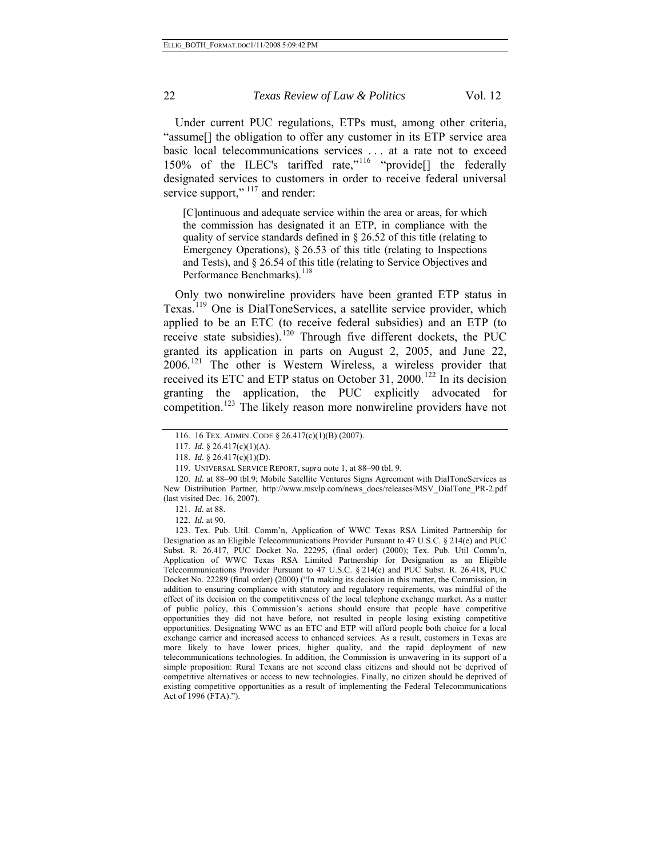service support,"  $117$  and render: Under current PUC regulations, ETPs must, among other criteria, "assume[] the obligation to offer any customer in its ETP service area basic local telecommunications services . . . at a rate not to exceed 150% of the ILEC's tariffed rate,"<sup>[116](#page-21-0)</sup> "provide<sup>[]</sup> the federally designated services to customers in order to receive federal universal

[C]ontinuous and adequate service within the area or areas, for which the commission has designated it an ETP, in compliance with the quality of service standards defined in § 26.52 of this title (relating to Emergency Operations), § 26.53 of this title (relating to Inspections and Tests), and § 26.54 of this title (relating to Service Objectives and Performance Benchmarks).<sup>[118](#page-21-2)</sup>

Only two nonwireline providers have been granted ETP status in Texas.<sup>[119](#page-21-3)</sup> One is DialToneServices, a satellite service provider, which applied to be an ETC (to receive federal subsidies) and an ETP (to receive state subsidies).<sup>[120](#page-21-4)</sup> Through five different dockets, the PUC granted its application in parts on August 2, 2005, and June 22, 2006.[121](#page-21-5) The other is Western Wireless, a wireless provider that received its ETC and ETP status on October 31, 2000.<sup>[122](#page-21-6)</sup> In its decision granting the application, the PUC explicitly advocated for competition.<sup>[123](#page-21-7)</sup> The likely reason more nonwireline providers have not

<sup>116. 16</sup> TEX. ADMIN. CODE § 26.417(c)(1)(B) (2007).

<sup>117.</sup> *Id.* § 26.417(c)(1)(A).

<sup>118.</sup> *Id.* § 26.417(c)(1)(D).

<sup>119.</sup> UNIVERSAL SERVICE REPORT, *supra* note 1, at 88–90 tbl. 9.

<span id="page-21-4"></span><span id="page-21-3"></span><span id="page-21-2"></span><span id="page-21-1"></span><span id="page-21-0"></span><sup>120.</sup> *Id.* at 88–90 tbl.9; Mobile Satellite Ventures Signs Agreement with DialToneServices as New Distribution Partner, http://www.msvlp.com/news\_docs/releases/MSV\_DialTone\_PR-2.pdf (last visited Dec. 16, 2007).

<sup>121.</sup> *Id.* at 88.

<sup>122.</sup> *Id.* at 90.

<span id="page-21-7"></span><span id="page-21-6"></span><span id="page-21-5"></span><sup>123.</sup> Tex. Pub. Util. Comm'n, Application of WWC Texas RSA Limited Partnership for Designation as an Eligible Telecommunications Provider Pursuant to 47 U.S.C. § 214(e) and PUC Subst. R. 26.417, PUC Docket No. 22295, (final order) (2000); Tex. Pub. Util Comm'n, Application of WWC Texas RSA Limited Partnership for Designation as an Eligible Telecommunications Provider Pursuant to 47 U.S.C. § 214(e) and PUC Subst. R. 26.418*,* PUC Docket No. 22289 (final order) (2000) ("In making its decision in this matter, the Commission, in addition to ensuring compliance with statutory and regulatory requirements, was mindful of the effect of its decision on the competitiveness of the local telephone exchange market. As a matter of public policy, this Commission's actions should ensure that people have competitive opportunities they did not have before, not resulted in people losing existing competitive opportunities. Designating WWC as an ETC and ETP will afford people both choice for a local exchange carrier and increased access to enhanced services. As a result, customers in Texas are more likely to have lower prices, higher quality, and the rapid deployment of new telecommunications technologies. In addition, the Commission is unwavering in its support of a simple proposition: Rural Texans are not second class citizens and should not be deprived of competitive alternatives or access to new technologies. Finally, no citizen should be deprived of existing competitive opportunities as a result of implementing the Federal Telecommunications Act of 1996 (FTA).").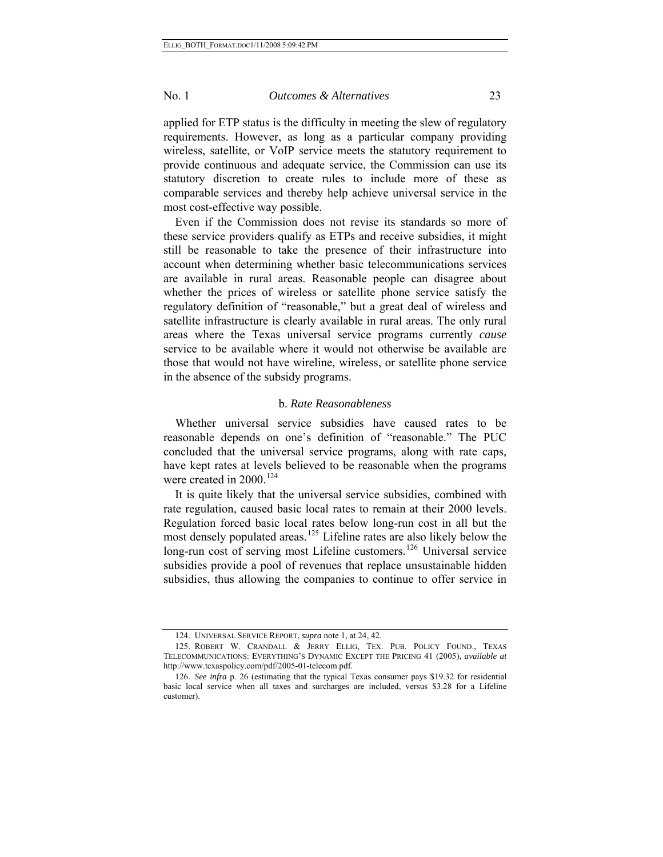most cost-effective way possible. applied for ETP status is the difficulty in meeting the slew of regulatory requirements. However, as long as a particular company providing wireless, satellite, or VoIP service meets the statutory requirement to provide continuous and adequate service, the Commission can use its statutory discretion to create rules to include more of these as comparable services and thereby help achieve universal service in the

Even if the Commission does not revise its standards so more of these service providers qualify as ETPs and receive subsidies, it might still be reasonable to take the presence of their infrastructure into account when determining whether basic telecommunications services are available in rural areas. Reasonable people can disagree about whether the prices of wireless or satellite phone service satisfy the regulatory definition of "reasonable," but a great deal of wireless and satellite infrastructure is clearly available in rural areas. The only rural areas where the Texas universal service programs currently *cause* service to be available where it would not otherwise be available are those that would not have wireline, wireless, or satellite phone service in the absence of the subsidy programs.

#### b. *Rate Reasonableness*

Whether universal service subsidies have caused rates to be reasonable depends on one's definition of "reasonable." The PUC concluded that the universal service programs, along with rate caps, have kept rates at levels believed to be reasonable when the programs were created in 2000.<sup>[124](#page-22-0)</sup>

It is quite likely that the universal service subsidies, combined with rate regulation, caused basic local rates to remain at their 2000 levels. Regulation forced basic local rates below long-run cost in all but the most densely populated areas.<sup>[125](#page-22-1)</sup> Lifeline rates are also likely below the long-run cost of serving most Lifeline customers.<sup>[126](#page-22-2)</sup> Universal service subsidies provide a pool of revenues that replace unsustainable hidden subsidies, thus allowing the companies to continue to offer service in

<sup>124.</sup> UNIVERSAL SERVICE REPORT, *supra* note 1, at 24, 42.

<span id="page-22-1"></span><span id="page-22-0"></span><sup>125.</sup> ROBERT W. CRANDALL & JERRY ELLIG, TEX. PUB. POLICY FOUND., TEXAS TELECOMMUNICATIONS: EVERYTHING'S DYNAMIC EXCEPT THE PRICING 41 (2005), *available at* http://www.texaspolicy.com/pdf/2005-01-telecom.pdf.

<span id="page-22-2"></span><sup>126.</sup> *See infra* p. 26 (estimating that the typical Texas consumer pays \$19.32 for residential basic local service when all taxes and surcharges are included, versus \$3.28 for a Lifeline customer).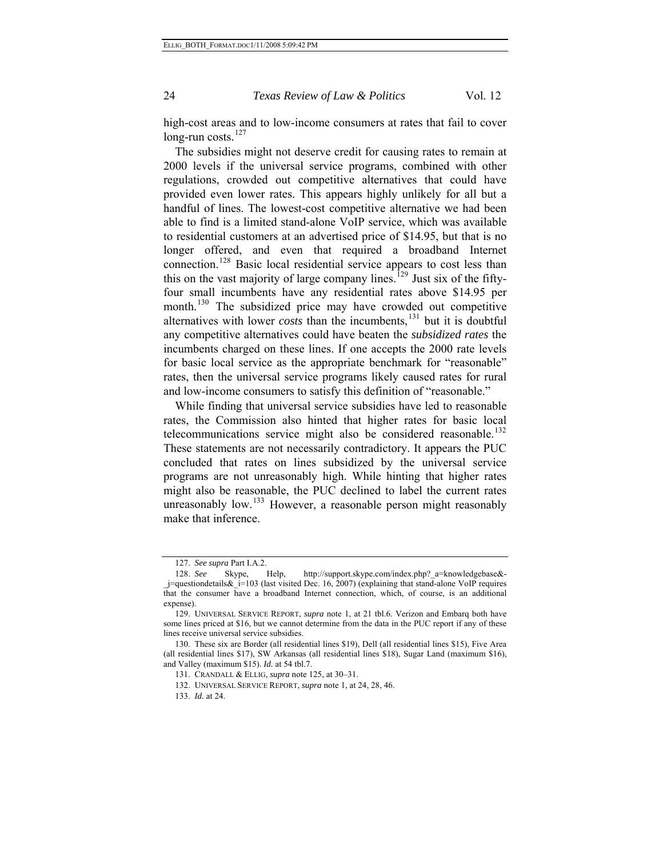high-cost areas and to low-income consumers at rates that fail to cover long-run costs.<sup>[127](#page-23-0)</sup>

The subsidies might not deserve credit for causing rates to remain at 2000 levels if the universal service programs, combined with other regulations, crowded out competitive alternatives that could have provided even lower rates. This appears highly unlikely for all but a handful of lines. The lowest-cost competitive alternative we had been able to find is a limited stand-alone VoIP service, which was available to residential customers at an advertised price of \$14.95, but that is no longer offered, and even that required a broadband Internet connection.<sup>[128](#page-23-1)</sup> Basic local residential service appears to cost less than this on the vast majority of large company lines.<sup>[129](#page-23-2)</sup> Just six of the fiftyfour small incumbents have any residential rates above \$14.95 per month.<sup>[130](#page-23-3)</sup> The subsidized price may have crowded out competitive alternatives with lower *costs* than the incumbents,<sup>[131](#page-23-4)</sup> but it is doubtful any competitive alternatives could have beaten the *subsidized rates* the incumbents charged on these lines. If one accepts the 2000 rate levels for basic local service as the appropriate benchmark for "reasonable" rates, then the universal service programs likely caused rates for rural and low-income consumers to satisfy this definition of "reasonable."

While finding that universal service subsidies have led to reasonable rates, the Commission also hinted that higher rates for basic local telecommunications service might also be considered reasonable.<sup>[132](#page-23-5)</sup> These statements are not necessarily contradictory. It appears the PUC concluded that rates on lines subsidized by the universal service programs are not unreasonably high. While hinting that higher rates might also be reasonable, the PUC declined to label the current rates unreasonably low. $133$  However, a reasonable person might reasonably make that inference.

<sup>127.</sup> *See supra* Part I.A.2.

<span id="page-23-1"></span><span id="page-23-0"></span><sup>128.</sup> *See* Skype, Help, http://support.skype.com/index.php?\_a=knowledgebase&- \_j=questiondetails&\_i=103 (last visited Dec. 16, 2007) (explaining that stand-alone VoIP requires that the consumer have a broadband Internet connection, which, of course, is an additional expense).

<span id="page-23-2"></span><sup>129.</sup> UNIVERSAL SERVICE REPORT, *supra* note 1, at 21 tbl.6. Verizon and Embarq both have some lines priced at \$16, but we cannot determine from the data in the PUC report if any of these lines receive universal service subsidies.

<span id="page-23-6"></span><span id="page-23-5"></span><span id="page-23-4"></span><span id="page-23-3"></span><sup>130.</sup> These six are Border (all residential lines \$19), Dell (all residential lines \$15), Five Area (all residential lines \$17), SW Arkansas (all residential lines \$18), Sugar Land (maximum \$16), and Valley (maximum \$15). *Id.* at 54 tbl.7.

<sup>131.</sup> CRANDALL & ELLIG, *supra* note 125, at 30–31.

<sup>132.</sup> UNIVERSAL SERVICE REPORT, *supra* note 1, at 24, 28, 46.

<sup>133.</sup> *Id.* at 24.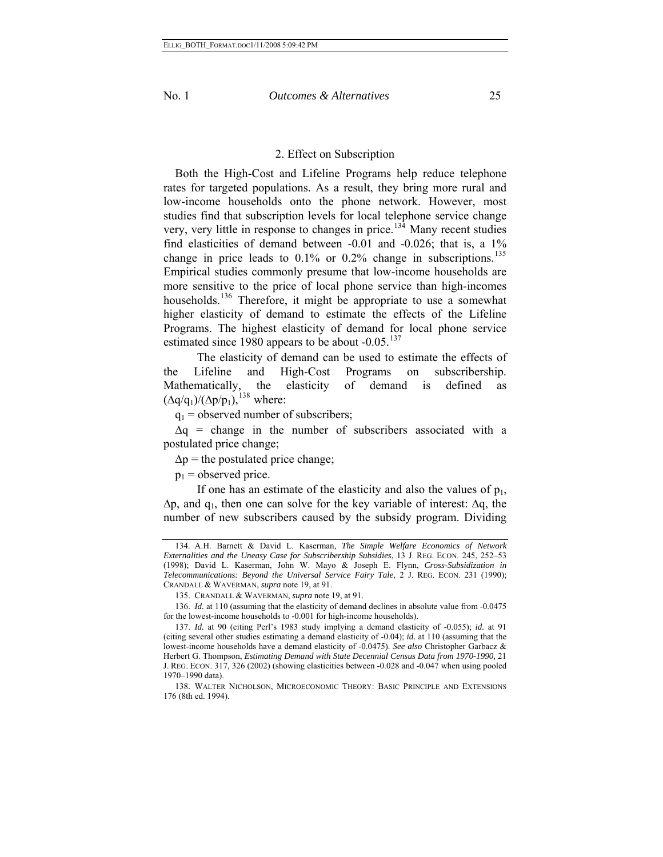## 2. Effect on Subscription

Both the High-Cost and Lifeline Programs help reduce telephone rates for targeted populations. As a result, they bring more rural and low-income households onto the phone network. However, most studies find that subscription levels for local telephone service change very, very little in response to changes in price.<sup>[134](#page-24-0)</sup> Many recent studies find elasticities of demand between -0.01 and -0.026; that is, a 1% change in price leads to 0.1% or 0.2% change in subscriptions.<sup>[135](#page-24-1)</sup> Empirical studies commonly presume that low-income households are more sensitive to the price of local phone service than high-incomes households.<sup>[136](#page-24-2)</sup> Therefore, it might be appropriate to use a somewhat higher elasticity of demand to estimate the effects of the Lifeline Programs. The highest elasticity of demand for local phone service estimated since 1980 appears to be about  $-0.05$ .<sup>[137](#page-24-3)</sup>

 The elasticity of demand can be used to estimate the effects of the Lifeline and High-Cost Programs on subscribership. Mathematically, the elasticity of demand is defined as  $(\Delta q/q_1)/(\Delta p/p_1)$ ,<sup>[138](#page-24-4)</sup> where:

 $q_1$  = observed number of subscribers;

 $\Delta q$  = change in the number of subscribers associated with a postulated price change;

 $\Delta p$  = the postulated price change;

 $p_1$  = observed price.

If one has an estimate of the elasticity and also the values of  $p_1$ ,  $\Delta p$ , and q<sub>1</sub>, then one can solve for the key variable of interest:  $\Delta q$ , the number of new subscribers caused by the subsidy program. Dividing

<span id="page-24-2"></span><span id="page-24-1"></span>136. *Id.* at 110 (assuming that the elasticity of demand declines in absolute value from -0.0475 for the lowest-income households to -0.001 for high-income households).

<span id="page-24-0"></span><sup>134.</sup> A.H. Barnett & David L. Kaserman, *The Simple Welfare Economics of Network Externalities and the Uneasy Case for Subscribership Subsidies*, 13 J. REG. ECON. 245, 252–53 (1998); David L. Kaserman, John W. Mayo & Joseph E. Flynn, *Cross-Subsidization in Telecommunications: Beyond the Universal Service Fairy Tale*, 2 J. REG. ECON. 231 (1990); CRANDALL & WAVERMAN, *supra* note 19, at 91.

<sup>135.</sup> CRANDALL & WAVERMAN, *supra* note 19, at 91.

<span id="page-24-3"></span><sup>137.</sup> *Id.* at 90 (citing Perl's 1983 study implying a demand elasticity of -0.055); *id.* at 91 (citing several other studies estimating a demand elasticity of -0.04); *id.* at 110 (assuming that the lowest-income households have a demand elasticity of -0.0475). *See also* Christopher Garbacz & Herbert G. Thompson, *Estimating Demand with State Decennial Census Data from 1970-1990,* 21 J. REG. ECON. 317, 326 (2002) (showing elasticities between -0.028 and -0.047 when using pooled 1970–1990 data).

<span id="page-24-4"></span><sup>138.</sup> WALTER NICHOLSON, MICROECONOMIC THEORY: BASIC PRINCIPLE AND EXTENSIONS 176 (8th ed. 1994).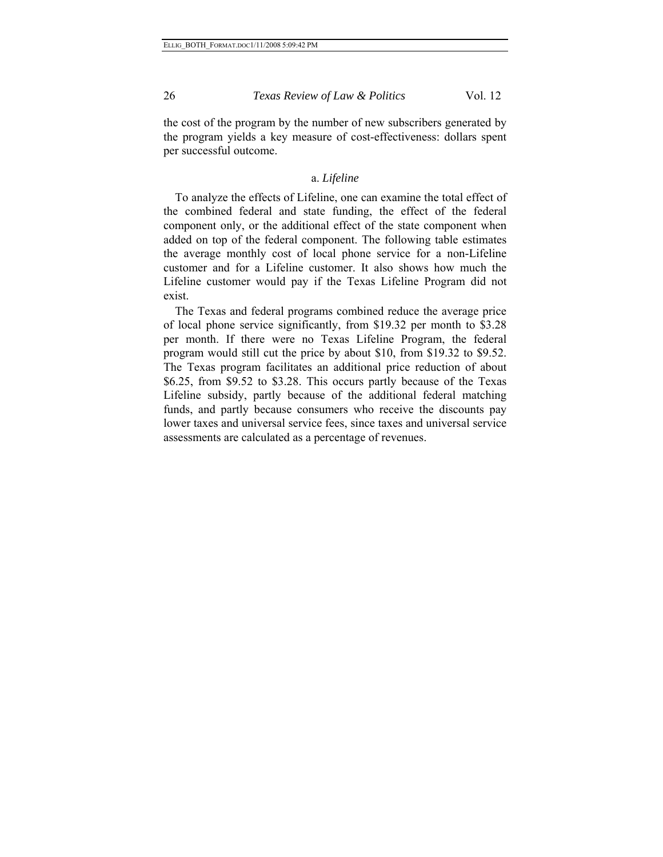the cost of the program by the number of new subscribers generated by the program yields a key measure of cost-effectiveness: dollars spent per successful outcome.

## a. *Lifeline*

To analyze the effects of Lifeline, one can examine the total effect of the combined federal and state funding, the effect of the federal component only, or the additional effect of the state component when added on top of the federal component. The following table estimates the average monthly cost of local phone service for a non-Lifeline customer and for a Lifeline customer. It also shows how much the Lifeline customer would pay if the Texas Lifeline Program did not exist.

The Texas and federal programs combined reduce the average price of local phone service significantly, from \$19.32 per month to \$3.28 per month. If there were no Texas Lifeline Program, the federal program would still cut the price by about \$10, from \$19.32 to \$9.52. The Texas program facilitates an additional price reduction of about \$6.25, from \$9.52 to \$3.28. This occurs partly because of the Texas Lifeline subsidy, partly because of the additional federal matching funds, and partly because consumers who receive the discounts pay lower taxes and universal service fees, since taxes and universal service assessments are calculated as a percentage of revenues.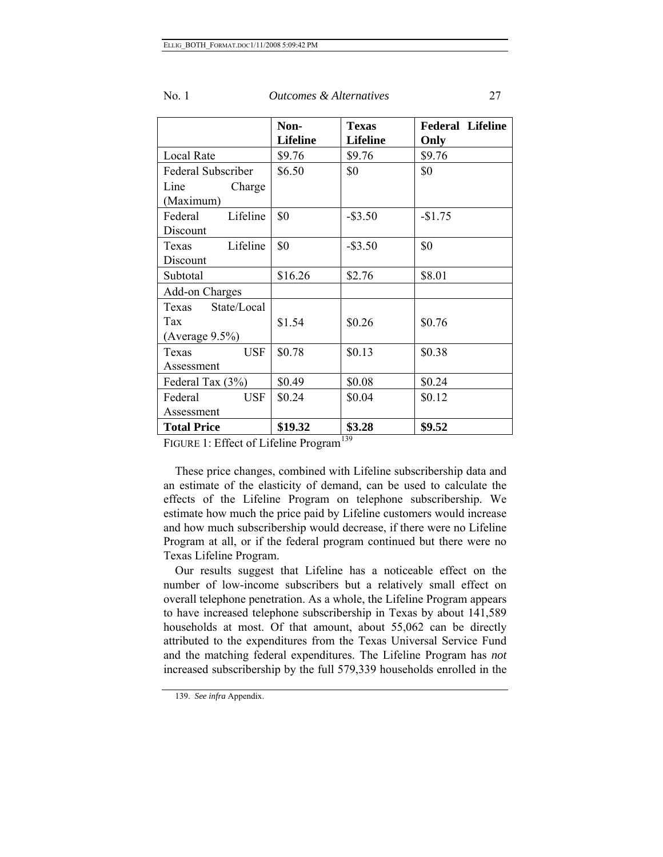|                       | Non-            | <b>Texas</b>    | <b>Federal Lifeline</b> |
|-----------------------|-----------------|-----------------|-------------------------|
|                       | <b>Lifeline</b> | <b>Lifeline</b> | Only                    |
| Local Rate            | \$9.76          | \$9.76          | \$9.76                  |
| Federal Subscriber    | \$6.50          | \$0             | \$0                     |
| Line<br>Charge        |                 |                 |                         |
| (Maximum)             |                 |                 |                         |
| Lifeline<br>Federal   | \$0             | $-$ \$3.50      | $-$1.75$                |
| Discount              |                 |                 |                         |
| Lifeline<br>Texas     | \$0             | $-$ \$3.50      | \$0                     |
| Discount              |                 |                 |                         |
| Subtotal              | \$16.26         | \$2.76          | \$8.01                  |
| Add-on Charges        |                 |                 |                         |
| State/Local<br>Texas  |                 |                 |                         |
| Tax                   | \$1.54          | \$0.26          | \$0.76                  |
| (Average $9.5\%$ )    |                 |                 |                         |
| <b>USF</b><br>Texas   | \$0.78          | \$0.13          | \$0.38                  |
| Assessment            |                 |                 |                         |
| Federal Tax (3%)      | \$0.49          | \$0.08          | \$0.24                  |
| <b>USF</b><br>Federal | \$0.24          | \$0.04          | \$0.12                  |
| Assessment            |                 |                 |                         |
| <b>Total Price</b>    | \$19.32         | \$3.28          | \$9.52                  |

FIGURE 1: Effect of Lifeline Program<sup>[139](#page-26-0)</sup>

These price changes, combined with Lifeline subscribership data and an estimate of the elasticity of demand, can be used to calculate the effects of the Lifeline Program on telephone subscribership. We estimate how much the price paid by Lifeline customers would increase and how much subscribership would decrease, if there were no Lifeline Program at all, or if the federal program continued but there were no Texas Lifeline Program.

Our results suggest that Lifeline has a noticeable effect on the number of low-income subscribers but a relatively small effect on overall telephone penetration. As a whole, the Lifeline Program appears to have increased telephone subscribership in Texas by about 141,589 households at most. Of that amount, about 55,062 can be directly attributed to the expenditures from the Texas Universal Service Fund and the matching federal expenditures. The Lifeline Program has *not* increased subscribership by the full 579,339 households enrolled in the

<span id="page-26-0"></span><sup>139.</sup> *See infra* Appendix.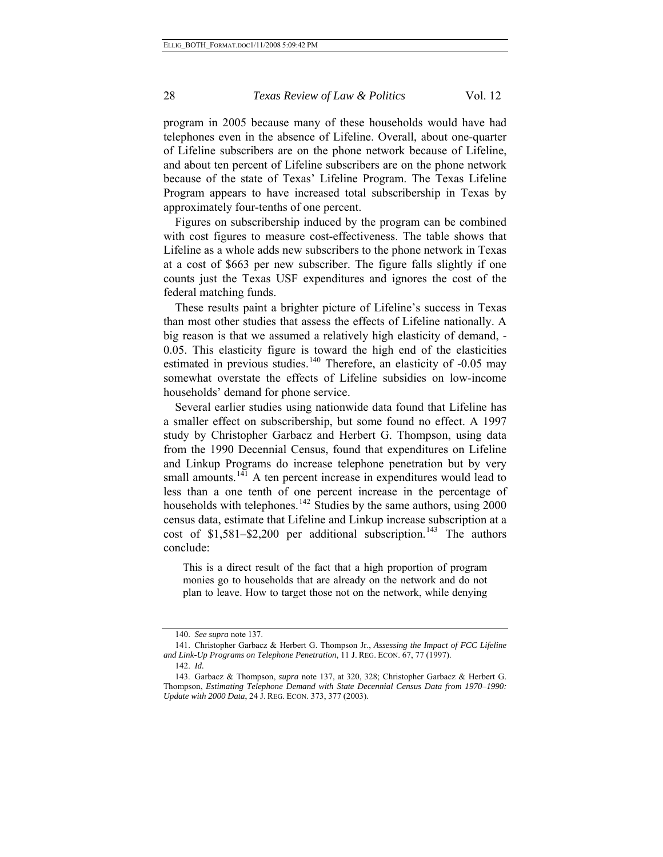program in 2005 because many of these households would have had telephones even in the absence of Lifeline. Overall, about one-quarter of Lifeline subscribers are on the phone network because of Lifeline, and about ten percent of Lifeline subscribers are on the phone network because of the state of Texas' Lifeline Program. The Texas Lifeline Program appears to have increased total subscribership in Texas by approximately four-tenths of one percent.

Figures on subscribership induced by the program can be combined with cost figures to measure cost-effectiveness. The table shows that Lifeline as a whole adds new subscribers to the phone network in Texas at a cost of \$663 per new subscriber. The figure falls slightly if one counts just the Texas USF expenditures and ignores the cost of the federal matching funds.

These results paint a brighter picture of Lifeline's success in Texas than most other studies that assess the effects of Lifeline nationally. A big reason is that we assumed a relatively high elasticity of demand, - 0.05. This elasticity figure is toward the high end of the elasticities estimated in previous studies.<sup>[140](#page-27-0)</sup> Therefore, an elasticity of  $-0.05$  may somewhat overstate the effects of Lifeline subsidies on low-income households' demand for phone service.

Several earlier studies using nationwide data found that Lifeline has a smaller effect on subscribership, but some found no effect. A 1997 study by Christopher Garbacz and Herbert G. Thompson, using data from the 1990 Decennial Census, found that expenditures on Lifeline and Linkup Programs do increase telephone penetration but by very small amounts.<sup>[141](#page-27-1)</sup> A ten percent increase in expenditures would lead to less than a one tenth of one percent increase in the percentage of households with telephones.<sup>[142](#page-27-2)</sup> Studies by the same authors, using 2000 census data, estimate that Lifeline and Linkup increase subscription at a cost of \$1,581–\$2,200 per additional subscription.<sup>[143](#page-27-3)</sup> The authors conclude:

This is a direct result of the fact that a high proportion of program monies go to households that are already on the network and do not plan to leave. How to target those not on the network, while denying

<sup>140.</sup> *See supra* note 137.

<span id="page-27-1"></span><span id="page-27-0"></span><sup>141.</sup> Christopher Garbacz & Herbert G. Thompson Jr., *Assessing the Impact of FCC Lifeline and Link-Up Programs on Telephone Penetration*, 11 J. REG. ECON. 67, 77 (1997).

<sup>142.</sup> *Id.*

<span id="page-27-3"></span><span id="page-27-2"></span><sup>143.</sup> Garbacz & Thompson, *supra* note 137, at 320, 328; Christopher Garbacz & Herbert G. Thompson, *Estimating Telephone Demand with State Decennial Census Data from 1970–1990: Update with 2000 Data*, 24 J. REG. ECON. 373, 377 (2003).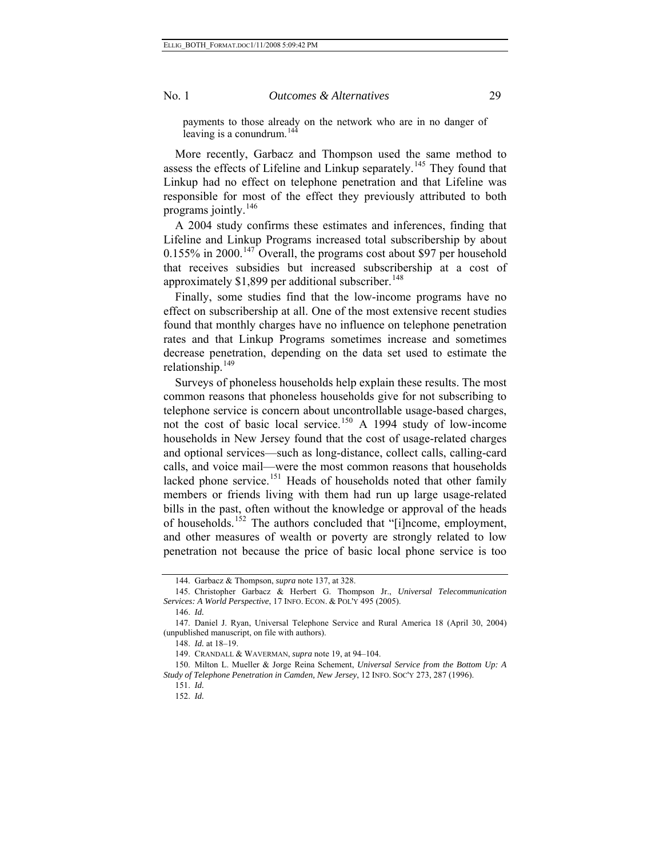payments to those already on the network who are in no danger of leaving is a conundrum. $144$ 

More recently, Garbacz and Thompson used the same method to assess the effects of Lifeline and Linkup separately.<sup>[145](#page-28-1)</sup> They found that Linkup had no effect on telephone penetration and that Lifeline was responsible for most of the effect they previously attributed to both programs jointly.<sup>[146](#page-28-2)</sup>

A 2004 study confirms these estimates and inferences, finding that Lifeline and Linkup Programs increased total subscribership by about  $0.155\%$  in 2000.<sup>[147](#page-28-3)</sup> Overall, the programs cost about \$97 per household that receives subsidies but increased subscribership at a cost of approximately  $$1,899$  per additional subscriber.<sup>[148](#page-28-4)</sup>

Finally, some studies find that the low-income programs have no effect on subscribership at all. One of the most extensive recent studies found that monthly charges have no influence on telephone penetration rates and that Linkup Programs sometimes increase and sometimes decrease penetration, depending on the data set used to estimate the relationship. $149$ 

Surveys of phoneless households help explain these results. The most common reasons that phoneless households give for not subscribing to telephone service is concern about uncontrollable usage-based charges, not the cost of basic local service.<sup>[150](#page-28-6)</sup> A 1994 study of low-income households in New Jersey found that the cost of usage-related charges and optional services—such as long-distance, collect calls, calling-card calls, and voice mail—were the most common reasons that households lacked phone service.<sup>[151](#page-28-7)</sup> Heads of households noted that other family members or friends living with them had run up large usage-related bills in the past, often without the knowledge or approval of the heads of households.<sup>[152](#page-28-8)</sup> The authors concluded that "[i]ncome, employment, and other measures of wealth or poverty are strongly related to low penetration not because the price of basic local phone service is too

<sup>144.</sup> Garbacz & Thompson, *supra* note 137, at 328.

<span id="page-28-1"></span><span id="page-28-0"></span><sup>145.</sup> Christopher Garbacz & Herbert G. Thompson Jr., *Universal Telecommunication Services: A World Perspective*, 17 INFO. ECON. & POL'Y 495 (2005).

<sup>146.</sup> *Id.* 

<span id="page-28-4"></span><span id="page-28-3"></span><span id="page-28-2"></span><sup>147.</sup> Daniel J. Ryan, Universal Telephone Service and Rural America 18 (April 30, 2004) (unpublished manuscript, on file with authors).

<sup>148.</sup> *Id.* at 18–19.

<sup>149.</sup> CRANDALL & WAVERMAN, *supra* note 19, at 94–104.

<span id="page-28-8"></span><span id="page-28-7"></span><span id="page-28-6"></span><span id="page-28-5"></span><sup>150.</sup> Milton L. Mueller & Jorge Reina Schement, *Universal Service from the Bottom Up: A Study of Telephone Penetration in Camden, New Jersey*, 12 INFO. SOC'Y 273, 287 (1996).

<sup>151.</sup> *Id.*

<sup>152.</sup> *Id.*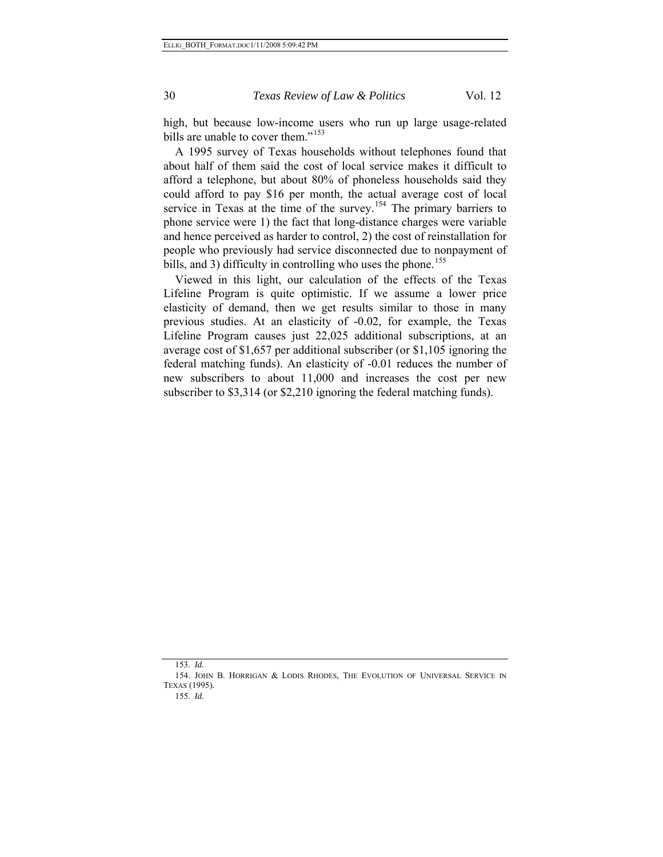high, but because low-income users who run up large usage-related bills are unable to cover them."<sup>[153](#page-29-0)</sup>

A 1995 survey of Texas households without telephones found that about half of them said the cost of local service makes it difficult to afford a telephone, but about 80% of phoneless households said they could afford to pay \$16 per month, the actual average cost of local service in Texas at the time of the survey.<sup>[154](#page-29-1)</sup> The primary barriers to phone service were 1) the fact that long-distance charges were variable and hence perceived as harder to control, 2) the cost of reinstallation for people who previously had service disconnected due to nonpayment of bills, and 3) difficulty in controlling who uses the phone.<sup>[155](#page-29-2)</sup>

Viewed in this light, our calculation of the effects of the Texas Lifeline Program is quite optimistic. If we assume a lower price elasticity of demand, then we get results similar to those in many previous studies. At an elasticity of -0.02, for example, the Texas Lifeline Program causes just 22,025 additional subscriptions, at an average cost of \$1,657 per additional subscriber (or \$1,105 ignoring the federal matching funds). An elasticity of -0.01 reduces the number of new subscribers to about 11,000 and increases the cost per new subscriber to \$3,314 (or \$2,210 ignoring the federal matching funds).

<sup>153.</sup> *Id.*

<span id="page-29-2"></span><span id="page-29-1"></span><span id="page-29-0"></span><sup>154.</sup> JOHN B. HORRIGAN & LODIS RHODES, THE EVOLUTION OF UNIVERSAL SERVICE IN TEXAS (1995)*.*

<sup>155.</sup> *Id.*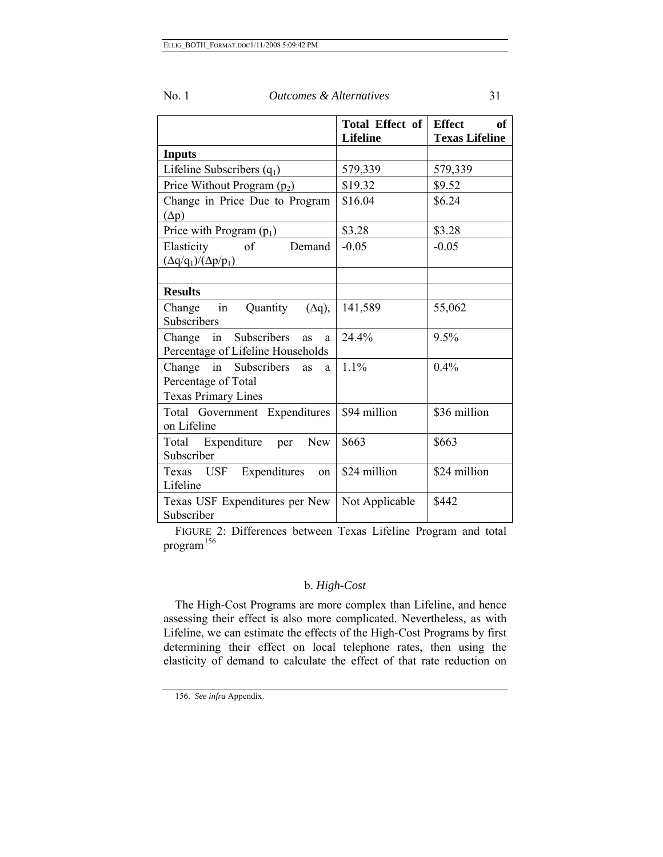| No.1<br><i><b>Outcomes &amp; Alternatives</b></i> |  |
|---------------------------------------------------|--|
|---------------------------------------------------|--|

|                                                                                       | Total Effect of<br><b>Lifeline</b> | <b>Effect</b><br>of<br><b>Texas Lifeline</b> |
|---------------------------------------------------------------------------------------|------------------------------------|----------------------------------------------|
| <b>Inputs</b>                                                                         |                                    |                                              |
| Lifeline Subscribers $(q_1)$                                                          | 579,339                            | 579,339                                      |
| Price Without Program $(p_2)$                                                         | \$19.32                            | \$9.52                                       |
| Change in Price Due to Program<br>$(\Delta p)$                                        | \$16.04                            | \$6.24                                       |
| Price with Program $(p_1)$                                                            | \$3.28                             | \$3.28                                       |
| Elasticity<br>$\sigma$ f<br>Demand<br>$(\Delta q/q_1)/(\Delta p/p_1)$                 | $-0.05$                            | $-0.05$                                      |
| <b>Results</b>                                                                        |                                    |                                              |
| $\overline{\text{in}}$<br>Quantity<br>Change<br>$(\Delta q)$ ,<br>Subscribers         | 141,589                            | 55,062                                       |
| Subscribers<br>Change in<br><b>as</b><br>a<br>Percentage of Lifeline Households       | 24.4%                              | $9.5\%$                                      |
| Change in Subscribers<br>as<br>a<br>Percentage of Total<br><b>Texas Primary Lines</b> | $1.1\%$                            | $0.4\%$                                      |
| Total Government Expenditures<br>on Lifeline                                          | \$94 million                       | \$36 million                                 |
| Total Expenditure<br>New<br>per<br>Subscriber                                         | \$663                              | \$663                                        |
| USF Expenditures<br>Texas<br>on<br>Lifeline                                           | \$24 million                       | \$24 million                                 |
| Texas USF Expenditures per New<br>Subscriber                                          | Not Applicable                     | \$442                                        |

FIGURE 2: Differences between Texas Lifeline Program and total program<sup>[156](#page-30-0)</sup>

## b. *High-Cost*

The High-Cost Programs are more complex than Lifeline, and hence assessing their effect is also more complicated. Nevertheless, as with Lifeline, we can estimate the effects of the High-Cost Programs by first determining their effect on local telephone rates, then using the elasticity of demand to calculate the effect of that rate reduction on

<span id="page-30-0"></span><sup>156.</sup> *See infra* Appendix.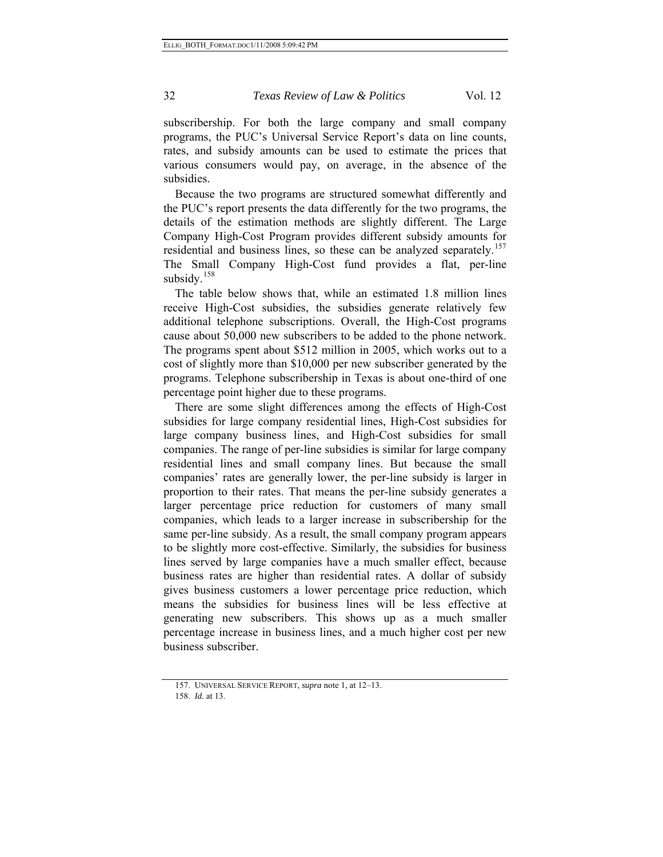subscribership. For both the large company and small company programs, the PUC's Universal Service Report's data on line counts, rates, and subsidy amounts can be used to estimate the prices that various consumers would pay, on average, in the absence of the subsidies.

Because the two programs are structured somewhat differently and the PUC's report presents the data differently for the two programs, the details of the estimation methods are slightly different. The Large Company High-Cost Program provides different subsidy amounts for residential and business lines, so these can be analyzed separately.<sup>[157](#page-31-0)</sup> The Small Company High-Cost fund provides a flat, per-line subsidy. $158$ 

The table below shows that, while an estimated 1.8 million lines receive High-Cost subsidies, the subsidies generate relatively few additional telephone subscriptions. Overall, the High-Cost programs cause about 50,000 new subscribers to be added to the phone network. The programs spent about \$512 million in 2005, which works out to a cost of slightly more than \$10,000 per new subscriber generated by the programs. Telephone subscribership in Texas is about one-third of one percentage point higher due to these programs.

There are some slight differences among the effects of High-Cost subsidies for large company residential lines, High-Cost subsidies for large company business lines, and High-Cost subsidies for small companies. The range of per-line subsidies is similar for large company residential lines and small company lines. But because the small companies' rates are generally lower, the per-line subsidy is larger in proportion to their rates. That means the per-line subsidy generates a larger percentage price reduction for customers of many small companies, which leads to a larger increase in subscribership for the same per-line subsidy. As a result, the small company program appears to be slightly more cost-effective. Similarly, the subsidies for business lines served by large companies have a much smaller effect, because business rates are higher than residential rates. A dollar of subsidy gives business customers a lower percentage price reduction, which means the subsidies for business lines will be less effective at generating new subscribers. This shows up as a much smaller percentage increase in business lines, and a much higher cost per new business subscriber.

<span id="page-31-1"></span><span id="page-31-0"></span><sup>157.</sup> UNIVERSAL SERVICE REPORT, *supra* note 1, at 12–13. 158. *Id.* at 13.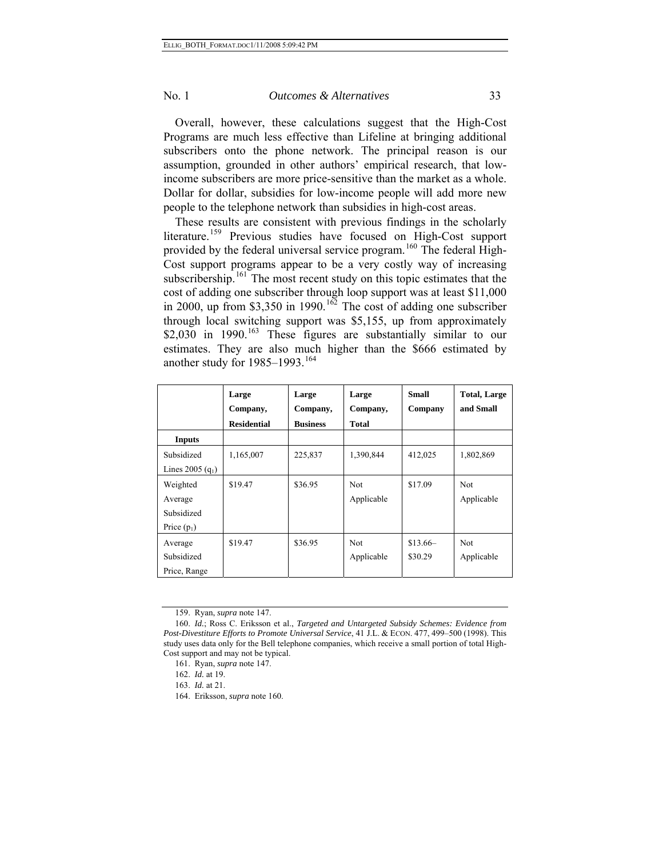Overall, however, these calculations suggest that the High-Cost Programs are much less effective than Lifeline at bringing additional subscribers onto the phone network. The principal reason is our assumption, grounded in other authors' empirical research, that lowincome subscribers are more price-sensitive than the market as a whole. Dollar for dollar, subsidies for low-income people will add more new people to the telephone network than subsidies in high-cost areas.

These results are consistent with previous findings in the scholarly literature.<sup>[159](#page-32-0)</sup> Previous studies have focused on High-Cost support provided by the federal universal service program.<sup>[160](#page-32-1)</sup> The federal High-Cost support programs appear to be a very costly way of increasing subscribership.<sup>[161](#page-32-2)</sup> The most recent study on this topic estimates that the cost of adding one subscriber through loop support was at least \$11,000 in 2000, up from  $$3,350$  in 1990.<sup>[162](#page-32-3)</sup> The cost of adding one subscriber through local switching support was \$5,155, up from approximately  $$2,030$  in 1990.<sup>[163](#page-32-4)</sup> These figures are substantially similar to our estimates. They are also much higher than the \$666 estimated by another study for  $1985-1993$ .<sup>[164](#page-32-5)</sup>

|                    | Large<br>Company,  | Large<br>Company, | Large<br>Company, | Small<br>Company | <b>Total, Large</b><br>and Small |
|--------------------|--------------------|-------------------|-------------------|------------------|----------------------------------|
|                    | <b>Residential</b> | <b>Business</b>   | Total             |                  |                                  |
| <b>Inputs</b>      |                    |                   |                   |                  |                                  |
| Subsidized         | 1,165,007          | 225,837           | 1,390,844         | 412,025          | 1,802,869                        |
| Lines 2005 $(q_1)$ |                    |                   |                   |                  |                                  |
| Weighted           | \$19.47            | \$36.95           | <b>Not</b>        | \$17.09          | <b>Not</b>                       |
| Average            |                    |                   | Applicable        |                  | Applicable                       |
| Subsidized         |                    |                   |                   |                  |                                  |
| Price $(p_1)$      |                    |                   |                   |                  |                                  |
| Average            | \$19.47            | \$36.95           | <b>Not</b>        | $$13.66-$        | <b>Not</b>                       |
| Subsidized         |                    |                   | Applicable        | \$30.29          | Applicable                       |
| Price, Range       |                    |                   |                   |                  |                                  |

<sup>159.</sup> Ryan, *supra* note 147.

<span id="page-32-4"></span><span id="page-32-3"></span><span id="page-32-2"></span><span id="page-32-1"></span><span id="page-32-0"></span><sup>160.</sup> *Id.*; Ross C. Eriksson et al., *Targeted and Untargeted Subsidy Schemes: Evidence from Post-Divestiture Efforts to Promote Universal Service*, 41 J.L. & ECON. 477, 499–500 (1998). This study uses data only for the Bell telephone companies, which receive a small portion of total High-Cost support and may not be typical.

<sup>161.</sup> Ryan, *supra* note 147.

<sup>162.</sup> *Id.* at 19.

<sup>163.</sup> *Id.* at 21.

<span id="page-32-5"></span><sup>164.</sup> Eriksson, *supra* note 160.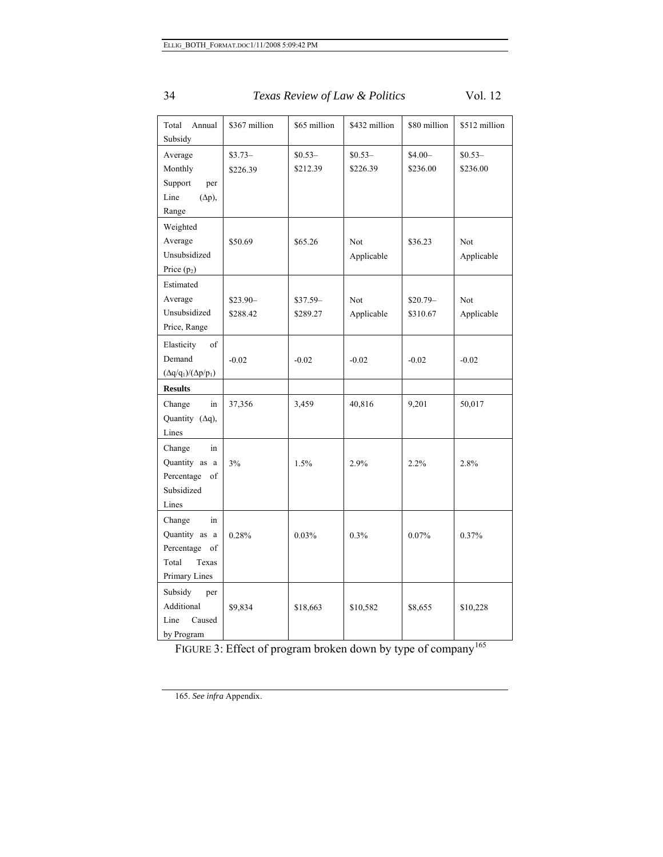| Total<br>Annual<br>Subsidy                                                           | \$367 million         | \$65 million          | \$432 million        | \$80 million          | \$512 million        |
|--------------------------------------------------------------------------------------|-----------------------|-----------------------|----------------------|-----------------------|----------------------|
| Average<br>Monthly<br>Support<br>per<br>Line<br>$(\Delta p)$ ,<br>Range              | $$3.73-$<br>\$226.39  | $$0.53-$<br>\$212.39  | $$0.53-$<br>\$226.39 | $$4.00-$<br>\$236.00  | $$0.53-$<br>\$236.00 |
| Weighted<br>Average<br>Unsubsidized<br>Price $(p_2)$                                 | \$50.69               | \$65.26               | Not<br>Applicable    | \$36.23               | Not<br>Applicable    |
| Estimated<br>Average<br>Unsubsidized<br>Price, Range                                 | $$23.90-$<br>\$288.42 | $$37.59-$<br>\$289.27 | Not<br>Applicable    | $$20.79-$<br>\$310.67 | Not<br>Applicable    |
| Elasticity<br>of<br>Demand<br>$(\Delta q/q_1)/(\Delta p/p_1)$                        | $-0.02$               | $-0.02$               | $-0.02$              | $-0.02$               | $-0.02$              |
| <b>Results</b>                                                                       |                       |                       |                      |                       |                      |
| Change<br>in<br>Quantity (Aq),<br>Lines                                              | 37,356                | 3,459                 | 40,816               | 9,201                 | 50,017               |
| Change<br>in<br>Quantity as a<br>Percentage<br>of<br>Subsidized<br>Lines             | 3%                    | 1.5%                  | 2.9%                 | 2.2%                  | 2.8%                 |
| Change<br>in<br>Quantity as a<br>Percentage<br>of<br>Total<br>Texas<br>Primary Lines | 0.28%                 | 0.03%                 | 0.3%                 | 0.07%                 | 0.37%                |
| Subsidy<br>per<br>Additional<br>Line<br>Caused<br>by Program                         | \$9,834               | \$18,663              | \$10,582             | \$8,655               | \$10,228             |

FIGURE 3: Effect of program broken down by type of company<sup>[165](#page-33-0)</sup>

<span id="page-33-0"></span>165. *See infra* Appendix.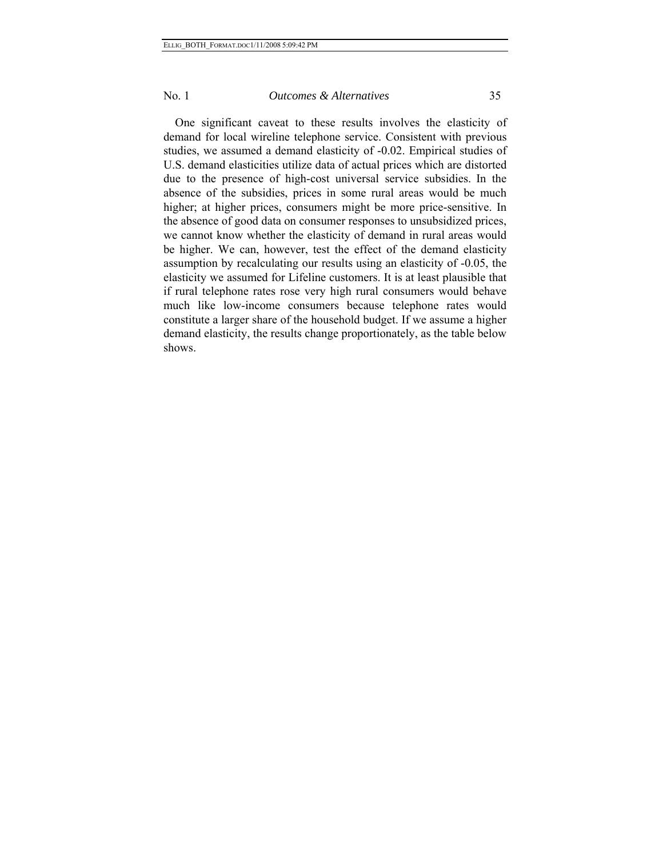One significant caveat to these results involves the elasticity of demand for local wireline telephone service. Consistent with previous studies, we assumed a demand elasticity of -0.02. Empirical studies of U.S. demand elasticities utilize data of actual prices which are distorted due to the presence of high-cost universal service subsidies. In the absence of the subsidies, prices in some rural areas would be much higher; at higher prices, consumers might be more price-sensitive. In the absence of good data on consumer responses to unsubsidized prices, we cannot know whether the elasticity of demand in rural areas would be higher. We can, however, test the effect of the demand elasticity assumption by recalculating our results using an elasticity of -0.05, the elasticity we assumed for Lifeline customers. It is at least plausible that if rural telephone rates rose very high rural consumers would behave much like low-income consumers because telephone rates would constitute a larger share of the household budget. If we assume a higher demand elasticity, the results change proportionately, as the table below shows.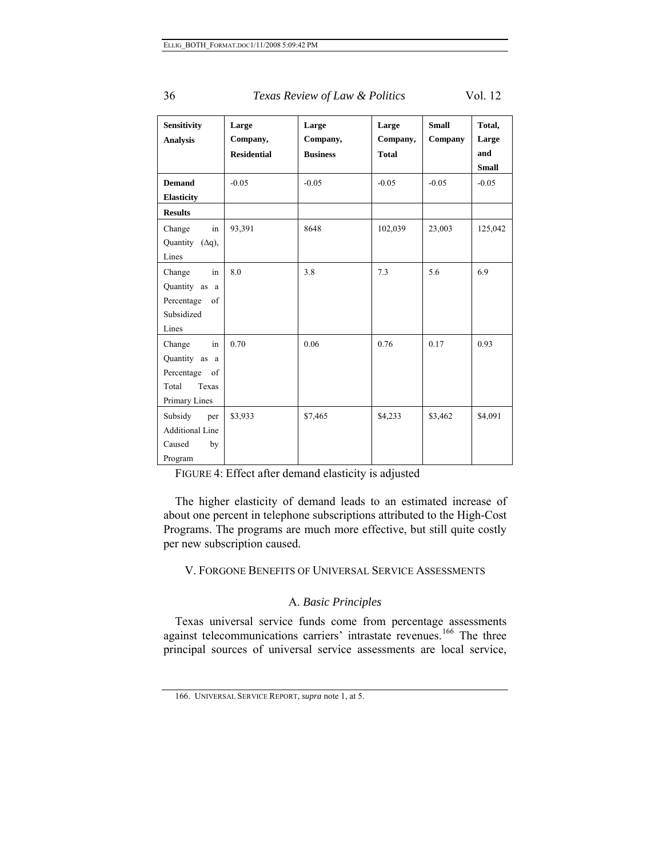| Sensitivity<br><b>Analysis</b>                                                                                   | Large<br>Company,<br><b>Residential</b> | Large<br>Company,<br><b>Business</b> | Large<br>Company,<br><b>Total</b> | <b>Small</b><br>Company | Total,<br>Large<br>and |
|------------------------------------------------------------------------------------------------------------------|-----------------------------------------|--------------------------------------|-----------------------------------|-------------------------|------------------------|
|                                                                                                                  |                                         |                                      |                                   |                         | <b>Small</b>           |
| <b>Demand</b>                                                                                                    | $-0.05$                                 | $-0.05$                              | $-0.05$                           | $-0.05$                 | $-0.05$                |
| <b>Elasticity</b>                                                                                                |                                         |                                      |                                   |                         |                        |
| <b>Results</b>                                                                                                   |                                         |                                      |                                   |                         |                        |
| Change<br>in                                                                                                     | 93,391                                  | 8648                                 | 102,039                           | 23,003                  | 125,042                |
| Quantity $(\Delta q)$ ,                                                                                          |                                         |                                      |                                   |                         |                        |
| Lines                                                                                                            |                                         |                                      |                                   |                         |                        |
| in<br>Change                                                                                                     | 8.0                                     | 3.8                                  | 7.3                               | 5.6                     | 6.9                    |
| Quantity as a                                                                                                    |                                         |                                      |                                   |                         |                        |
| Percentage<br>$% \left( \left( \mathcal{A},\mathcal{A}\right) \right) =\left( \mathcal{A},\mathcal{A}\right)$ of |                                         |                                      |                                   |                         |                        |
| Subsidized                                                                                                       |                                         |                                      |                                   |                         |                        |
| Lines                                                                                                            |                                         |                                      |                                   |                         |                        |
| Change<br>in                                                                                                     | 0.70                                    | 0.06                                 | 0.76                              | 0.17                    | 0.93                   |
| Quantity as a                                                                                                    |                                         |                                      |                                   |                         |                        |
| Percentage<br>of                                                                                                 |                                         |                                      |                                   |                         |                        |
| Texas<br>Total                                                                                                   |                                         |                                      |                                   |                         |                        |
| Primary Lines                                                                                                    |                                         |                                      |                                   |                         |                        |
| Subsidy<br>per                                                                                                   | \$3,933                                 | \$7,465                              | \$4,233                           | \$3,462                 | \$4,091                |
| <b>Additional Line</b>                                                                                           |                                         |                                      |                                   |                         |                        |
| Caused<br>by                                                                                                     |                                         |                                      |                                   |                         |                        |
| Program                                                                                                          |                                         |                                      |                                   |                         |                        |

FIGURE 4: Effect after demand elasticity is adjusted

The higher elasticity of demand leads to an estimated increase of about one percent in telephone subscriptions attributed to the High-Cost Programs. The programs are much more effective, but still quite costly per new subscription caused.

V. FORGONE BENEFITS OF UNIVERSAL SERVICE ASSESSMENTS

## A. *Basic Principles*

Texas universal service funds come from percentage assessments against telecommunications carriers' intrastate revenues.<sup>[166](#page-35-0)</sup> The three principal sources of universal service assessments are local service,

<span id="page-35-0"></span><sup>166.</sup> UNIVERSAL SERVICE REPORT, *supra* note 1, at 5.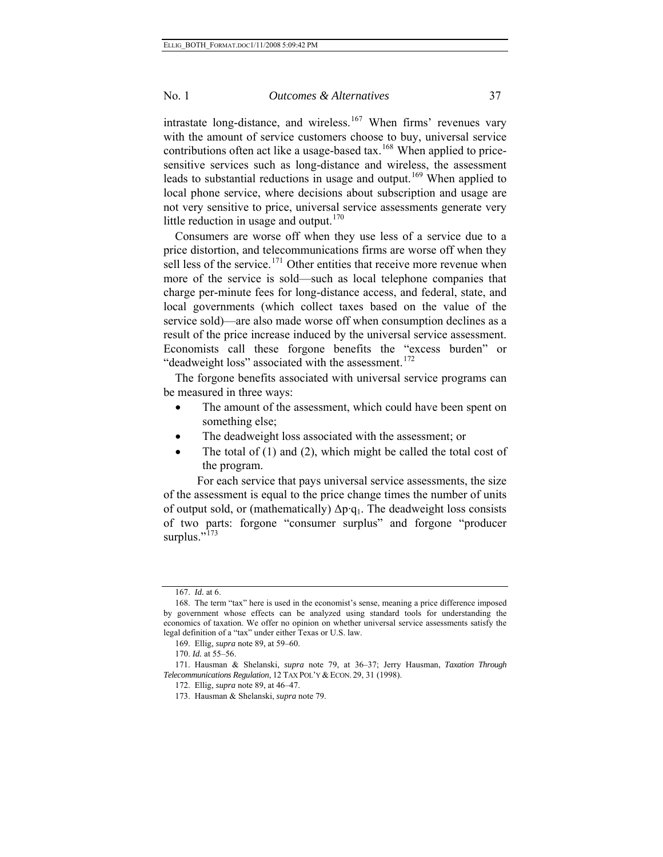intrastate long-distance, and wireless.<sup>[167](#page-36-0)</sup> When firms' revenues vary with the amount of service customers choose to buy, universal service contributions often act like a usage-based tax.<sup>[168](#page-36-1)</sup> When applied to pricesensitive services such as long-distance and wireless, the assessment leads to substantial reductions in usage and output.<sup>[169](#page-36-2)</sup> When applied to local phone service, where decisions about subscription and usage are not very sensitive to price, universal service assessments generate very little reduction in usage and output. $170$ 

Consumers are worse off when they use less of a service due to a price distortion, and telecommunications firms are worse off when they sell less of the service.<sup>[171](#page-36-4)</sup> Other entities that receive more revenue when more of the service is sold—such as local telephone companies that charge per-minute fees for long-distance access, and federal, state, and local governments (which collect taxes based on the value of the service sold)—are also made worse off when consumption declines as a result of the price increase induced by the universal service assessment. Economists call these forgone benefits the "excess burden" or "deadweight loss" associated with the assessment.<sup>[172](#page-36-5)</sup>

The forgone benefits associated with universal service programs can be measured in three ways:

- The amount of the assessment, which could have been spent on something else;
- The deadweight loss associated with the assessment; or
- The total of  $(1)$  and  $(2)$ , which might be called the total cost of the program.

 For each service that pays universal service assessments, the size of the assessment is equal to the price change times the number of units of output sold, or (mathematically)  $\Delta p \cdot q_1$ . The deadweight loss consists of two parts: forgone "consumer surplus" and forgone "producer surplus." $^{173}$  $^{173}$  $^{173}$ 

<sup>167.</sup> *Id.* at 6.

<span id="page-36-1"></span><span id="page-36-0"></span><sup>168.</sup> The term "tax" here is used in the economist's sense, meaning a price difference imposed by government whose effects can be analyzed using standard tools for understanding the economics of taxation. We offer no opinion on whether universal service assessments satisfy the legal definition of a "tax" under either Texas or U.S. law.

<sup>169.</sup> Ellig, *supra* note 89, at 59–60.

<sup>170.</sup> *Id.* at 55–56.

<span id="page-36-6"></span><span id="page-36-5"></span><span id="page-36-4"></span><span id="page-36-3"></span><span id="page-36-2"></span><sup>171.</sup> Hausman & Shelanski, *supra* note 79, at 36–37; Jerry Hausman, *Taxation Through*  Telecommunications Regulation, 12 TAX POL'Y & ECON. 29, 31 (1998).

<sup>172.</sup> Ellig, *supra* note 89, at 46–47.

<sup>173.</sup> Hausman & Shelanski, *supra* note 79.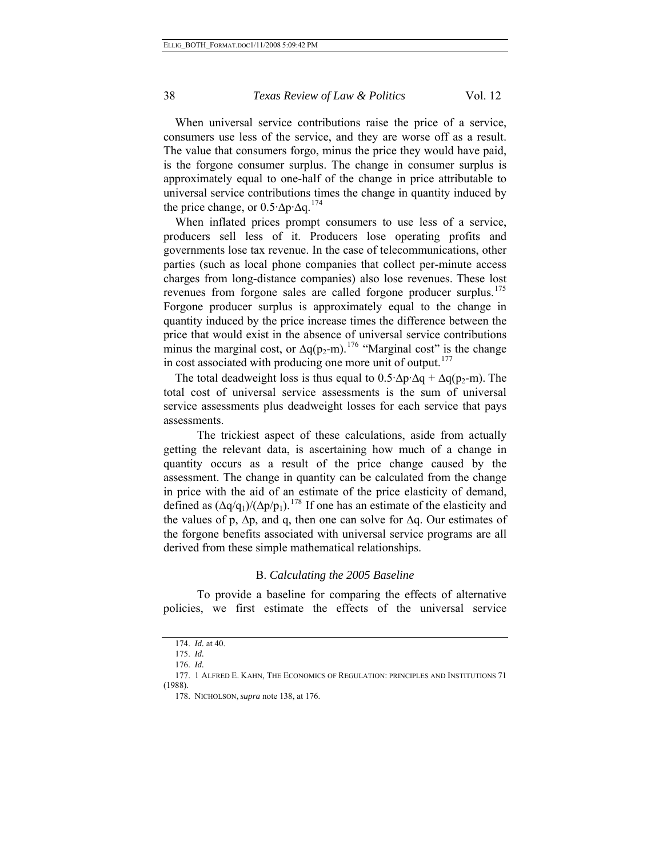When universal service contributions raise the price of a service, consumers use less of the service, and they are worse off as a result. The value that consumers forgo, minus the price they would have paid, is the forgone consumer surplus. The change in consumer surplus is approximately equal to one-half of the change in price attributable to universal service contributions times the change in quantity induced by the price change, or  $0.5 \Delta p \Delta q$ .<sup>[174](#page-37-0)</sup>

When inflated prices prompt consumers to use less of a service, producers sell less of it. Producers lose operating profits and governments lose tax revenue. In the case of telecommunications, other parties (such as local phone companies that collect per-minute access charges from long-distance companies) also lose revenues. These lost revenues from forgone sales are called forgone producer surplus.<sup>[175](#page-37-1)</sup> Forgone producer surplus is approximately equal to the change in quantity induced by the price increase times the difference between the price that would exist in the absence of universal service contributions minus the marginal cost, or  $\Delta q(p_2-m)$ .<sup>[176](#page-37-2)</sup> "Marginal cost" is the change in cost associated with producing one more unit of output. $177$ 

The total deadweight loss is thus equal to  $0.5 \Delta p \Delta q + \Delta q(p_2-m)$ . The total cost of universal service assessments is the sum of universal service assessments plus deadweight losses for each service that pays assessments.

 The trickiest aspect of these calculations, aside from actually getting the relevant data, is ascertaining how much of a change in quantity occurs as a result of the price change caused by the assessment. The change in quantity can be calculated from the change in price with the aid of an estimate of the price elasticity of demand, defined as  $(\Delta q/q_1)/(\Delta p/p_1)$ .<sup>[178](#page-37-4)</sup> If one has an estimate of the elasticity and the values of p,  $\Delta p$ , and q, then one can solve for  $\Delta q$ . Our estimates of the forgone benefits associated with universal service programs are all derived from these simple mathematical relationships.

#### B. *Calculating the 2005 Baseline*

 To provide a baseline for comparing the effects of alternative policies, we first estimate the effects of the universal service

<sup>174.</sup> *Id.* at 40.

<sup>175.</sup> *Id.*

<sup>176.</sup> *Id.*

<span id="page-37-4"></span><span id="page-37-3"></span><span id="page-37-2"></span><span id="page-37-1"></span><span id="page-37-0"></span><sup>177. 1</sup> ALFRED E. KAHN, THE ECONOMICS OF REGULATION: PRINCIPLES AND INSTITUTIONS 71 (1988).

<sup>178.</sup> NICHOLSON, *supra* note 138, at 176.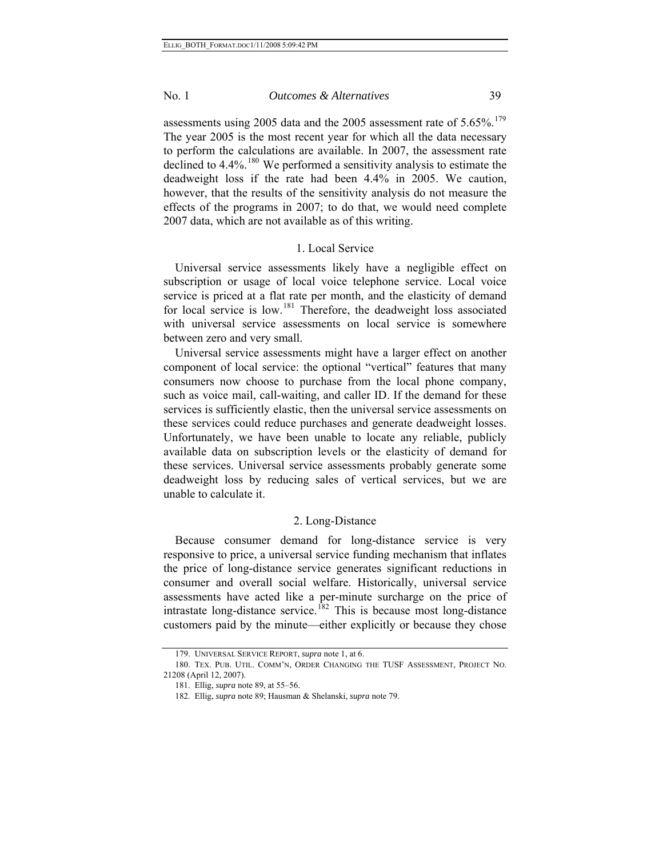assessments using 2005 data and the 2005 assessment rate of  $5.65\%$ .<sup>[179](#page-38-0)</sup> The year 2005 is the most recent year for which all the data necessary to perform the calculations are available. In 2007, the assessment rate declined to 4.4%.<sup>[180](#page-38-1)</sup> We performed a sensitivity analysis to estimate the deadweight loss if the rate had been 4.4% in 2005. We caution, however, that the results of the sensitivity analysis do not measure the effects of the programs in 2007; to do that, we would need complete 2007 data, which are not available as of this writing.

# 1. Local Service

Universal service assessments likely have a negligible effect on subscription or usage of local voice telephone service. Local voice service is priced at a flat rate per month, and the elasticity of demand for local service is low.<sup>[181](#page-38-2)</sup> Therefore, the deadweight loss associated with universal service assessments on local service is somewhere between zero and very small.

Universal service assessments might have a larger effect on another component of local service: the optional "vertical" features that many consumers now choose to purchase from the local phone company, such as voice mail, call-waiting, and caller ID. If the demand for these services is sufficiently elastic, then the universal service assessments on these services could reduce purchases and generate deadweight losses. Unfortunately, we have been unable to locate any reliable, publicly available data on subscription levels or the elasticity of demand for these services. Universal service assessments probably generate some deadweight loss by reducing sales of vertical services, but we are unable to calculate it.

#### 2. Long-Distance

Because consumer demand for long-distance service is very responsive to price, a universal service funding mechanism that inflates the price of long-distance service generates significant reductions in consumer and overall social welfare. Historically, universal service assessments have acted like a per-minute surcharge on the price of intrastate long-distance service.<sup>[182](#page-38-3)</sup> This is because most long-distance customers paid by the minute—either explicitly or because they chose

<sup>179.</sup> UNIVERSAL SERVICE REPORT, *supra* note 1, at 6.

<span id="page-38-3"></span><span id="page-38-2"></span><span id="page-38-1"></span><span id="page-38-0"></span><sup>180.</sup> TEX. PUB. UTIL. COMM'N, ORDER CHANGING THE TUSF ASSESSMENT, PROJECT NO. 21208 (April 12, 2007).

<sup>181.</sup> Ellig, *supra* note 89, at 55–56.

<sup>182.</sup> Ellig, *supra* note 89; Hausman & Shelanski, *supra* note 79.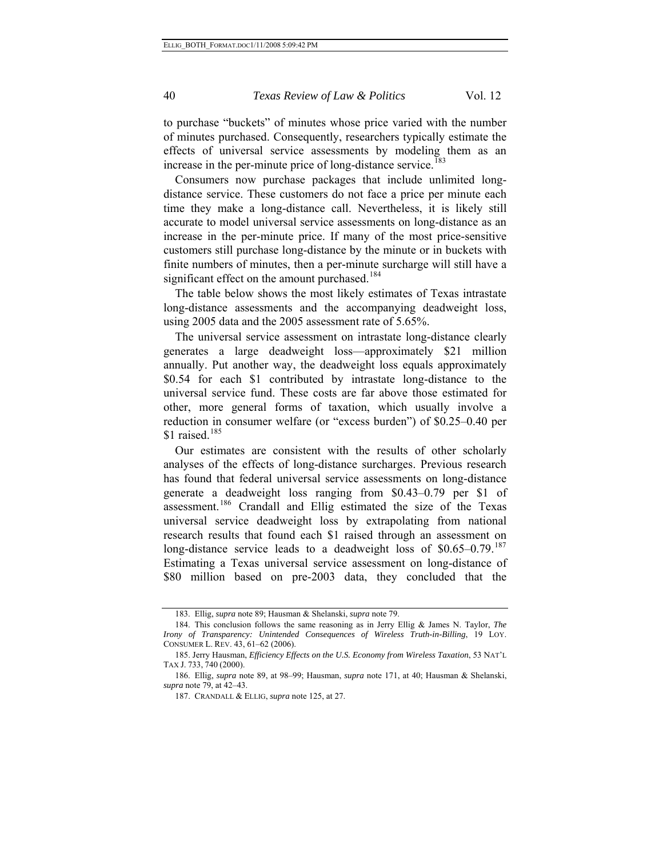to purchase "buckets" of minutes whose price varied with the number of minutes purchased. Consequently, researchers typically estimate the effects of universal service assessments by modeling them as an increase in the per-minute price of long-distance service.<sup>[183](#page-39-0)</sup>

Consumers now purchase packages that include unlimited longdistance service. These customers do not face a price per minute each time they make a long-distance call. Nevertheless, it is likely still accurate to model universal service assessments on long-distance as an increase in the per-minute price. If many of the most price-sensitive customers still purchase long-distance by the minute or in buckets with finite numbers of minutes, then a per-minute surcharge will still have a significant effect on the amount purchased.<sup>[184](#page-39-1)</sup>

The table below shows the most likely estimates of Texas intrastate long-distance assessments and the accompanying deadweight loss, using 2005 data and the 2005 assessment rate of 5.65%.

The universal service assessment on intrastate long-distance clearly generates a large deadweight loss—approximately \$21 million annually. Put another way, the deadweight loss equals approximately \$0.54 for each \$1 contributed by intrastate long-distance to the universal service fund. These costs are far above those estimated for other, more general forms of taxation, which usually involve a reduction in consumer welfare (or "excess burden") of \$0.25–0.40 per \$1 raised. $185$ 

Our estimates are consistent with the results of other scholarly analyses of the effects of long-distance surcharges. Previous research has found that federal universal service assessments on long-distance generate a deadweight loss ranging from \$0.43–0.79 per \$1 of assessment.[186](#page-39-3) Crandall and Ellig estimated the size of the Texas universal service deadweight loss by extrapolating from national research results that found each \$1 raised through an assessment on long-distance service leads to a deadweight loss of  $$0.65-0.79$ .<sup>[187](#page-39-4)</sup> Estimating a Texas universal service assessment on long-distance of \$80 million based on pre-2003 data, they concluded that the

<sup>183.</sup> Ellig, *supra* note 89; Hausman & Shelanski, *supra* note 79.

<span id="page-39-1"></span><span id="page-39-0"></span><sup>184.</sup> This conclusion follows the same reasoning as in Jerry Ellig & James N. Taylor, *The Irony of Transparency: Unintended Consequences of Wireless Truth-in-Billing*, 19 LOY. CONSUMER L. REV. 43, 61–62 (2006).

<span id="page-39-2"></span><sup>185.</sup> Jerry Hausman, *Efficiency Effects on the U.S. Economy from Wireless Taxation*, 53 NAT'L TAX J. 733, 740 (2000).

<span id="page-39-4"></span><span id="page-39-3"></span><sup>186.</sup> Ellig, *supra* note 89, at 98–99; Hausman, *supra* note 171, at 40; Hausman & Shelanski, *supra* note 79, at 42–43.

<sup>187.</sup> CRANDALL & ELLIG, *supra* note 125, at 27.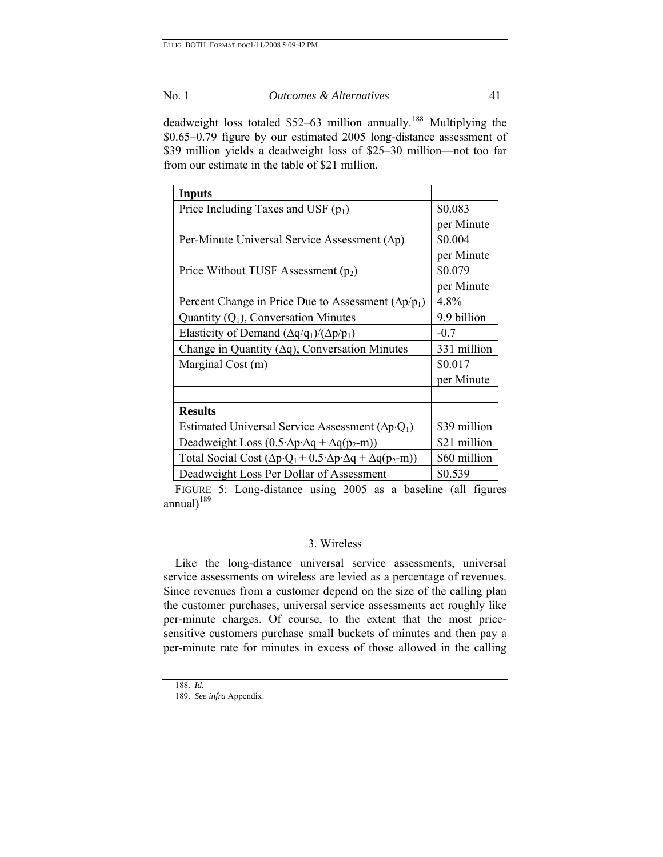deadweight loss totaled \$52-63 million annually.<sup>[188](#page-40-0)</sup> Multiplying the \$0.65–0.79 figure by our estimated 2005 long-distance assessment of \$39 million yields a deadweight loss of \$25–30 million—not too far from our estimate in the table of \$21 million.

| <b>Inputs</b>                                                                                  |              |
|------------------------------------------------------------------------------------------------|--------------|
| Price Including Taxes and USF $(p_1)$                                                          | \$0.083      |
|                                                                                                | per Minute   |
| Per-Minute Universal Service Assessment $(\Delta p)$                                           | \$0.004      |
|                                                                                                | per Minute   |
| Price Without TUSF Assessment $(p_2)$                                                          | \$0.079      |
|                                                                                                | per Minute   |
| Percent Change in Price Due to Assessment ( $\Delta p/p_1$ )                                   | 4.8%         |
| Quantity $(Q_1)$ , Conversation Minutes                                                        | 9.9 billion  |
| Elasticity of Demand $(\Delta q/q_1)/(\Delta p/p_1)$                                           | $-0.7$       |
| Change in Quantity ( $\Delta q$ ), Conversation Minutes                                        | 331 million  |
| Marginal Cost (m)                                                                              | \$0.017      |
|                                                                                                | per Minute   |
|                                                                                                |              |
| <b>Results</b>                                                                                 |              |
| Estimated Universal Service Assessment ( $\Delta p \cdot Q_1$ )                                | \$39 million |
| Deadweight Loss $(0.5 \Delta p \Delta q + \Delta q(p_2-m))$                                    | \$21 million |
| Total Social Cost $(\Delta p \cdot Q_1 + 0.5 \cdot \Delta p \cdot \Delta q + \Delta q(p_2-m))$ | \$60 million |
| Deadweight Loss Per Dollar of Assessment                                                       | \$0.539      |

FIGURE 5: Long-distance using 2005 as a baseline (all figures annual $1^{189}$  $1^{189}$  $1^{189}$ 

# 3. Wireless

Like the long-distance universal service assessments, universal service assessments on wireless are levied as a percentage of revenues. Since revenues from a customer depend on the size of the calling plan the customer purchases, universal service assessments act roughly like per-minute charges. Of course, to the extent that the most pricesensitive customers purchase small buckets of minutes and then pay a per-minute rate for minutes in excess of those allowed in the calling

<span id="page-40-1"></span><span id="page-40-0"></span><sup>188.</sup> *Id.*

<sup>189.</sup> *See infra* Appendix.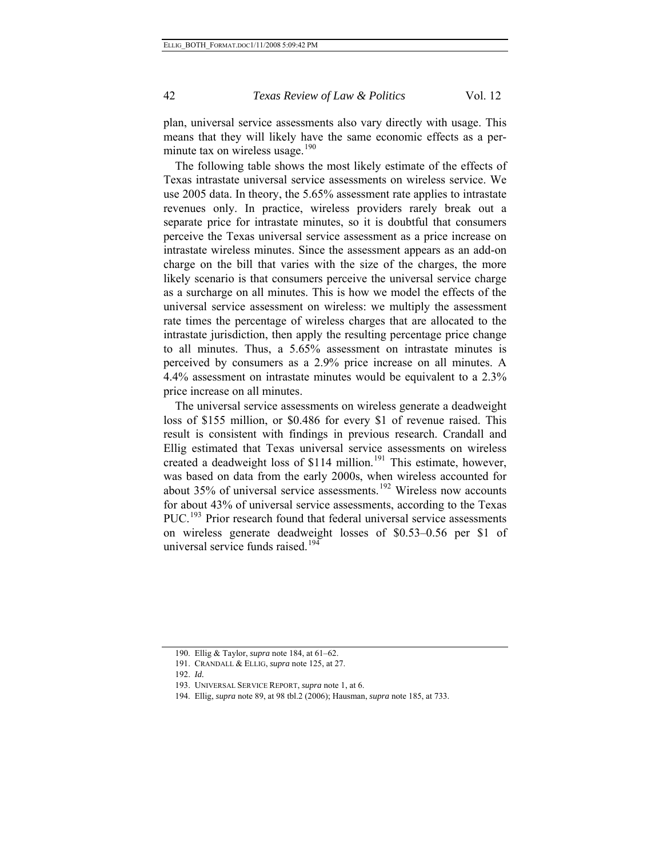plan, universal service assessments also vary directly with usage. This means that they will likely have the same economic effects as a per-minute tax on wireless usage.<sup>[190](#page-41-0)</sup>

The following table shows the most likely estimate of the effects of Texas intrastate universal service assessments on wireless service. We use 2005 data. In theory, the 5.65% assessment rate applies to intrastate revenues only. In practice, wireless providers rarely break out a separate price for intrastate minutes, so it is doubtful that consumers perceive the Texas universal service assessment as a price increase on intrastate wireless minutes. Since the assessment appears as an add-on charge on the bill that varies with the size of the charges, the more likely scenario is that consumers perceive the universal service charge as a surcharge on all minutes. This is how we model the effects of the universal service assessment on wireless: we multiply the assessment rate times the percentage of wireless charges that are allocated to the intrastate jurisdiction, then apply the resulting percentage price change to all minutes. Thus, a 5.65% assessment on intrastate minutes is perceived by consumers as a 2.9% price increase on all minutes. A 4.4% assessment on intrastate minutes would be equivalent to a 2.3% price increase on all minutes.

The universal service assessments on wireless generate a deadweight loss of \$155 million, or \$0.486 for every \$1 of revenue raised. This result is consistent with findings in previous research. Crandall and Ellig estimated that Texas universal service assessments on wireless created a deadweight loss of  $$114$  million.<sup>[191](#page-41-1)</sup> This estimate, however, was based on data from the early 2000s, when wireless accounted for about  $35\%$  of universal service assessments.<sup>[192](#page-41-2)</sup> Wireless now accounts for about 43% of universal service assessments, according to the Texas PUC.<sup>[193](#page-41-3)</sup> Prior research found that federal universal service assessments on wireless generate deadweight losses of \$0.53–0.56 per \$1 of universal service funds raised.<sup>[194](#page-41-4)</sup>

<span id="page-41-4"></span><span id="page-41-3"></span><span id="page-41-2"></span><span id="page-41-1"></span><span id="page-41-0"></span><sup>190.</sup> Ellig & Taylor, *supra* note 184, at 61–62.

<sup>191.</sup> CRANDALL & ELLIG, *supra* note 125, at 27.

<sup>192.</sup> *Id.*

<sup>193.</sup> UNIVERSAL SERVICE REPORT, *supra* note 1, at 6.

<sup>194.</sup> Ellig, *supra* note 89, at 98 tbl.2 (2006); Hausman, *supra* note 185, at 733.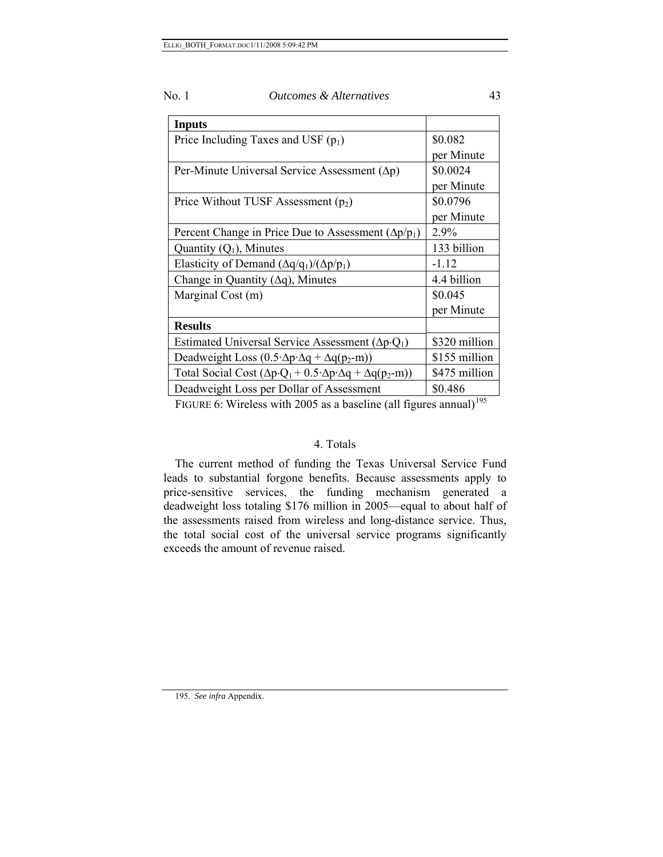| No. 1<br><i>Outcomes &amp; Alternatives</i> |  |
|---------------------------------------------|--|
|---------------------------------------------|--|

| <b>Inputs</b>                                                                                  |               |  |
|------------------------------------------------------------------------------------------------|---------------|--|
| Price Including Taxes and USF $(p_1)$                                                          | \$0.082       |  |
|                                                                                                | per Minute    |  |
| Per-Minute Universal Service Assessment ( $\Delta p$ )                                         | \$0.0024      |  |
|                                                                                                | per Minute    |  |
| Price Without TUSF Assessment $(p_2)$                                                          | \$0.0796      |  |
|                                                                                                | per Minute    |  |
| Percent Change in Price Due to Assessment ( $\Delta p/p_1$ )                                   | 2.9%          |  |
| Quantity $(Q_1)$ , Minutes                                                                     | 133 billion   |  |
| Elasticity of Demand $(\Delta q/q_1)/(\Delta p/p_1)$                                           | $-1.12$       |  |
| Change in Quantity $(\Delta q)$ , Minutes                                                      | 4.4 billion   |  |
| Marginal Cost (m)                                                                              | \$0.045       |  |
|                                                                                                | per Minute    |  |
| <b>Results</b>                                                                                 |               |  |
| Estimated Universal Service Assessment ( $\Delta p \cdot Q_1$ )                                | \$320 million |  |
| Deadweight Loss $(0.5 \Delta p \Delta q + \Delta q(p_2-m))$                                    | \$155 million |  |
| Total Social Cost $(\Delta p \cdot Q_1 + 0.5 \cdot \Delta p \cdot \Delta q + \Delta q(p_2-m))$ | \$475 million |  |
| Deadweight Loss per Dollar of Assessment                                                       | \$0.486       |  |

FIGURE 6: Wireless with 2005 as a baseline (all figures annual)<sup>[195](#page-42-0)</sup>

# 4. Totals

The current method of funding the Texas Universal Service Fund leads to substantial forgone benefits. Because assessments apply to price-sensitive services, the funding mechanism generated a deadweight loss totaling \$176 million in 2005—equal to about half of the assessments raised from wireless and long-distance service. Thus, the total social cost of the universal service programs significantly exceeds the amount of revenue raised.

<span id="page-42-0"></span>195. *See infra* Appendix.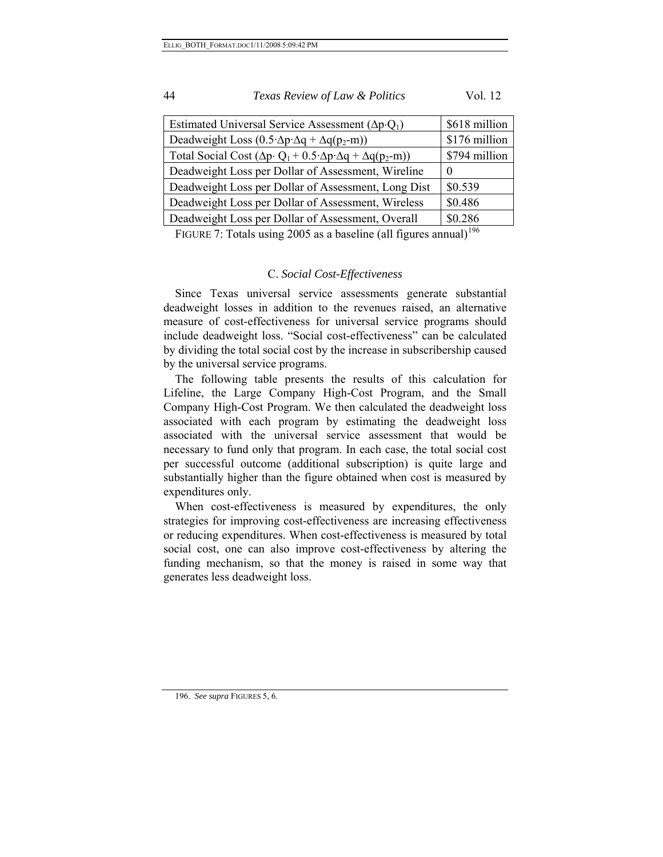| 44<br>Texas Review of Law & Politics | Vol. 12 |
|--------------------------------------|---------|
|--------------------------------------|---------|

| \$176 million |
|---------------|
| \$794 million |
|               |
| \$0.539       |
| \$0.486       |
| \$0.286       |
|               |

FIGURE 7: Totals using 2005 as a baseline (all figures annual)<sup>[196](#page-43-0)</sup>

# C. *Social Cost-Effectiveness*

Since Texas universal service assessments generate substantial deadweight losses in addition to the revenues raised, an alternative measure of cost-effectiveness for universal service programs should include deadweight loss. "Social cost-effectiveness" can be calculated by dividing the total social cost by the increase in subscribership caused by the universal service programs.

The following table presents the results of this calculation for Lifeline, the Large Company High-Cost Program, and the Small Company High-Cost Program. We then calculated the deadweight loss associated with each program by estimating the deadweight loss associated with the universal service assessment that would be necessary to fund only that program. In each case, the total social cost per successful outcome (additional subscription) is quite large and substantially higher than the figure obtained when cost is measured by expenditures only.

When cost-effectiveness is measured by expenditures, the only strategies for improving cost-effectiveness are increasing effectiveness or reducing expenditures. When cost-effectiveness is measured by total social cost, one can also improve cost-effectiveness by altering the funding mechanism, so that the money is raised in some way that generates less deadweight loss.

<span id="page-43-0"></span>196. *See supra* FIGURES 5, 6.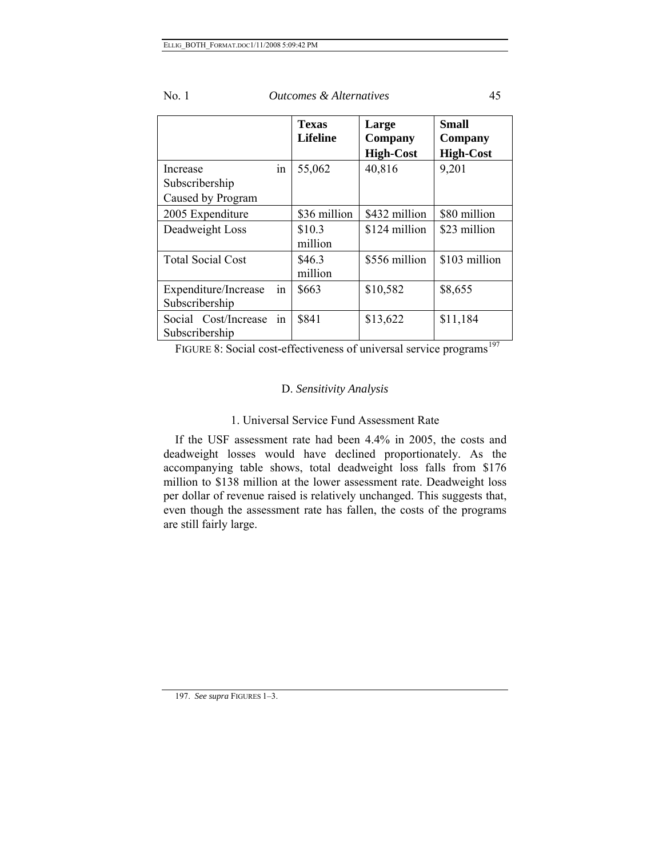|                                                 |     | <b>Texas</b><br><b>Lifeline</b> | Large<br>Company<br><b>High-Cost</b> | Small<br>Company<br><b>High-Cost</b> |
|-------------------------------------------------|-----|---------------------------------|--------------------------------------|--------------------------------------|
| Increase<br>Subscribership<br>Caused by Program | in  | 55,062                          | 40,816                               | 9,201                                |
| 2005 Expenditure                                |     | \$36 million                    | \$432 million                        | \$80 million                         |
| Deadweight Loss                                 |     | \$10.3<br>million               | \$124 million                        | \$23 million                         |
| <b>Total Social Cost</b>                        |     | \$46.3<br>million               | \$556 million                        | \$103 million                        |
| Expenditure/Increase<br>Subscribership          | 1n  | \$663                           | \$10,582                             | \$8,655                              |
| Social Cost/Increase<br>Subscribership          | in. | \$841                           | \$13,622                             | \$11,184                             |

FIGURE 8: Social cost-effectiveness of universal service programs<sup>[197](#page-44-0)</sup>

# D. *Sensitivity Analysis*

# 1. Universal Service Fund Assessment Rate

If the USF assessment rate had been 4.4% in 2005, the costs and deadweight losses would have declined proportionately. As the accompanying table shows, total deadweight loss falls from \$176 million to \$138 million at the lower assessment rate. Deadweight loss per dollar of revenue raised is relatively unchanged. This suggests that, even though the assessment rate has fallen, the costs of the programs are still fairly large.

<span id="page-44-0"></span>197. *See supra* FIGURES 1–3.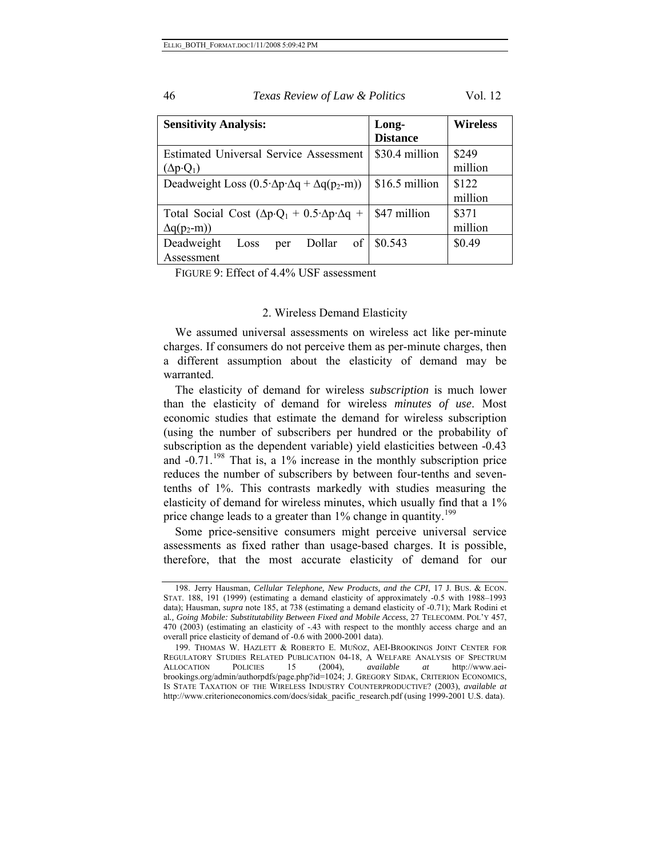| <b>Sensitivity Analysis:</b>                                                                        | Long-<br><b>Distance</b> | <b>Wireless</b>  |
|-----------------------------------------------------------------------------------------------------|--------------------------|------------------|
| <b>Estimated Universal Service Assessment</b><br>$\Delta p \cdot Q_1$                               | \$30.4 million           | \$249<br>million |
| Deadweight Loss $(0.5 \Delta p \Delta q + \Delta q(p_2-m))$                                         | \$16.5 million           | \$122<br>million |
| Total Social Cost $(\Delta p \cdot Q_1 + 0.5 \cdot \Delta p \cdot \Delta q +$<br>$\Delta q(p_2-m))$ | \$47 million             | \$371<br>million |
| Deadweight<br>of<br>Dollar<br>Loss<br>per<br>Assessment                                             | \$0.543                  | \$0.49           |

FIGURE 9: Effect of 4.4% USF assessment

#### 2. Wireless Demand Elasticity

We assumed universal assessments on wireless act like per-minute charges. If consumers do not perceive them as per-minute charges, then a different assumption about the elasticity of demand may be warranted.

The elasticity of demand for wireless *subscription* is much lower than the elasticity of demand for wireless *minutes of use*. Most economic studies that estimate the demand for wireless subscription (using the number of subscribers per hundred or the probability of subscription as the dependent variable) yield elasticities between -0.43 and  $-0.71$ .<sup>[198](#page-45-0)</sup> That is, a 1% increase in the monthly subscription price reduces the number of subscribers by between four-tenths and seventenths of 1%. This contrasts markedly with studies measuring the elasticity of demand for wireless minutes, which usually find that a 1% price change leads to a greater than 1% change in quantity.<sup>[199](#page-45-1)</sup>

Some price-sensitive consumers might perceive universal service assessments as fixed rather than usage-based charges. It is possible, therefore, that the most accurate elasticity of demand for our

46 *Texas Review of Law & Politics* Vol. 12

<span id="page-45-0"></span><sup>198.</sup> Jerry Hausman, *Cellular Telephone, New Products, and the CPI*, 17 J. BUS. & ECON. STAT. 188, 191 (1999) (estimating a demand elasticity of approximately -0.5 with 1988–1993 data); Hausman, *supra* note 185, at 738 (estimating a demand elasticity of -0.71); Mark Rodini et al*., Going Mobile: Substitutability Between Fixed and Mobile Access*, 27 TELECOMM. POL'Y 457, 470 (2003) (estimating an elasticity of -.43 with respect to the monthly access charge and an overall price elasticity of demand of -0.6 with 2000-2001 data).

<span id="page-45-1"></span><sup>199.</sup> THOMAS W. HAZLETT & ROBERTO E. MUÑOZ, AEI-BROOKINGS JOINT CENTER FOR REGULATORY STUDIES RELATED PUBLICATION 04-18, A WELFARE ANALYSIS OF SPECTRUM ALLOCATION POLICIES 15 (2004), *available at* http://www.aeibrookings.org/admin/authorpdfs/page.php?id=1024; J. GREGORY SIDAK, CRITERION ECONOMICS, IS STATE TAXATION OF THE WIRELESS INDUSTRY COUNTERPRODUCTIVE? (2003), *available at* http://www.criterioneconomics.com/docs/sidak\_pacific\_research.pdf (using 1999-2001 U.S. data).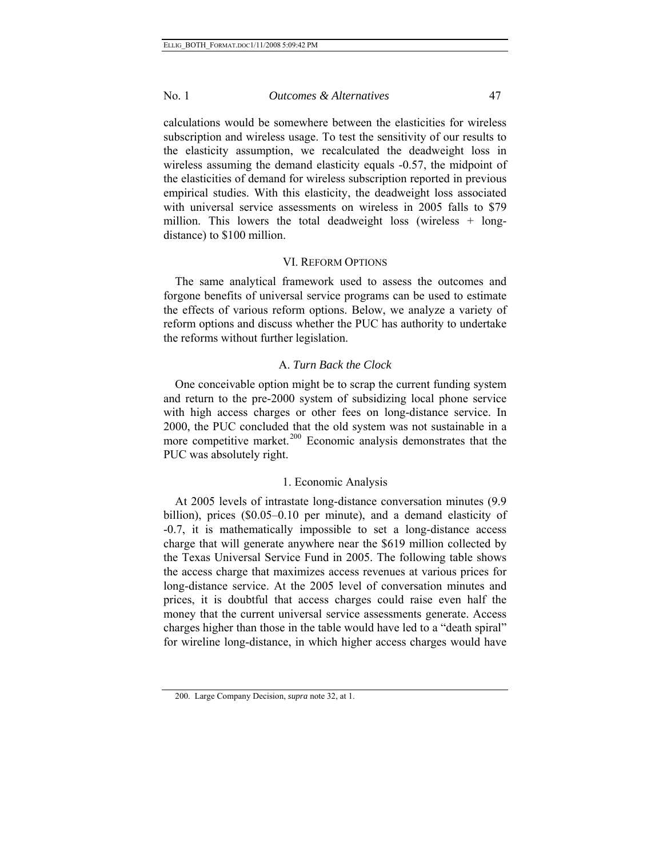calculations would be somewhere between the elasticities for wireless subscription and wireless usage. To test the sensitivity of our results to the elasticity assumption, we recalculated the deadweight loss in wireless assuming the demand elasticity equals -0.57, the midpoint of the elasticities of demand for wireless subscription reported in previous empirical studies. With this elasticity, the deadweight loss associated with universal service assessments on wireless in 2005 falls to \$79 million. This lowers the total deadweight loss (wireless + longdistance) to \$100 million.

### VI. REFORM OPTIONS

The same analytical framework used to assess the outcomes and forgone benefits of universal service programs can be used to estimate the effects of various reform options. Below, we analyze a variety of reform options and discuss whether the PUC has authority to undertake the reforms without further legislation.

#### A. *Turn Back the Clock*

One conceivable option might be to scrap the current funding system and return to the pre-2000 system of subsidizing local phone service with high access charges or other fees on long-distance service. In 2000, the PUC concluded that the old system was not sustainable in a more competitive market.<sup>[200](#page-46-0)</sup> Economic analysis demonstrates that the PUC was absolutely right.

#### 1. Economic Analysis

At 2005 levels of intrastate long-distance conversation minutes (9.9 billion), prices (\$0.05–0.10 per minute), and a demand elasticity of -0.7, it is mathematically impossible to set a long-distance access charge that will generate anywhere near the \$619 million collected by the Texas Universal Service Fund in 2005. The following table shows the access charge that maximizes access revenues at various prices for long-distance service. At the 2005 level of conversation minutes and prices, it is doubtful that access charges could raise even half the money that the current universal service assessments generate. Access charges higher than those in the table would have led to a "death spiral" for wireline long-distance, in which higher access charges would have

<span id="page-46-0"></span><sup>200.</sup> Large Company Decision, *supra* note 32, at 1.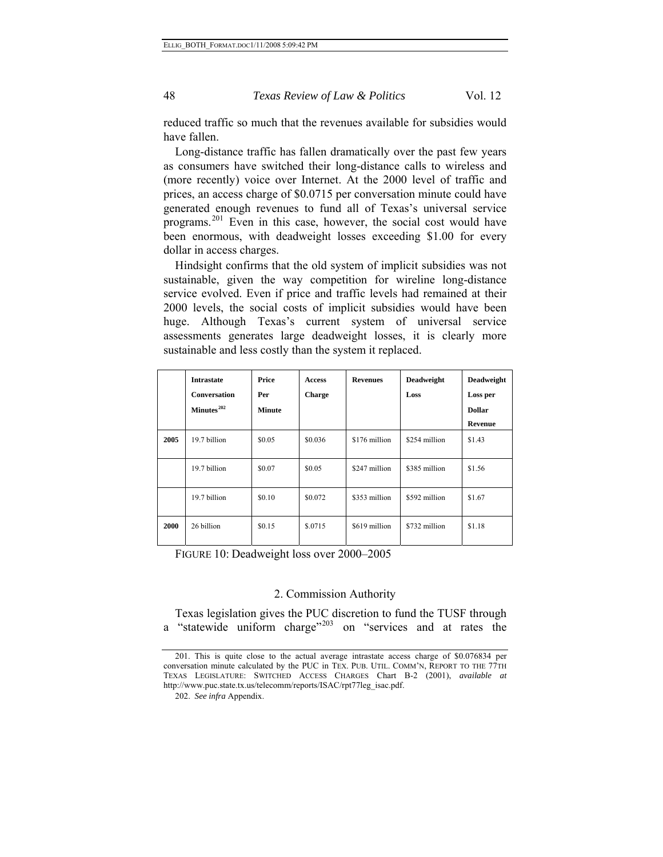reduced traffic so much that the revenues available for subsidies would have fallen.

Long-distance traffic has fallen dramatically over the past few years as consumers have switched their long-distance calls to wireless and (more recently) voice over Internet. At the 2000 level of traffic and prices, an access charge of \$0.0715 per conversation minute could have generated enough revenues to fund all of Texas's universal service programs.[201](#page-47-0) Even in this case, however, the social cost would have been enormous, with deadweight losses exceeding \$1.00 for every dollar in access charges.

Hindsight confirms that the old system of implicit subsidies was not sustainable, given the way competition for wireline long-distance service evolved. Even if price and traffic levels had remained at their 2000 levels, the social costs of implicit subsidies would have been huge. Although Texas's current system of universal service assessments generates large deadweight losses, it is clearly more sustainable and less costly than the system it replaced.

|      | <b>Intrastate</b><br><b>Conversation</b><br>Minutes <sup>202</sup> | Price<br>Per<br><b>Minute</b> | <b>Access</b><br><b>Charge</b> | <b>Revenues</b> | <b>Deadweight</b><br>Loss | <b>Deadweight</b><br>Loss per<br><b>Dollar</b> |
|------|--------------------------------------------------------------------|-------------------------------|--------------------------------|-----------------|---------------------------|------------------------------------------------|
|      |                                                                    |                               |                                |                 |                           | Revenue                                        |
| 2005 | 19.7 billion                                                       | \$0.05                        | \$0.036                        | \$176 million   | \$254 million             | \$1.43                                         |
|      | 19.7 billion                                                       | \$0.07                        | \$0.05                         | \$247 million   | \$385 million             | \$1.56                                         |
|      | 19.7 billion                                                       | \$0.10                        | \$0.072                        | \$353 million   | \$592 million             | \$1.67                                         |
| 2000 | 26 billion                                                         | \$0.15                        | \$.0715                        | \$619 million   | \$732 million             | \$1.18                                         |

FIGURE 10: Deadweight loss over 2000–2005

#### 2. Commission Authority

<span id="page-47-2"></span>Texas legislation gives the PUC discretion to fund the TUSF through a "statewide uniform charge"<sup>[203](#page-47-2)</sup> on "services and at rates the

<span id="page-47-1"></span><span id="page-47-0"></span><sup>201.</sup> This is quite close to the actual average intrastate access charge of \$0.076834 per conversation minute calculated by the PUC in TEX. PUB. UTIL. COMM'N, REPORT TO THE 77TH TEXAS LEGISLATURE: SWITCHED ACCESS CHARGES Chart B-2 (2001), *available at*  http://www.puc.state.tx.us/telecomm/reports/ISAC/rpt77leg\_isac.pdf.

<sup>202.</sup> *See infra* Appendix.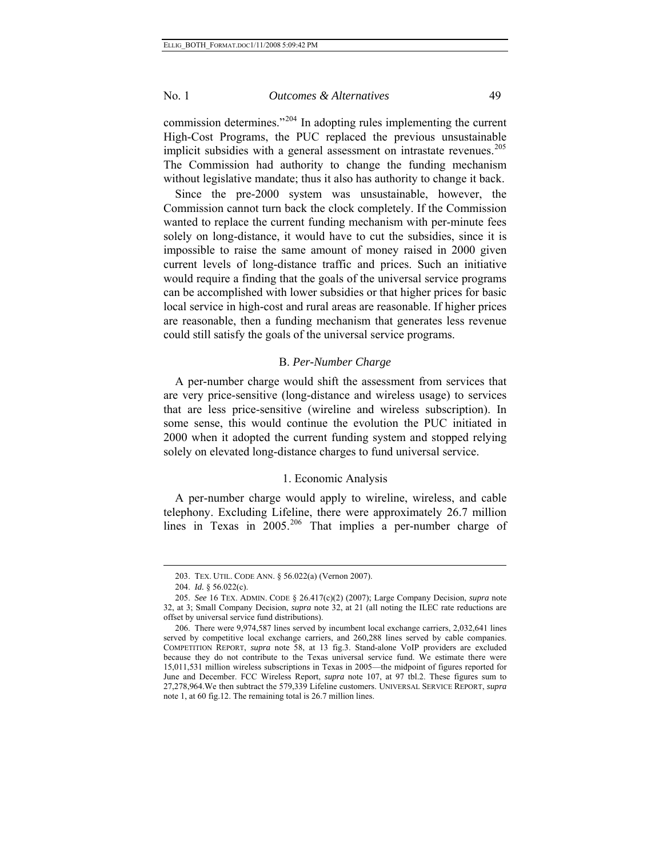commission determines."[204](#page-48-0) In adopting rules implementing the current High-Cost Programs, the PUC replaced the previous unsustainable implicit subsidies with a general assessment on intrastate revenues.<sup>[205](#page-48-1)</sup> The Commission had authority to change the funding mechanism without legislative mandate; thus it also has authority to change it back.

Since the pre-2000 system was unsustainable, however, the Commission cannot turn back the clock completely. If the Commission wanted to replace the current funding mechanism with per-minute fees solely on long-distance, it would have to cut the subsidies, since it is impossible to raise the same amount of money raised in 2000 given current levels of long-distance traffic and prices. Such an initiative would require a finding that the goals of the universal service programs can be accomplished with lower subsidies or that higher prices for basic local service in high-cost and rural areas are reasonable. If higher prices are reasonable, then a funding mechanism that generates less revenue could still satisfy the goals of the universal service programs.

### B. *Per-Number Charge*

A per-number charge would shift the assessment from services that are very price-sensitive (long-distance and wireless usage) to services that are less price-sensitive (wireline and wireless subscription). In some sense, this would continue the evolution the PUC initiated in 2000 when it adopted the current funding system and stopped relying solely on elevated long-distance charges to fund universal service.

#### 1. Economic Analysis

A per-number charge would apply to wireline, wireless, and cable telephony. Excluding Lifeline, there were approximately 26.7 million lines in Texas in  $2005.<sup>206</sup>$  $2005.<sup>206</sup>$  $2005.<sup>206</sup>$  That implies a per-number charge of

l

<sup>203.</sup> TEX. UTIL. CODE ANN. § 56.022(a) (Vernon 2007).

<sup>204.</sup> *Id.* § 56.022(c).

<span id="page-48-1"></span><span id="page-48-0"></span><sup>205.</sup> *See* 16 TEX. ADMIN. CODE § 26.417(c)(2) (2007); Large Company Decision, *supra* note 32, at 3; Small Company Decision, *supra* note 32, at 21 (all noting the ILEC rate reductions are offset by universal service fund distributions).

<span id="page-48-2"></span><sup>206.</sup> There were 9,974,587 lines served by incumbent local exchange carriers, 2,032,641 lines served by competitive local exchange carriers, and 260,288 lines served by cable companies. COMPETITION REPORT, *supra* note 58, at 13 fig.3. Stand-alone VoIP providers are excluded because they do not contribute to the Texas universal service fund. We estimate there were 15,011,531 million wireless subscriptions in Texas in 2005—the midpoint of figures reported for June and December. FCC Wireless Report, *supra* note 107, at 97 tbl.2. These figures sum to 27,278,964.We then subtract the 579,339 Lifeline customers. UNIVERSAL SERVICE REPORT, *supra* note 1, at 60 fig.12. The remaining total is 26.7 million lines.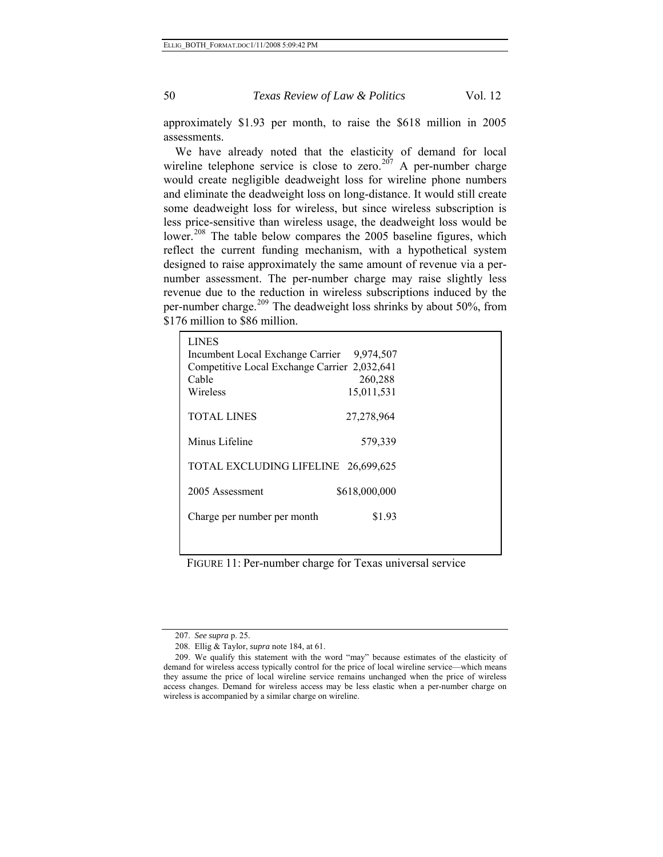approximately \$1.93 per month, to raise the \$618 million in 2005 assessments.

We have already noted that the elasticity of demand for local wireline telephone service is close to zero.<sup>[207](#page-49-0)</sup> A per-number charge would create negligible deadweight loss for wireline phone numbers and eliminate the deadweight loss on long-distance. It would still create some deadweight loss for wireless, but since wireless subscription is less price-sensitive than wireless usage, the deadweight loss would be lower.<sup>[208](#page-49-1)</sup> The table below compares the 2005 baseline figures, which reflect the current funding mechanism, with a hypothetical system designed to raise approximately the same amount of revenue via a pernumber assessment. The per-number charge may raise slightly less revenue due to the reduction in wireless subscriptions induced by the per-number charge.<sup>[209](#page-49-2)</sup> The deadweight loss shrinks by about 50%, from \$176 million to \$86 million.

| <b>LINES</b><br>Incumbent Local Exchange Carrier<br>Competitive Local Exchange Carrier 2,032,641<br>Cable<br>Wireless | 9,974,507<br>260,288<br>15,011,531 |  |
|-----------------------------------------------------------------------------------------------------------------------|------------------------------------|--|
| <b>TOTAL LINES</b>                                                                                                    | 27,278,964                         |  |
| Minus Lifeline                                                                                                        | 579,339                            |  |
| TOTAL EXCLUDING LIFELINE 26,699,625                                                                                   |                                    |  |
| 2005 Assessment                                                                                                       | \$618,000,000                      |  |
| Charge per number per month                                                                                           | \$1.93                             |  |
|                                                                                                                       |                                    |  |

FIGURE 11: Per-number charge for Texas universal service

<sup>207.</sup> *See supra* p. 25.

<sup>208.</sup> Ellig & Taylor, *supra* note 184, at 61.

<span id="page-49-2"></span><span id="page-49-1"></span><span id="page-49-0"></span><sup>209.</sup> We qualify this statement with the word "may" because estimates of the elasticity of demand for wireless access typically control for the price of local wireline service—which means they assume the price of local wireline service remains unchanged when the price of wireless access changes. Demand for wireless access may be less elastic when a per-number charge on wireless is accompanied by a similar charge on wireline.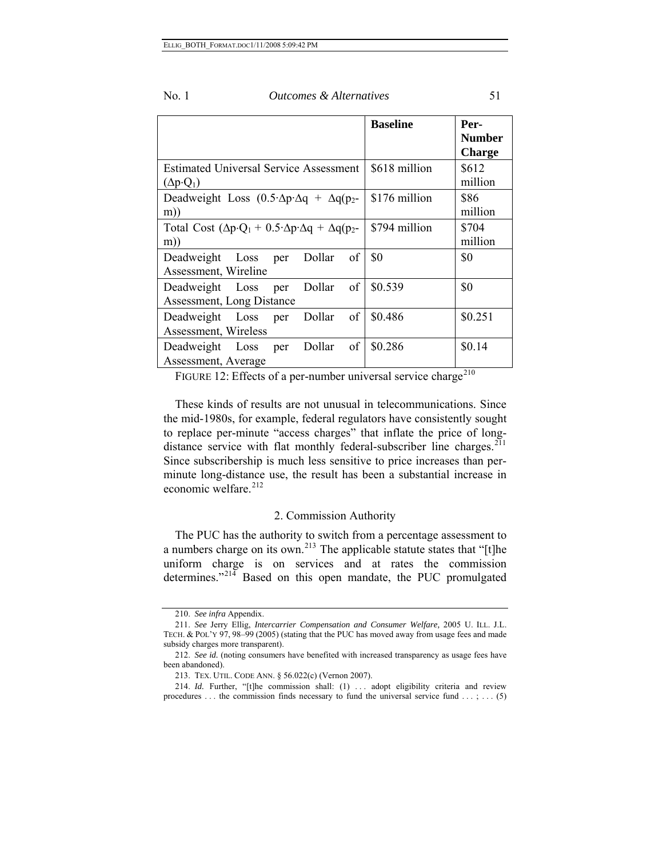|                                                                                             | <b>Baseline</b> | Per-<br><b>Number</b><br><b>Charge</b> |
|---------------------------------------------------------------------------------------------|-----------------|----------------------------------------|
| <b>Estimated Universal Service Assessment</b><br>$(\Delta p \cdot Q_1)$                     | \$618 million   | \$612<br>million                       |
| Deadweight Loss $(0.5 \Delta p \Delta q + \Delta q(p_2$<br>m)                               | \$176 million   | \$86<br>million                        |
| Total Cost $(\Delta p \cdot Q_1 + 0.5 \cdot \Delta p \cdot \Delta q + \Delta q(p_2 -$<br>m) | \$794 million   | \$704<br>million                       |
| of<br>Dollar<br>Deadweight Loss<br>per<br>Assessment, Wireline                              | \$0             | \$0                                    |
| of<br>Deadweight Loss<br>Dollar<br>per<br>Assessment, Long Distance                         | \$0.539         | \$0                                    |
| of<br>Deadweight<br>Dollar<br>Loss<br>per<br>Assessment, Wireless                           | \$0.486         | \$0.251                                |
| of<br>Dollar<br>Deadweight Loss<br>per<br>Assessment, Average                               | \$0.286         | \$0.14                                 |

FIGURE 12: Effects of a per-number universal service charge<sup>[210](#page-50-0)</sup>

These kinds of results are not unusual in telecommunications. Since the mid-1980s, for example, federal regulators have consistently sought to replace per-minute "access charges" that inflate the price of longdistance service with flat monthly federal-subscriber line charges. $211$ Since subscribership is much less sensitive to price increases than perminute long-distance use, the result has been a substantial increase in economic welfare. $212$ 

# 2. Commission Authority

The PUC has the authority to switch from a percentage assessment to a numbers charge on its own.<sup>[213](#page-50-3)</sup> The applicable statute states that "[t]he uniform charge is on services and at rates the commission determines."<sup>[214](#page-50-4)</sup> Based on this open mandate, the PUC promulgated

<sup>210.</sup> *See infra* Appendix.

<span id="page-50-1"></span><span id="page-50-0"></span><sup>211.</sup> *See* Jerry Ellig, *Intercarrier Compensation and Consumer Welfare,* 2005 U. ILL. J.L. TECH. & POL'Y 97, 98–99 (2005) (stating that the PUC has moved away from usage fees and made subsidy charges more transparent).

<span id="page-50-2"></span><sup>212.</sup> *See id.* (noting consumers have benefited with increased transparency as usage fees have been abandoned).

<sup>213.</sup> TEX. UTIL. CODE ANN. § 56.022(c) (Vernon 2007).

<span id="page-50-4"></span><span id="page-50-3"></span><sup>214.</sup> *Id.* Further, "[t]he commission shall: (1) ... adopt eligibility criteria and review procedures ... the commission finds necessary to fund the universal service fund  $\dots$ ; ... (5)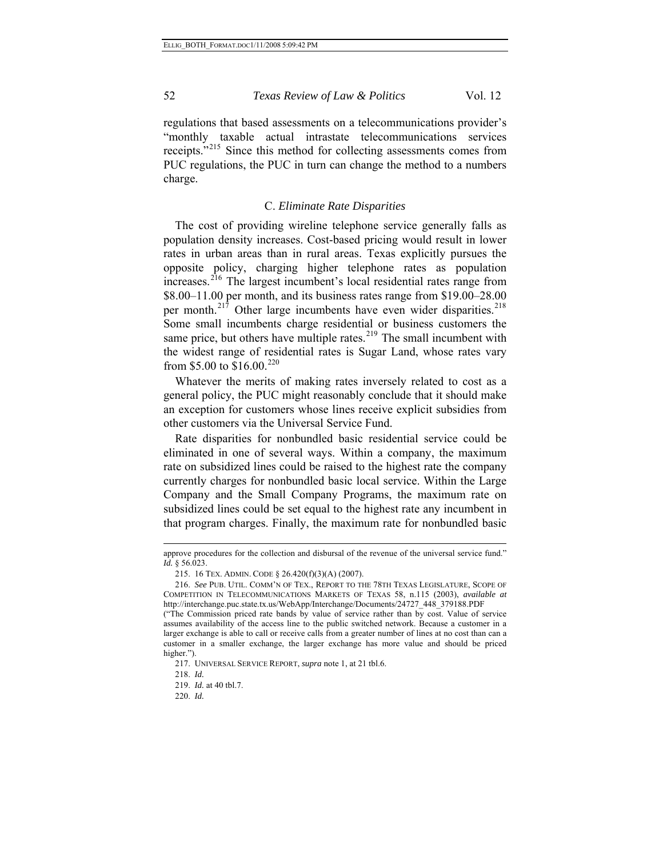regulations that based assessments on a telecommunications provider's "monthly taxable actual intrastate telecommunications services receipts."<sup>[215](#page-51-0)</sup> Since this method for collecting assessments comes from PUC regulations, the PUC in turn can change the method to a numbers charge.

#### C. *Eliminate Rate Disparities*

The cost of providing wireline telephone service generally falls as population density increases. Cost-based pricing would result in lower rates in urban areas than in rural areas. Texas explicitly pursues the opposite policy, charging higher telephone rates as population increases.<sup>[216](#page-51-1)</sup> The largest incumbent's local residential rates range from \$8.00–11.00 per month, and its business rates range from \$19.00–28.00 per month. $21\overline{7}$  Other large incumbents have even wider disparities. $218$ Some small incumbents charge residential or business customers the same price, but others have multiple rates. $219$  The small incumbent with the widest range of residential rates is Sugar Land, whose rates vary from \$5.00 to \$16.00.<sup>[220](#page-51-5)</sup>

Whatever the merits of making rates inversely related to cost as a general policy, the PUC might reasonably conclude that it should make an exception for customers whose lines receive explicit subsidies from other customers via the Universal Service Fund.

Rate disparities for nonbundled basic residential service could be eliminated in one of several ways. Within a company, the maximum rate on subsidized lines could be raised to the highest rate the company currently charges for nonbundled basic local service. Within the Large Company and the Small Company Programs, the maximum rate on subsidized lines could be set equal to the highest rate any incumbent in that program charges. Finally, the maximum rate for nonbundled basic

l

approve procedures for the collection and disbursal of the revenue of the universal service fund." *Id.* § 56.023.

<sup>215. 16</sup> TEX. ADMIN. CODE § 26.420(f)(3)(A) (2007).

<span id="page-51-1"></span><span id="page-51-0"></span><sup>216.</sup> *See* PUB. UTIL. COMM'N OF TEX., REPORT TO THE 78TH TEXAS LEGISLATURE, SCOPE OF COMPETITION IN TELECOMMUNICATIONS MARKETS OF TEXAS 58, n.115 (2003), *available at* http://interchange.puc.state.tx.us/WebApp/Interchange/Documents/24727\_448\_379188.PDF

<span id="page-51-3"></span><span id="page-51-2"></span><sup>(&</sup>quot;The Commission priced rate bands by value of service rather than by cost. Value of service assumes availability of the access line to the public switched network. Because a customer in a larger exchange is able to call or receive calls from a greater number of lines at no cost than can a customer in a smaller exchange, the larger exchange has more value and should be priced higher.").

<sup>217.</sup> UNIVERSAL SERVICE REPORT, *supra* note 1, at 21 tbl.6.

<span id="page-51-4"></span><sup>218.</sup> *Id.*

<sup>219.</sup> *Id.* at 40 tbl.7.

<span id="page-51-5"></span><sup>220.</sup> *Id.*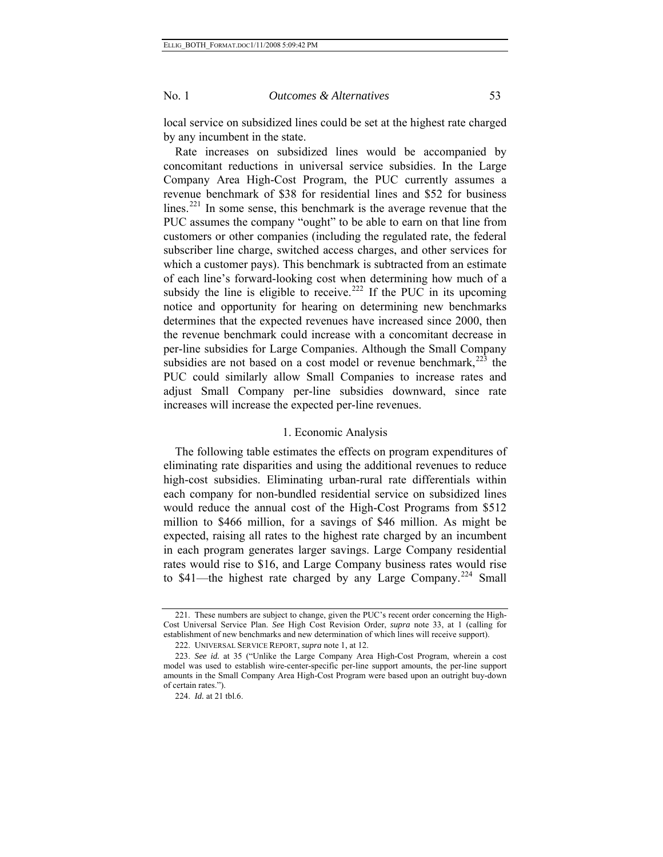local service on subsidized lines could be set at the highest rate charged by any incumbent in the state.

Rate increases on subsidized lines would be accompanied by concomitant reductions in universal service subsidies. In the Large Company Area High-Cost Program, the PUC currently assumes a revenue benchmark of \$38 for residential lines and \$52 for business lines.<sup>[221](#page-52-0)</sup> In some sense, this benchmark is the average revenue that the PUC assumes the company "ought" to be able to earn on that line from customers or other companies (including the regulated rate, the federal subscriber line charge, switched access charges, and other services for which a customer pays). This benchmark is subtracted from an estimate of each line's forward-looking cost when determining how much of a subsidy the line is eligible to receive.<sup>[222](#page-52-1)</sup> If the PUC in its upcoming notice and opportunity for hearing on determining new benchmarks determines that the expected revenues have increased since 2000, then the revenue benchmark could increase with a concomitant decrease in per-line subsidies for Large Companies. Although the Small Company subsidies are not based on a cost model or revenue benchmark, $^{223}$  $^{223}$  $^{223}$  the PUC could similarly allow Small Companies to increase rates and adjust Small Company per-line subsidies downward, since rate increases will increase the expected per-line revenues.

#### 1. Economic Analysis

The following table estimates the effects on program expenditures of eliminating rate disparities and using the additional revenues to reduce high-cost subsidies. Eliminating urban-rural rate differentials within each company for non-bundled residential service on subsidized lines would reduce the annual cost of the High-Cost Programs from \$512 million to \$466 million, for a savings of \$46 million. As might be expected, raising all rates to the highest rate charged by an incumbent in each program generates larger savings. Large Company residential rates would rise to \$16, and Large Company business rates would rise to \$41—the highest rate charged by any Large Company.<sup>[224](#page-52-3)</sup> Small

<span id="page-52-0"></span><sup>221.</sup> These numbers are subject to change, given the PUC's recent order concerning the High-Cost Universal Service Plan. *See* High Cost Revision Order, *supra* note 33, at 1 (calling for establishment of new benchmarks and new determination of which lines will receive support).

<sup>222.</sup> UNIVERSAL SERVICE REPORT, *supra* note 1, at 12.

<span id="page-52-3"></span><span id="page-52-2"></span><span id="page-52-1"></span><sup>223.</sup> *See id.* at 35 ("Unlike the Large Company Area High-Cost Program, wherein a cost model was used to establish wire-center-specific per-line support amounts, the per-line support amounts in the Small Company Area High-Cost Program were based upon an outright buy-down of certain rates.").

<sup>224.</sup> *Id.* at 21 tbl.6.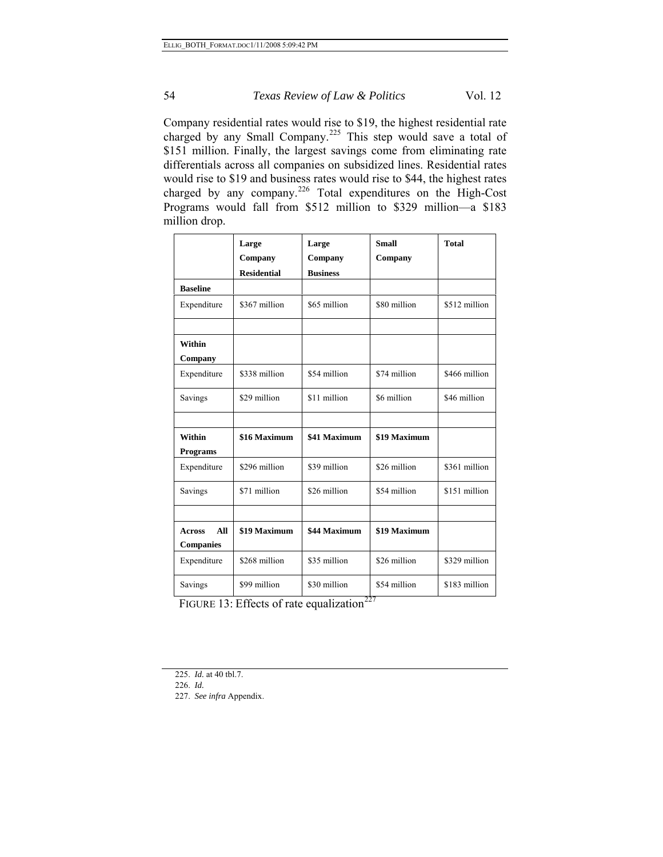Company residential rates would rise to \$19, the highest residential rate charged by any Small Company.<sup>[225](#page-53-0)</sup> This step would save a total of \$151 million. Finally, the largest savings come from eliminating rate differentials across all companies on subsidized lines. Residential rates would rise to \$19 and business rates would rise to \$44, the highest rates charged by any company.[226](#page-53-1) Total expenditures on the High-Cost Programs would fall from \$512 million to \$329 million—a \$183 million drop.

|                                          | Large<br>Company   | Large<br>Company | <b>Small</b><br>Company | <b>Total</b>  |
|------------------------------------------|--------------------|------------------|-------------------------|---------------|
|                                          | <b>Residential</b> | <b>Business</b>  |                         |               |
| <b>Baseline</b>                          |                    |                  |                         |               |
| Expenditure                              | \$367 million      | \$65 million     | \$80 million            | \$512 million |
|                                          |                    |                  |                         |               |
| Within<br>Company                        |                    |                  |                         |               |
| Expenditure                              | \$338 million      | \$54 million     | \$74 million            | \$466 million |
| Savings                                  | \$29 million       | \$11 million     | \$6 million             | \$46 million  |
|                                          |                    |                  |                         |               |
| Within                                   | \$16 Maximum       | \$41 Maximum     | \$19 Maximum            |               |
| <b>Programs</b>                          |                    |                  |                         |               |
| Expenditure                              | \$296 million      | \$39 million     | \$26 million            | \$361 million |
| Savings                                  | \$71 million       | \$26 million     | \$54 million            | \$151 million |
|                                          |                    |                  |                         |               |
| All<br><b>Across</b><br><b>Companies</b> | \$19 Maximum       | \$44 Maximum     | \$19 Maximum            |               |
| Expenditure                              | \$268 million      | \$35 million     | \$26 million            | \$329 million |
| Savings                                  | \$99 million       | \$30 million     | \$54 million            | \$183 million |

FIGURE 13: Effects of rate equalization<sup>[227](#page-53-2)</sup>

<span id="page-53-2"></span><span id="page-53-1"></span><span id="page-53-0"></span>226. *Id.* 

<sup>225.</sup> *Id.* at 40 tbl.7.

<sup>227.</sup> *See infra* Appendix.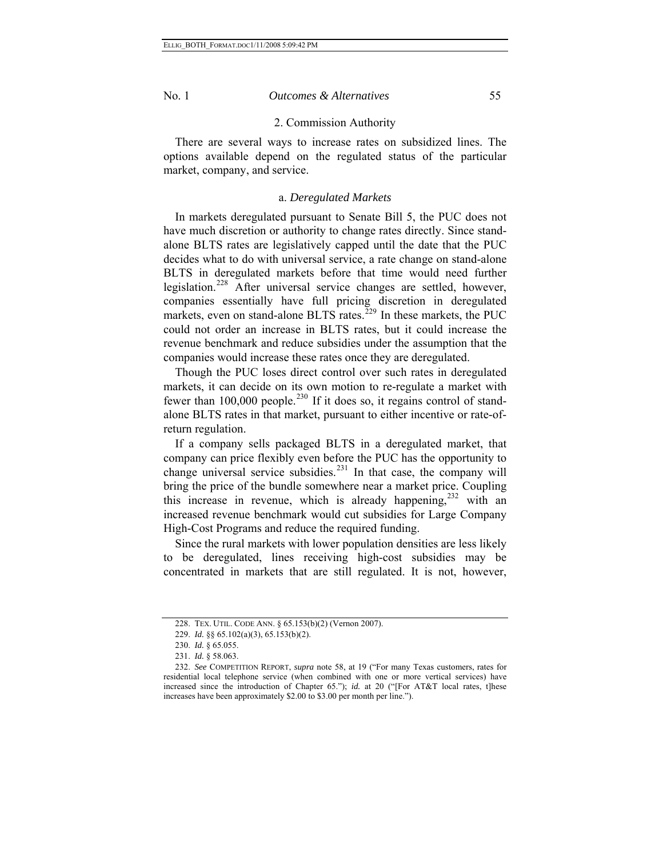### 2. Commission Authority

There are several ways to increase rates on subsidized lines. The options available depend on the regulated status of the particular market, company, and service.

#### a. *Deregulated Markets*

In markets deregulated pursuant to Senate Bill 5, the PUC does not have much discretion or authority to change rates directly. Since standalone BLTS rates are legislatively capped until the date that the PUC decides what to do with universal service, a rate change on stand-alone BLTS in deregulated markets before that time would need further legislation.<sup>[228](#page-54-0)</sup> After universal service changes are settled, however, companies essentially have full pricing discretion in deregulated markets, even on stand-alone BLTS rates.<sup>[229](#page-54-1)</sup> In these markets, the PUC could not order an increase in BLTS rates, but it could increase the revenue benchmark and reduce subsidies under the assumption that the companies would increase these rates once they are deregulated.

Though the PUC loses direct control over such rates in deregulated markets, it can decide on its own motion to re-regulate a market with fewer than 100,000 people.<sup>[230](#page-54-2)</sup> If it does so, it regains control of standalone BLTS rates in that market, pursuant to either incentive or rate-ofreturn regulation.

If a company sells packaged BLTS in a deregulated market, that company can price flexibly even before the PUC has the opportunity to change universal service subsidies. $231$  In that case, the company will bring the price of the bundle somewhere near a market price. Coupling this increase in revenue, which is already happening, $232$  with an increased revenue benchmark would cut subsidies for Large Company High-Cost Programs and reduce the required funding.

Since the rural markets with lower population densities are less likely to be deregulated, lines receiving high-cost subsidies may be concentrated in markets that are still regulated. It is not, however,

<sup>228.</sup> TEX. UTIL. CODE ANN. § 65.153(b)(2) (Vernon 2007).

<sup>229.</sup> *Id.* §§ 65.102(a)(3), 65.153(b)(2).

<sup>230.</sup> *Id.* § 65.055.

<sup>231.</sup> *Id.* § 58.063.

<span id="page-54-4"></span><span id="page-54-3"></span><span id="page-54-2"></span><span id="page-54-1"></span><span id="page-54-0"></span><sup>232.</sup> *See* COMPETITION REPORT, *supra* note 58, at 19 ("For many Texas customers, rates for residential local telephone service (when combined with one or more vertical services) have increased since the introduction of Chapter 65."); *id.* at 20 ("[For AT&T local rates, t]hese increases have been approximately \$2.00 to \$3.00 per month per line.").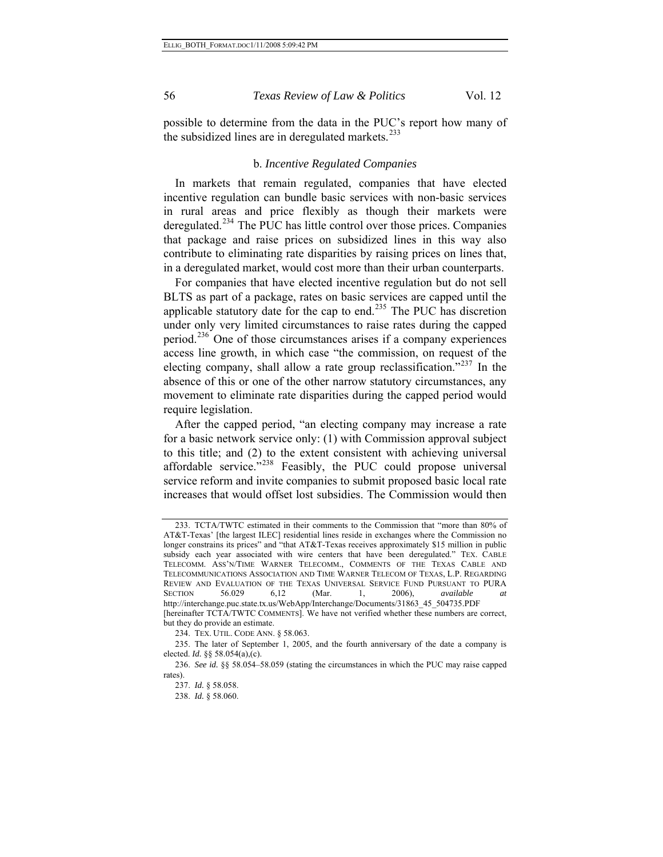possible to determine from the data in the PUC's report how many of the subsidized lines are in deregulated markets.<sup>[233](#page-55-0)</sup>

#### b. *Incentive Regulated Companies*

In markets that remain regulated, companies that have elected incentive regulation can bundle basic services with non-basic services in rural areas and price flexibly as though their markets were deregulated.<sup>[234](#page-55-1)</sup> The PUC has little control over those prices. Companies that package and raise prices on subsidized lines in this way also contribute to eliminating rate disparities by raising prices on lines that, in a deregulated market, would cost more than their urban counterparts.

For companies that have elected incentive regulation but do not sell BLTS as part of a package, rates on basic services are capped until the applicable statutory date for the cap to end.<sup>[235](#page-55-2)</sup> The PUC has discretion under only very limited circumstances to raise rates during the capped period.[236](#page-55-3) One of those circumstances arises if a company experiences access line growth, in which case "the commission, on request of the electing company, shall allow a rate group reclassification."<sup>[237](#page-55-4)</sup> In the absence of this or one of the other narrow statutory circumstances, any movement to eliminate rate disparities during the capped period would require legislation.

After the capped period, "an electing company may increase a rate for a basic network service only: (1) with Commission approval subject to this title; and (2) to the extent consistent with achieving universal affordable service."<sup>[238](#page-55-5)</sup> Feasibly, the PUC could propose universal service reform and invite companies to submit proposed basic local rate increases that would offset lost subsidies. The Commission would then

<span id="page-55-0"></span><sup>233.</sup> TCTA/TWTC estimated in their comments to the Commission that "more than 80% of AT&T-Texas' [the largest ILEC] residential lines reside in exchanges where the Commission no longer constrains its prices" and "that AT&T-Texas receives approximately \$15 million in public subsidy each year associated with wire centers that have been deregulated." TEX. CABLE TELECOMM. ASS'N/TIME WARNER TELECOMM., COMMENTS OF THE TEXAS CABLE AND TELECOMMUNICATIONS ASSOCIATION AND TIME WARNER TELECOM OF TEXAS, L.P. REGARDING REVIEW AND EVALUATION OF THE TEXAS UNIVERSAL SERVICE FUND PURSUANT TO PURA<br>SECTION 56.029 6,12 (Mar. 1, 2006), available at SECTION 56.029 6,12 (Mar. 1, 2006), *available at*  http://interchange.puc.state.tx.us/WebApp/Interchange/Documents/31863\_45\_504735.PDF [hereinafter TCTA/TWTC COMMENTS]. We have not verified whether these numbers are correct, but they do provide an estimate.

<sup>234.</sup> TEX. UTIL. CODE ANN. § 58.063.

<span id="page-55-2"></span><span id="page-55-1"></span><sup>235.</sup> The later of September 1, 2005, and the fourth anniversary of the date a company is elected. *Id.* §§ 58.054(a),(c).

<span id="page-55-5"></span><span id="page-55-4"></span><span id="page-55-3"></span><sup>236.</sup> *See id.* §§ 58.054–58.059 (stating the circumstances in which the PUC may raise capped rates).

<sup>237.</sup> *Id.* § 58.058.

<sup>238.</sup> *Id.* § 58.060.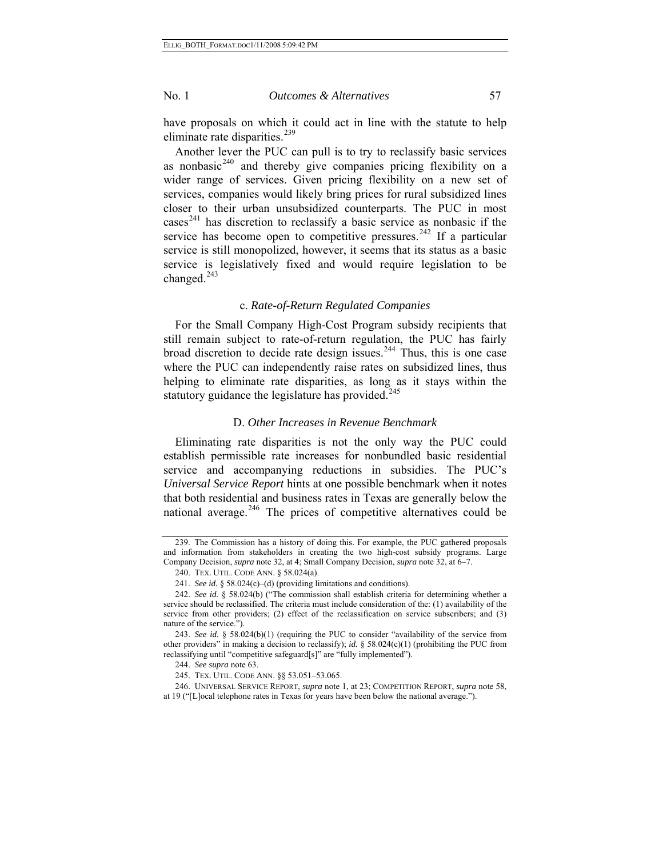have proposals on which it could act in line with the statute to help eliminate rate disparities.<sup>[239](#page-56-0)</sup>

service is legislatively fixed and would require legislation to be changed. 243 Another lever the PUC can pull is to try to reclassify basic services as nonbasic $240$  and thereby give companies pricing flexibility on a wider range of services. Given pricing flexibility on a new set of services, companies would likely bring prices for rural subsidized lines closer to their urban unsubsidized counterparts. The PUC in most cases<sup>[241](#page-56-2)</sup> has discretion to reclassify a basic service as nonbasic if the service has become open to competitive pressures.<sup>[242](#page-56-3)</sup> If a particular service is still monopolized, however, it seems that its status as a basic

#### c. *Rate-of-Return Regulated Companies*

helping to eliminate rate disparities, as long as it stays within the statutory guidance the legislature has provided. $245$ For the Small Company High-Cost Program subsidy recipients that still remain subject to rate-of-return regulation, the PUC has fairly broad discretion to decide rate design issues. $244$  Thus, this is one case where the PUC can independently raise rates on subsidized lines, thus

# D. *Other Increases in Revenue Benchmark*

Eliminating rate disparities is not the only way the PUC could establish permissible rate increases for nonbundled basic residential service and accompanying reductions in subsidies. The PUC's *Universal Service Report* hints at one possible benchmark when it notes that both residential and business rates in Texas are generally below the national average. $246$  The prices of competitive alternatives could be

<span id="page-56-0"></span><sup>239.</sup> The Commission has a history of doing this. For example, the PUC gathered proposals and information from stakeholders in creating the two high-cost subsidy programs. Large Company Decision, *supra* note 32, at 4; Small Company Decision, *supra* note 32, at 6–7.

<sup>240.</sup> TEX. UTIL. CODE ANN. § 58.024(a).

<sup>241.</sup> *See id.* § 58.024(c)–(d) (providing limitations and conditions).

<span id="page-56-3"></span><span id="page-56-2"></span><span id="page-56-1"></span><sup>242.</sup> *See id.* § 58.024(b) ("The commission shall establish criteria for determining whether a service should be reclassified. The criteria must include consideration of the: (1) availability of the service from other providers; (2) effect of the reclassification on service subscribers; and (3) nature of the service.").

<sup>243.</sup> *See id.* § 58.024(b)(1) (requiring the PUC to consider "availability of the service from other providers" in making a decision to reclassify); *id.* § 58.024(c)(1) (prohibiting the PUC from reclassifying until "competitive safeguard[s]" are "fully implemented").

<sup>244.</sup> *See supra* note 63.

<sup>245.</sup> TEX. UTIL. CODE ANN. §§ 53.051–53.065.

<span id="page-56-5"></span><span id="page-56-4"></span><sup>246.</sup> UNIVERSAL SERVICE REPORT, *supra* note 1, at 23; COMPETITION REPORT, *supra* note 58, at 19 ("[L]ocal telephone rates in Texas for years have been below the national average.").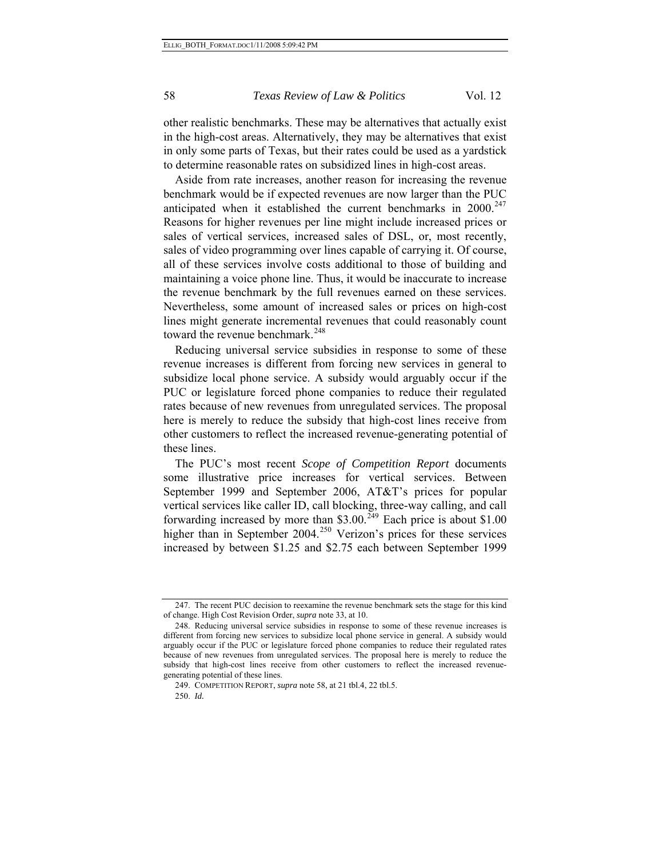in only some parts of Texas, but their rates could be used as a yardstick to determine reasonable rates on subsidized lines in high-cost areas. other realistic benchmarks. These may be alternatives that actually exist in the high-cost areas. Alternatively, they may be alternatives that exist

lines might generate incremental revenues that could reasonably count toward the revenue benchmark.<sup>248</sup> Aside from rate increases, another reason for increasing the revenue benchmark would be if expected revenues are now larger than the PUC anticipated when it established the current benchmarks in  $2000.<sup>247</sup>$  $2000.<sup>247</sup>$  $2000.<sup>247</sup>$ Reasons for higher revenues per line might include increased prices or sales of vertical services, increased sales of DSL, or, most recently, sales of video programming over lines capable of carrying it. Of course, all of these services involve costs additional to those of building and maintaining a voice phone line. Thus, it would be inaccurate to increase the revenue benchmark by the full revenues earned on these services. Nevertheless, some amount of increased sales or prices on high-cost

other customers to reflect the increased revenue-generating potential of th ese lines. Reducing universal service subsidies in response to some of these revenue increases is different from forcing new services in general to subsidize local phone service. A subsidy would arguably occur if the PUC or legislature forced phone companies to reduce their regulated rates because of new revenues from unregulated services. The proposal here is merely to reduce the subsidy that high-cost lines receive from

increased by between \$1.25 and \$2.75 each between September 1999 The PUC's most recent *Scope of Competition Report* documents some illustrative price increases for vertical services. Between September 1999 and September 2006, AT&T's prices for popular vertical services like caller ID, call blocking, three-way calling, and call forwarding increased by more than \$3.00.<sup>[249](#page-57-1)</sup> Each price is about \$1.00 higher than in September 2004.<sup>[250](#page-57-2)</sup> Verizon's prices for these services

<sup>247.</sup> The recent PUC decision to reexamine the revenue benchmark sets the stage for this kind of change. High Cost Revision Order, *supra* note 33, at 10.

<span id="page-57-1"></span><span id="page-57-0"></span>subsidy that high-cost lines receive from other customers to reflect the increased revenuege nerating potential of these lines. 248. Reducing universal service subsidies in response to some of these revenue increases is different from forcing new services to subsidize local phone service in general. A subsidy would arguably occur if the PUC or legislature forced phone companies to reduce their regulated rates because of new revenues from unregulated services. The proposal here is merely to reduce the

<sup>249.</sup> COMPETITION REPORT, *supra* note 58, at 21 tbl.4, 22 tbl.5.

<span id="page-57-2"></span><sup>250.</sup> *Id.*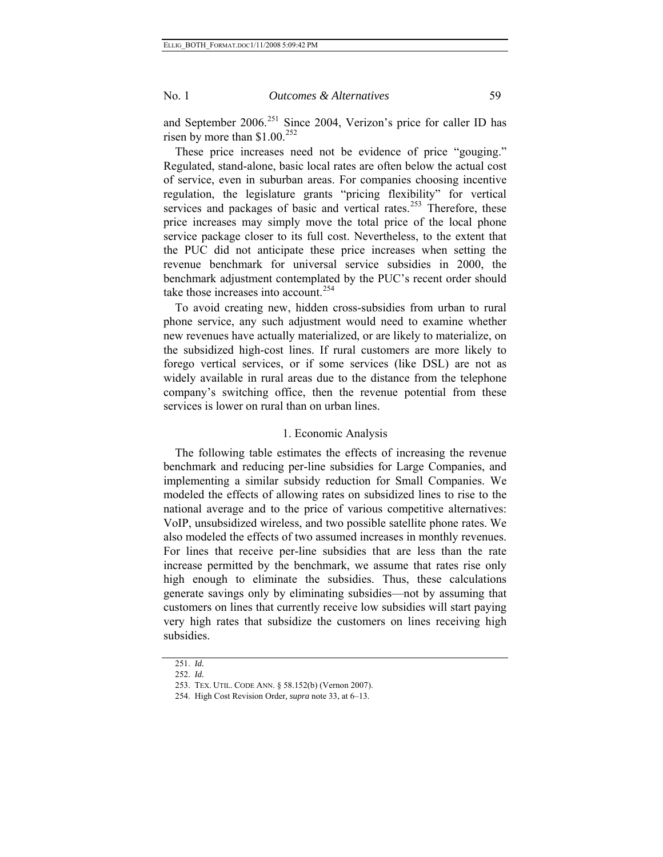and September 2006.<sup>[251](#page-58-0)</sup> Since 2004, Verizon's price for caller ID has risen by more than  $$1.00.<sup>252</sup>$  $$1.00.<sup>252</sup>$  $$1.00.<sup>252</sup>$ 

These price increases need not be evidence of price "gouging." Regulated, stand-alone, basic local rates are often below the actual cost of service, even in suburban areas. For companies choosing incentive regulation, the legislature grants "pricing flexibility" for vertical services and packages of basic and vertical rates.<sup>[253](#page-58-2)</sup> Therefore, these price increases may simply move the total price of the local phone service package closer to its full cost. Nevertheless, to the extent that the PUC did not anticipate these price increases when setting the revenue benchmark for universal service subsidies in 2000, the benchmark adjustment contemplated by the PUC's recent order should take those increases into account.<sup>[254](#page-58-3)</sup>

To avoid creating new, hidden cross-subsidies from urban to rural phone service, any such adjustment would need to examine whether new revenues have actually materialized, or are likely to materialize, on the subsidized high-cost lines. If rural customers are more likely to forego vertical services, or if some services (like DSL) are not as widely available in rural areas due to the distance from the telephone company's switching office, then the revenue potential from these services is lower on rural than on urban lines.

### 1. Economic Analysis

The following table estimates the effects of increasing the revenue benchmark and reducing per-line subsidies for Large Companies, and implementing a similar subsidy reduction for Small Companies. We modeled the effects of allowing rates on subsidized lines to rise to the national average and to the price of various competitive alternatives: VoIP, unsubsidized wireless, and two possible satellite phone rates. We also modeled the effects of two assumed increases in monthly revenues. For lines that receive per-line subsidies that are less than the rate increase permitted by the benchmark, we assume that rates rise only high enough to eliminate the subsidies. Thus, these calculations generate savings only by eliminating subsidies—not by assuming that customers on lines that currently receive low subsidies will start paying very high rates that subsidize the customers on lines receiving high subsidies.

<span id="page-58-0"></span><sup>251.</sup> *Id.* 

<span id="page-58-1"></span><sup>252.</sup> *Id.*

<span id="page-58-2"></span><sup>253.</sup> TEX. UTIL. CODE ANN. § 58.152(b) (Vernon 2007).

<span id="page-58-3"></span><sup>254.</sup> High Cost Revision Order*, supra* note 33, at 6–13.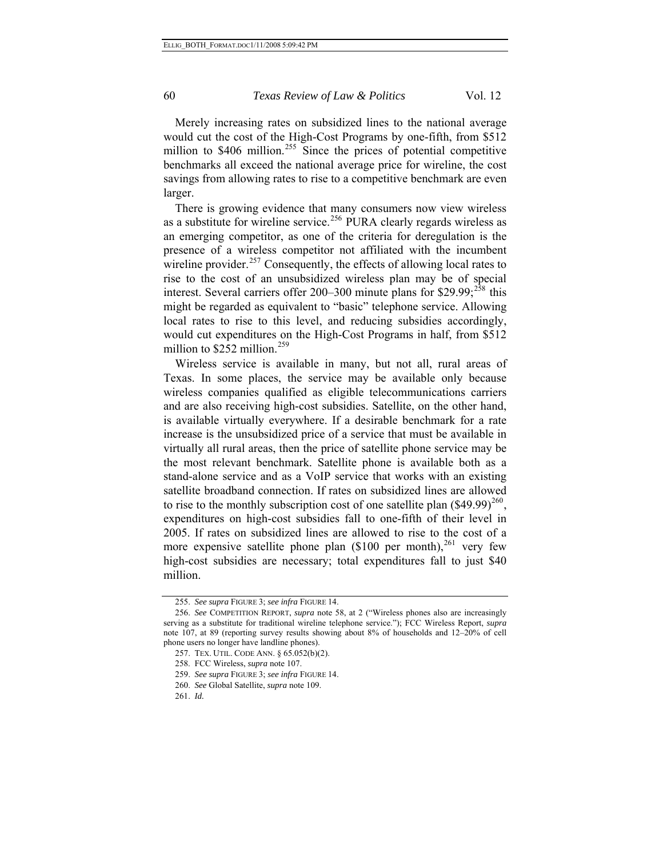Merely increasing rates on subsidized lines to the national average would cut the cost of the High-Cost Programs by one-fifth, from \$512 million to  $$406$  million.<sup>[255](#page-59-0)</sup> Since the prices of potential competitive benchmarks all exceed the national average price for wireline, the cost savings from allowing rates to rise to a competitive benchmark are even larger.

There is growing evidence that many consumers now view wireless as a substitute for wireline service.<sup>[256](#page-59-1)</sup> PURA clearly regards wireless as an emerging competitor, as one of the criteria for deregulation is the presence of a wireless competitor not affiliated with the incumbent wireline provider.<sup>[257](#page-59-2)</sup> Consequently, the effects of allowing local rates to rise to the cost of an unsubsidized wireless plan may be of special interest. Several carriers offer 200–300 minute plans for  $$29.99;^{258}$  $$29.99;^{258}$  $$29.99;^{258}$  this might be regarded as equivalent to "basic" telephone service. Allowing local rates to rise to this level, and reducing subsidies accordingly, would cut expenditures on the High-Cost Programs in half, from \$512 million to  $$252$  million.<sup>[259](#page-59-4)</sup>

Wireless service is available in many, but not all, rural areas of Texas. In some places, the service may be available only because wireless companies qualified as eligible telecommunications carriers and are also receiving high-cost subsidies. Satellite, on the other hand, is available virtually everywhere. If a desirable benchmark for a rate increase is the unsubsidized price of a service that must be available in virtually all rural areas, then the price of satellite phone service may be the most relevant benchmark. Satellite phone is available both as a stand-alone service and as a VoIP service that works with an existing satellite broadband connection. If rates on subsidized lines are allowed to rise to the monthly subscription cost of one satellite plan  $(\$49.99)^{260}$  $(\$49.99)^{260}$  $(\$49.99)^{260}$ , expenditures on high-cost subsidies fall to one-fifth of their level in 2005. If rates on subsidized lines are allowed to rise to the cost of a more expensive satellite phone plan  $(\$100$  per month),<sup>[261](#page-59-6)</sup> very few high-cost subsidies are necessary; total expenditures fall to just \$40 million.

<sup>255.</sup> *See supra* FIGURE 3; *see infra* FIGURE 14.

<span id="page-59-4"></span><span id="page-59-3"></span><span id="page-59-2"></span><span id="page-59-1"></span><span id="page-59-0"></span><sup>256.</sup> *See* COMPETITION REPORT, *supra* note 58, at 2 ("Wireless phones also are increasingly serving as a substitute for traditional wireline telephone service."); FCC Wireless Report, *supra* note 107, at 89 (reporting survey results showing about 8% of households and 12–20% of cell phone users no longer have landline phones).

<sup>257.</sup> TEX. UTIL. CODE ANN. § 65.052(b)(2).

<sup>258.</sup> FCC Wireless, *supra* note 107.

<sup>259.</sup> *See supra* FIGURE 3; *see infra* FIGURE 14.

<span id="page-59-5"></span><sup>260.</sup> *See* Global Satellite, *supra* note 109.

<span id="page-59-6"></span><sup>261.</sup> *Id.*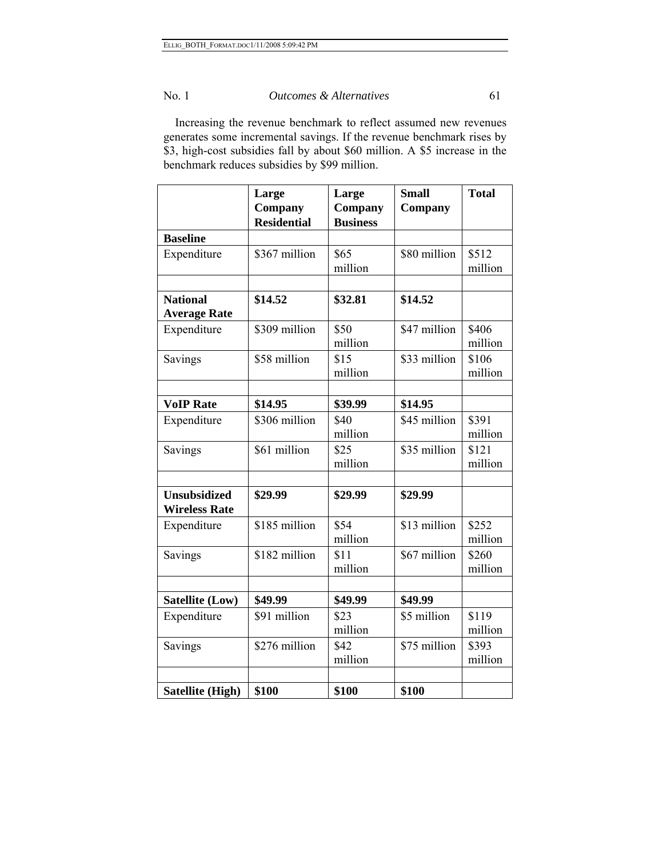Increasing the revenue benchmark to reflect assumed new revenues generates some incremental savings. If the revenue benchmark rises by \$3, high-cost subsidies fall by about \$60 million. A \$5 increase in the benchmark reduces subsidies by \$99 million.

|                                             | Large<br>Company<br><b>Residential</b> | Large<br>Company<br><b>Business</b> | <b>Small</b><br>Company | <b>Total</b>     |
|---------------------------------------------|----------------------------------------|-------------------------------------|-------------------------|------------------|
| <b>Baseline</b>                             |                                        |                                     |                         |                  |
| Expenditure                                 | \$367 million                          | \$65<br>million                     | \$80 million            | \$512<br>million |
|                                             |                                        |                                     |                         |                  |
| <b>National</b><br><b>Average Rate</b>      | \$14.52                                | \$32.81                             | \$14.52                 |                  |
| Expenditure                                 | \$309 million                          | \$50<br>million                     | \$47 million            | \$406<br>million |
| Savings                                     | \$58 million                           | \$15<br>million                     | \$33 million            | \$106<br>million |
|                                             |                                        |                                     |                         |                  |
| <b>VoIP Rate</b>                            | \$14.95                                | \$39.99                             | \$14.95                 |                  |
| Expenditure                                 | \$306 million                          | \$40<br>million                     | \$45 million            | \$391<br>million |
| Savings                                     | \$61 million                           | \$25<br>million                     | \$35 million            | \$121<br>million |
|                                             |                                        |                                     |                         |                  |
| <b>Unsubsidized</b><br><b>Wireless Rate</b> | \$29.99                                | \$29.99                             | \$29.99                 |                  |
| Expenditure                                 | \$185 million                          | \$54<br>million                     | \$13 million            | \$252<br>million |
| Savings                                     | \$182 million                          | \$11<br>million                     | \$67 million            | \$260<br>million |
|                                             |                                        |                                     |                         |                  |
| <b>Satellite (Low)</b>                      | \$49.99                                | \$49.99                             | \$49.99                 |                  |
| Expenditure                                 | \$91 million                           | \$23<br>million                     | \$5 million             | \$119<br>million |
| Savings                                     | \$276 million                          | \$42<br>million                     | \$75 million            | \$393<br>million |
|                                             |                                        |                                     |                         |                  |
| <b>Satellite (High)</b>                     | \$100                                  | \$100                               | \$100                   |                  |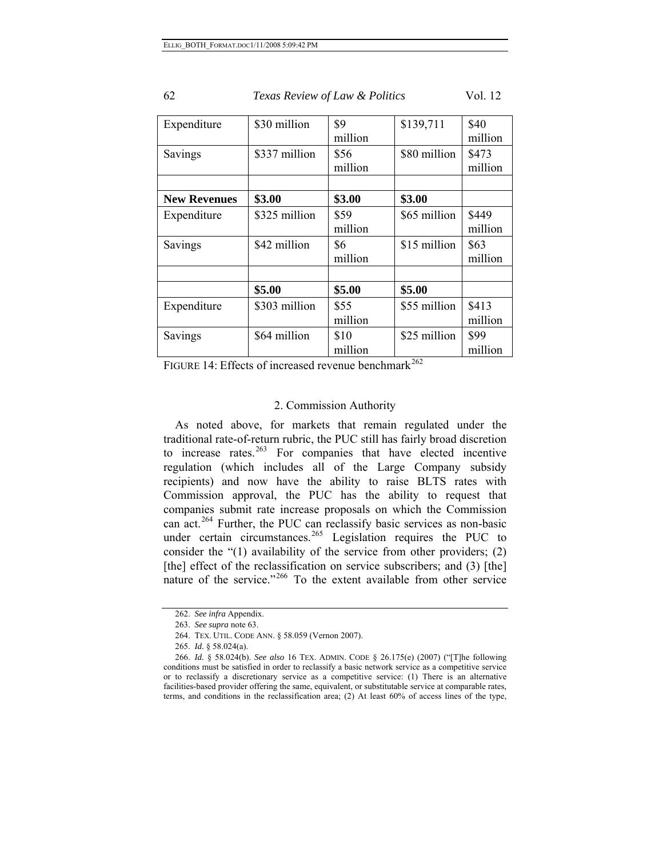| Expenditure         | \$30 million  | \$9     | \$139,711    | \$40    |
|---------------------|---------------|---------|--------------|---------|
|                     |               | million |              | million |
| Savings             | \$337 million | \$56    | \$80 million | \$473   |
|                     |               | million |              | million |
|                     |               |         |              |         |
| <b>New Revenues</b> | \$3.00        | \$3.00  | \$3.00       |         |
| Expenditure         | \$325 million | \$59    | \$65 million | \$449   |
|                     |               | million |              | million |
| Savings             | \$42 million  | \$6     | \$15 million | \$63    |
|                     |               | million |              | million |
|                     |               |         |              |         |
|                     | \$5.00        | \$5.00  | \$5.00       |         |
| Expenditure         | \$303 million | \$55    | \$55 million | \$413   |
|                     |               | million |              | million |
| Savings             | \$64 million  | \$10    | \$25 million | \$99    |
|                     |               | million |              | million |

FIGURE 14: Effects of increased revenue benchmark<sup>[262](#page-61-0)</sup>

# 2. Commission Authority

As noted above, for markets that remain regulated under the traditional rate-of-return rubric, the PUC still has fairly broad discretion to increase rates. $263$  For companies that have elected incentive regulation (which includes all of the Large Company subsidy recipients) and now have the ability to raise BLTS rates with Commission approval, the PUC has the ability to request that companies submit rate increase proposals on which the Commission can act.<sup>[264](#page-61-2)</sup> Further, the PUC can reclassify basic services as non-basic under certain circumstances.<sup>[265](#page-61-3)</sup> Legislation requires the PUC to consider the "(1) availability of the service from other providers; (2) [the] effect of the reclassification on service subscribers; and (3) [the] nature of the service."<sup>[266](#page-61-4)</sup> To the extent available from other service

<sup>262.</sup> *See infra* Appendix.

<sup>263.</sup> *See supra* note 63.

<sup>264.</sup> TEX. UTIL. CODE ANN. § 58.059 (Vernon 2007).

<sup>265.</sup> *Id.* § 58.024(a).

<span id="page-61-4"></span><span id="page-61-3"></span><span id="page-61-2"></span><span id="page-61-1"></span><span id="page-61-0"></span><sup>266.</sup> *Id.* § 58.024(b). *See also* 16 TEX. ADMIN. CODE § 26.175(e) (2007) ("[T]he following conditions must be satisfied in order to reclassify a basic network service as a competitive service or to reclassify a discretionary service as a competitive service: (1) There is an alternative facilities-based provider offering the same, equivalent, or substitutable service at comparable rates, terms, and conditions in the reclassification area; (2) At least 60% of access lines of the type,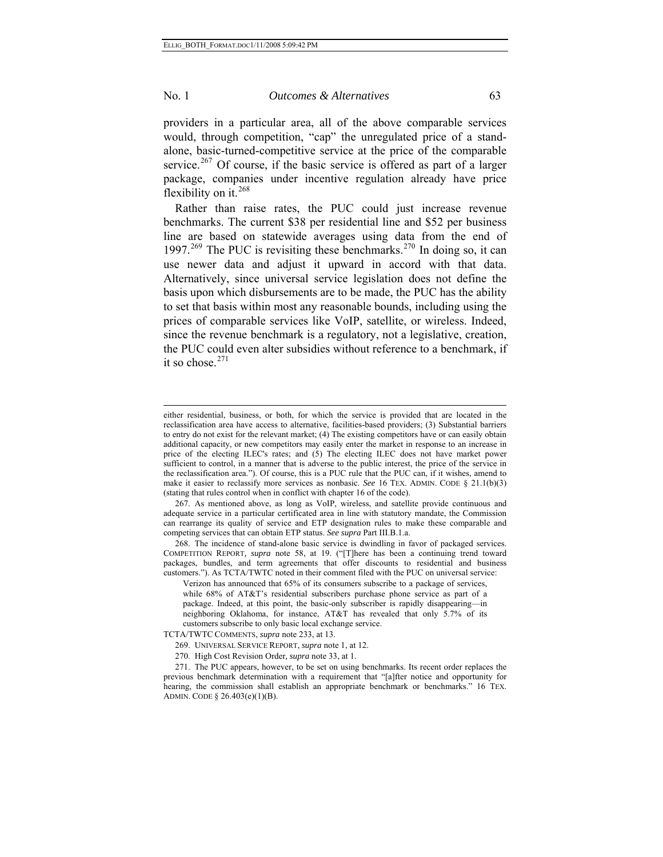l

#### No. 1 *Outcomes & Alternatives* 63

providers in a particular area, all of the above comparable services would, through competition, "cap" the unregulated price of a standalone, basic-turned-competitive service at the price of the comparable service.<sup>[267](#page-62-0)</sup> Of course, if the basic service is offered as part of a larger package, companies under incentive regulation already have price flexibility on it. $268$ 

it so chose. $271$ Rather than raise rates, the PUC could just increase revenue benchmarks. The current \$38 per residential line and \$52 per business line are based on statewide averages using data from the end of 1997.<sup>[269](#page-62-2)</sup> The PUC is revisiting these benchmarks.<sup>[270](#page-62-3)</sup> In doing so, it can use newer data and adjust it upward in accord with that data. Alternatively, since universal service legislation does not define the basis upon which disbursements are to be made, the PUC has the ability to set that basis within most any reasonable bounds, including using the prices of comparable services like VoIP, satellite, or wireless. Indeed, since the revenue benchmark is a regulatory, not a legislative, creation, the PUC could even alter subsidies without reference to a benchmark, if

either residential, business, or both, for which the service is provided that are located in the reclassification area have access to alternative, facilities-based providers; (3) Substantial barriers to entry do not exist for the relevant market; (4) The existing competitors have or can easily obtain additional capacity, or new competitors may easily enter the market in response to an increase in price of the electing ILEC's rates; and (5) The electing ILEC does not have market power sufficient to control, in a manner that is adverse to the public interest, the price of the service in the reclassification area."). Of course, this is a PUC rule that the PUC can, if it wishes, amend to make it easier to reclassify more services as nonbasic. *See* 16 TEX. ADMIN. CODE § 21.1(b)(3) (stating that rules control when in conflict with chapter 16 of the code).

<span id="page-62-0"></span><sup>267.</sup> As mentioned above, as long as VoIP, wireless, and satellite provide continuous and adequate service in a particular certificated area in line with statutory mandate, the Commission can rearrange its quality of service and ETP designation rules to make these comparable and competing services that can obtain ETP status. *See supra* Part III.B.1.a.

<span id="page-62-1"></span><sup>268.</sup> The incidence of stand-alone basic service is dwindling in favor of packaged services. COMPETITION REPORT*, supra* note 58, at 19. ("[T]here has been a continuing trend toward packages, bundles, and term agreements that offer discounts to residential and business customers."). As TCTA/TWTC noted in their comment filed with the PUC on universal service:

Verizon has announced that 65% of its consumers subscribe to a package of services, while 68% of AT&T's residential subscribers purchase phone service as part of a package. Indeed, at this point, the basic-only subscriber is rapidly disappearing—in neighboring Oklahoma, for instance, AT&T has revealed that only 5.7% of its customers subscribe to only basic local exchange service.

<span id="page-62-2"></span>TCTA/TWTC COMMENTS, *supra* note 233, at 13.

<sup>269.</sup> UNIVERSAL SERVICE REPORT, *supra* note 1, at 12.

<sup>270.</sup> High Cost Revision Order*, supra* note 33, at 1.

<span id="page-62-3"></span><sup>271.</sup> The PUC appears, however, to be set on using benchmarks. Its recent order replaces the previous benchmark determination with a requirement that "[a]fter notice and opportunity for hearing, the commission shall establish an appropriate benchmark or benchmarks." 16 TEX. ADMIN. CODE § 26.403(e)(1)(B).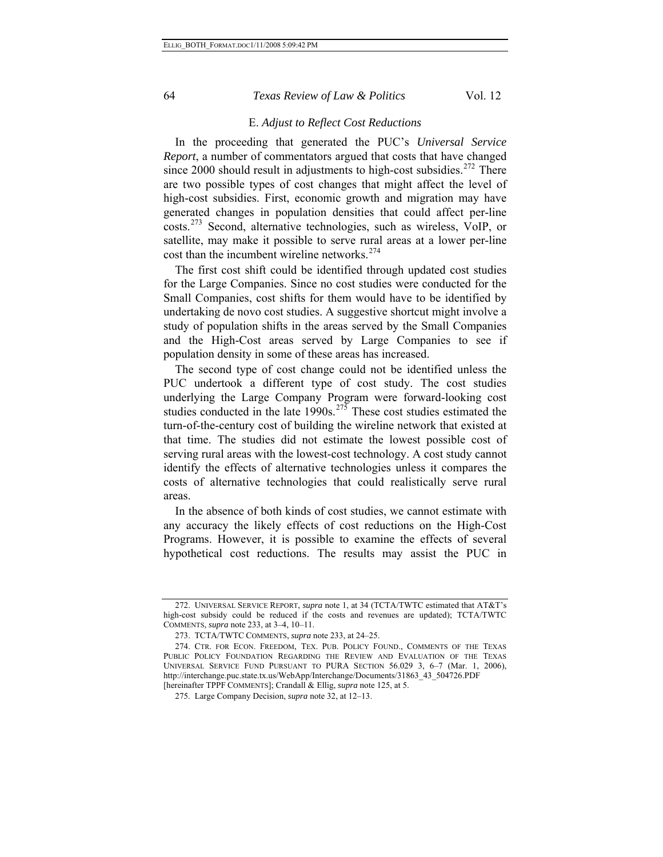#### E. *Adjust to Reflect Cost Reductions*

In the proceeding that generated the PUC's *Universal Service Report*, a number of commentators argued that costs that have changed since  $2000$  should result in adjustments to high-cost subsidies.<sup>[272](#page-63-0)</sup> There are two possible types of cost changes that might affect the level of high-cost subsidies. First, economic growth and migration may have generated changes in population densities that could affect per-line costs.[273](#page-63-1) Second, alternative technologies, such as wireless, VoIP, or satellite, may make it possible to serve rural areas at a lower per-line cost than the incumbent wireline networks.<sup>[274](#page-63-2)</sup>

The first cost shift could be identified through updated cost studies for the Large Companies. Since no cost studies were conducted for the Small Companies, cost shifts for them would have to be identified by undertaking de novo cost studies. A suggestive shortcut might involve a study of population shifts in the areas served by the Small Companies and the High-Cost areas served by Large Companies to see if population density in some of these areas has increased.

The second type of cost change could not be identified unless the PUC undertook a different type of cost study. The cost studies underlying the Large Company Program were forward-looking cost studies conducted in the late  $1990s$ .<sup>[275](#page-63-3)</sup> These cost studies estimated the turn-of-the-century cost of building the wireline network that existed at that time. The studies did not estimate the lowest possible cost of serving rural areas with the lowest-cost technology. A cost study cannot identify the effects of alternative technologies unless it compares the costs of alternative technologies that could realistically serve rural areas.

In the absence of both kinds of cost studies, we cannot estimate with any accuracy the likely effects of cost reductions on the High-Cost Programs. However, it is possible to examine the effects of several hypothetical cost reductions. The results may assist the PUC in

<span id="page-63-0"></span><sup>272.</sup> UNIVERSAL SERVICE REPORT, *supra* note 1, at 34 (TCTA/TWTC estimated that AT&T's high-cost subsidy could be reduced if the costs and revenues are updated); TCTA/TWTC COMMENTS, *supra* note 233, at 3–4, 10–11.

<sup>273.</sup> TCTA/TWTC COMMENTS, *supra* note 233, at 24–25.

<span id="page-63-3"></span><span id="page-63-2"></span><span id="page-63-1"></span><sup>274.</sup> CTR. FOR ECON. FREEDOM, TEX. PUB. POLICY FOUND., COMMENTS OF THE TEXAS PUBLIC POLICY FOUNDATION REGARDING THE REVIEW AND EVALUATION OF THE TEXAS UNIVERSAL SERVICE FUND PURSUANT TO PURA SECTION 56.029 3, 6–7 (Mar. 1, 2006), http://interchange.puc.state.tx.us/WebApp/Interchange/Documents/31863\_43\_504726.PDF [hereinafter TPPF COMMENTS]; Crandall & Ellig, *supra* note 125, at 5.

<sup>275.</sup> Large Company Decision, *supra* note 32, at 12–13.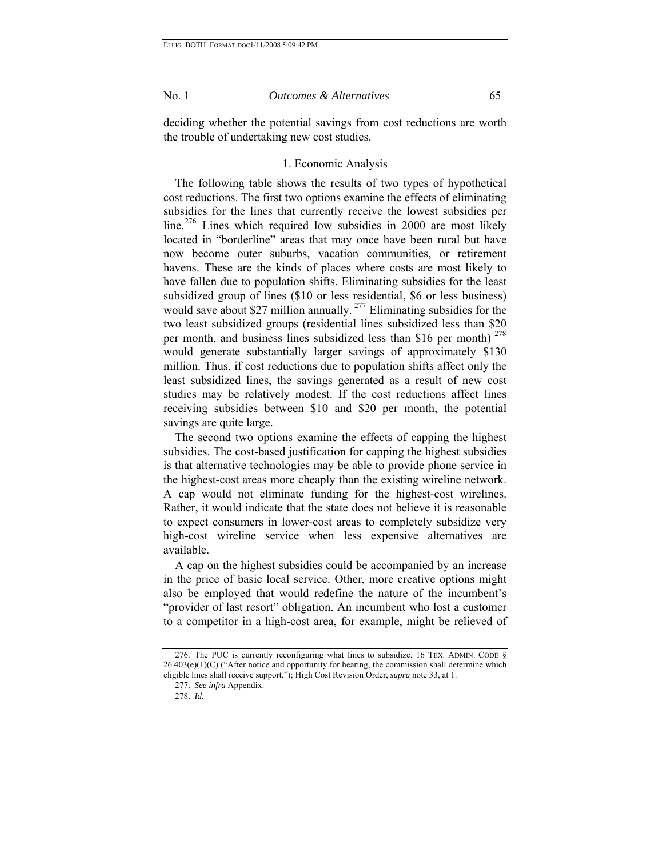deciding whether the potential savings from cost reductions are worth the trouble of undertaking new cost studies.

#### 1. Economic Analysis

The following table shows the results of two types of hypothetical cost reductions. The first two options examine the effects of eliminating subsidies for the lines that currently receive the lowest subsidies per line.<sup>[276](#page-64-0)</sup> Lines which required low subsidies in 2000 are most likely located in "borderline" areas that may once have been rural but have now become outer suburbs, vacation communities, or retirement havens. These are the kinds of places where costs are most likely to have fallen due to population shifts. Eliminating subsidies for the least subsidized group of lines (\$10 or less residential, \$6 or less business) would save about \$27 million annually.<sup>[277](#page-64-1)</sup> Eliminating subsidies for the two least subsidized groups (residential lines subsidized less than \$20 per month, and business lines subsidized less than \$16 per month)  $278$ would generate substantially larger savings of approximately \$130 million. Thus, if cost reductions due to population shifts affect only the least subsidized lines, the savings generated as a result of new cost studies may be relatively modest. If the cost reductions affect lines receiving subsidies between \$10 and \$20 per month, the potential savings are quite large.

The second two options examine the effects of capping the highest subsidies. The cost-based justification for capping the highest subsidies is that alternative technologies may be able to provide phone service in the highest-cost areas more cheaply than the existing wireline network. A cap would not eliminate funding for the highest-cost wirelines. Rather, it would indicate that the state does not believe it is reasonable to expect consumers in lower-cost areas to completely subsidize very high-cost wireline service when less expensive alternatives are available.

A cap on the highest subsidies could be accompanied by an increase in the price of basic local service. Other, more creative options might also be employed that would redefine the nature of the incumbent's "provider of last resort" obligation. An incumbent who lost a customer to a competitor in a high-cost area, for example, might be relieved of

<span id="page-64-2"></span><span id="page-64-1"></span><span id="page-64-0"></span><sup>276.</sup> The PUC is currently reconfiguring what lines to subsidize. 16 TEX. ADMIN. CODE § 26.403(e)(1)(C) ("After notice and opportunity for hearing, the commission shall determine which eligible lines shall receive support."); High Cost Revision Order, *supra* note 33, at 1.

<sup>277.</sup> *See infra* Appendix.

<sup>278.</sup> *Id.*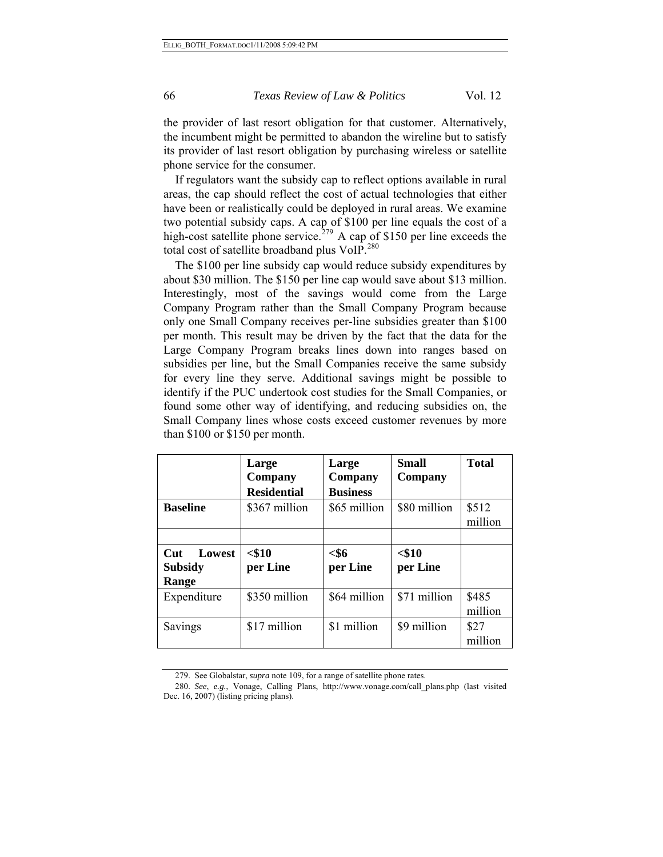the provider of last resort obligation for that customer. Alternatively, the incumbent might be permitted to abandon the wireline but to satisfy its provider of last resort obligation by purchasing wireless or satellite phone service for the consumer.

If regulators want the subsidy cap to reflect options available in rural areas, the cap should reflect the cost of actual technologies that either have been or realistically could be deployed in rural areas. We examine two potential subsidy caps. A cap of \$100 per line equals the cost of a high-cost satellite phone service.<sup>[279](#page-65-0)</sup> A cap of \$150 per line exceeds the total cost of satellite broadband plus VoIP.<sup>[280](#page-65-1)</sup>

The \$100 per line subsidy cap would reduce subsidy expenditures by about \$30 million. The \$150 per line cap would save about \$13 million. Interestingly, most of the savings would come from the Large Company Program rather than the Small Company Program because only one Small Company receives per-line subsidies greater than \$100 per month. This result may be driven by the fact that the data for the Large Company Program breaks lines down into ranges based on subsidies per line, but the Small Companies receive the same subsidy for every line they serve. Additional savings might be possible to identify if the PUC undertook cost studies for the Small Companies, or found some other way of identifying, and reducing subsidies on, the Small Company lines whose costs exceed customer revenues by more than \$100 or \$150 per month.

|                                          | Large<br>Company<br><b>Residential</b> | Large<br>Company<br><b>Business</b> | Small<br>Company     | <b>Total</b>     |
|------------------------------------------|----------------------------------------|-------------------------------------|----------------------|------------------|
| <b>Baseline</b>                          | \$367 million                          | \$65 million                        | \$80 million         | \$512<br>million |
|                                          |                                        |                                     |                      |                  |
| Lowest<br>Cut<br><b>Subsidy</b><br>Range | $<$ \$10<br>per Line                   | $<$ \$6<br>per Line                 | $<$ \$10<br>per Line |                  |
| Expenditure                              | \$350 million                          | \$64 million                        | \$71 million         | \$485<br>million |
| Savings                                  | \$17 million                           | \$1 million                         | \$9 million          | \$27<br>million  |

<sup>279.</sup> See Globalstar, *supra* note 109, for a range of satellite phone rates.

<span id="page-65-1"></span><span id="page-65-0"></span><sup>280.</sup> *See*, *e.g.*, Vonage, Calling Plans, http://www.vonage.com/call\_plans.php (last visited Dec. 16, 2007) (listing pricing plans).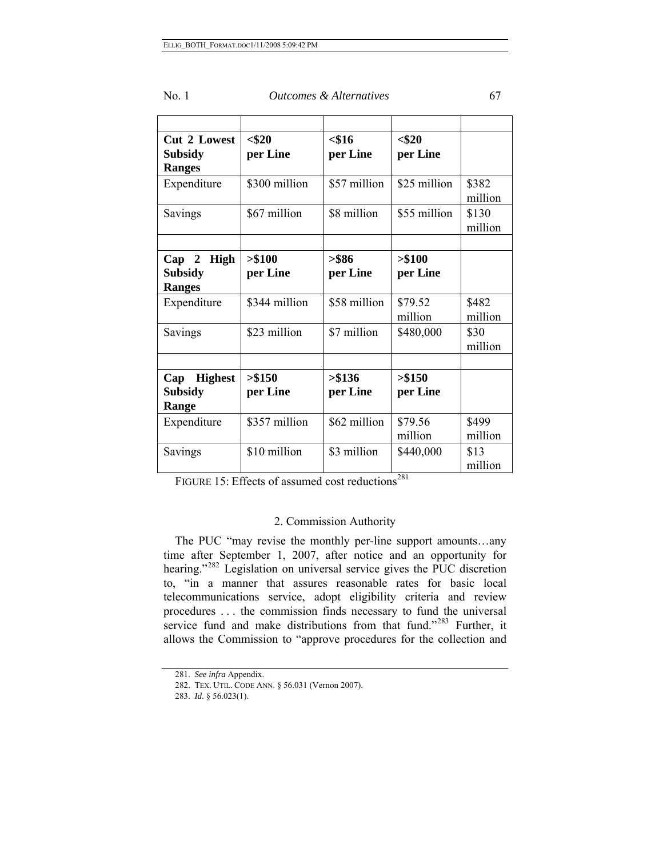| No. 1<br><i>Outcomes &amp; Alternatives</i> |  |
|---------------------------------------------|--|
|---------------------------------------------|--|

| <b>Cut 2 Lowest</b><br><b>Subsidy</b><br><b>Ranges</b> | $<$ \$20<br>per Line | $<$ \$16<br>per Line | $<$ \$20<br>per Line |                  |
|--------------------------------------------------------|----------------------|----------------------|----------------------|------------------|
| Expenditure                                            | \$300 million        | \$57 million         | \$25 million         | \$382<br>million |
| Savings                                                | \$67 million         | \$8 million          | \$55 million         | \$130<br>million |
|                                                        |                      |                      |                      |                  |
| Cap 2<br>High<br><b>Subsidy</b><br><b>Ranges</b>       | > \$100<br>per Line  | $>$ \$86<br>per Line | > \$100<br>per Line  |                  |
| Expenditure                                            | \$344 million        | \$58 million         | \$79.52<br>million   | \$482<br>million |
| Savings                                                | \$23 million         | \$7 million          | \$480,000            | \$30<br>million  |
|                                                        |                      |                      |                      |                  |
| <b>Highest</b><br>Cap<br><b>Subsidy</b><br>Range       | > \$150<br>per Line  | > \$136<br>per Line  | > \$150<br>per Line  |                  |
| Expenditure                                            | \$357 million        | \$62 million         | \$79.56<br>million   | \$499<br>million |
| Savings                                                | \$10 million         | \$3 million          | \$440,000            | \$13<br>million  |

FIGURE 15: Effects of assumed cost reductions<sup>[281](#page-66-0)</sup>

# 2. Commission Authority

The PUC "may revise the monthly per-line support amounts…any time after September 1, 2007, after notice and an opportunity for hearing."<sup>[282](#page-66-1)</sup> Legislation on universal service gives the PUC discretion to, "in a manner that assures reasonable rates for basic local telecommunications service, adopt eligibility criteria and review procedures . . . the commission finds necessary to fund the universal service fund and make distributions from that fund."<sup>[283](#page-66-2)</sup> Further, it allows the Commission to "approve procedures for the collection and

<span id="page-66-1"></span><span id="page-66-0"></span><sup>281.</sup> *See infra* Appendix.

<sup>282.</sup> TEX. UTIL. CODE ANN. § 56.031 (Vernon 2007).

<span id="page-66-2"></span><sup>283.</sup> *Id.* § 56.023(1).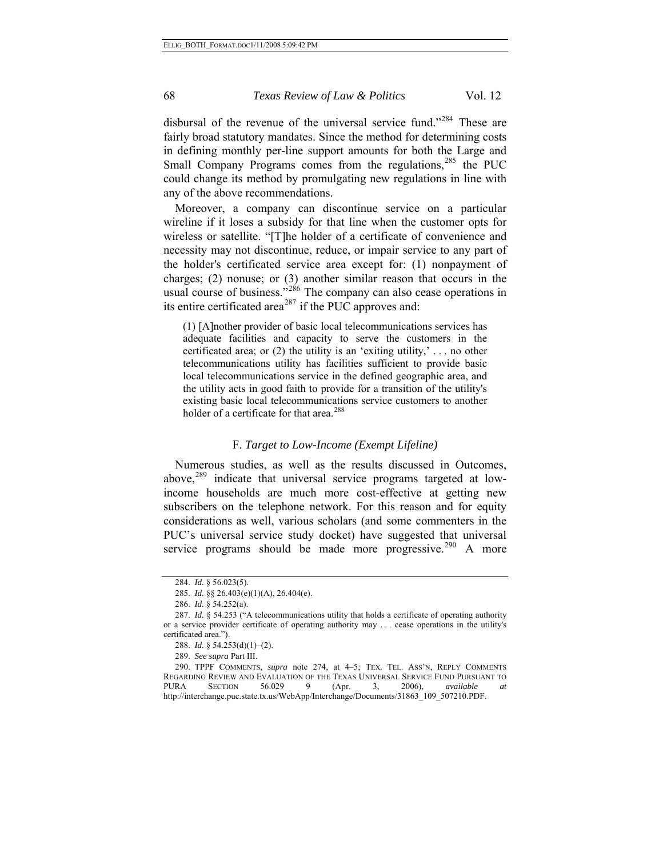disbursal of the revenue of the universal service fund."<sup>[284](#page-67-0)</sup> These are fairly broad statutory mandates. Since the method for determining costs in defining monthly per-line support amounts for both the Large and Small Company Programs comes from the regulations, $285$  the PUC could change its method by promulgating new regulations in line with any of the above recommendations.

Moreover, a company can discontinue service on a particular wireline if it loses a subsidy for that line when the customer opts for wireless or satellite. "[T]he holder of a certificate of convenience and necessity may not discontinue, reduce, or impair service to any part of the holder's certificated service area except for: (1) nonpayment of charges; (2) nonuse; or (3) another similar reason that occurs in the usual course of business."<sup>[286](#page-67-2)</sup> The company can also cease operations in its entire certificated area<sup>[287](#page-67-3)</sup> if the PUC approves and:

(1) [A]nother provider of basic local telecommunications services has adequate facilities and capacity to serve the customers in the certificated area; or (2) the utility is an 'exiting utility,' . . . no other telecommunications utility has facilities sufficient to provide basic local telecommunications service in the defined geographic area, and the utility acts in good faith to provide for a transition of the utility's existing basic local telecommunications service customers to another holder of a certificate for that area.<sup>[288](#page-67-4)</sup>

## F. *Target to Low-Income (Exempt Lifeline)*

Numerous studies, as well as the results discussed in Outcomes, above,<sup>[289](#page-67-5)</sup> indicate that universal service programs targeted at lowincome households are much more cost-effective at getting new subscribers on the telephone network. For this reason and for equity considerations as well, various scholars (and some commenters in the PUC's universal service study docket) have suggested that universal service programs should be made more progressive.<sup>[290](#page-67-6)</sup> A more

<sup>284.</sup> *Id.* § 56.023(5).

<sup>285.</sup> *Id.* §§ 26.403(e)(1)(A), 26.404(e).

<sup>286.</sup> *Id.* § 54.252(a).

<span id="page-67-3"></span><span id="page-67-2"></span><span id="page-67-1"></span><span id="page-67-0"></span><sup>287.</sup> *Id.* § 54.253 ("A telecommunications utility that holds a certificate of operating authority or a service provider certificate of operating authority may . . . cease operations in the utility's certificated area.").

<sup>288.</sup> *Id.* § 54.253(d)(1)–(2).

<sup>289.</sup> *See supra* Part III.

<span id="page-67-6"></span><span id="page-67-5"></span><span id="page-67-4"></span><sup>290.</sup> TPPF COMMENTS, *supra* note 274, at 4–5; TEX. TEL. ASS'N, REPLY COMMENTS REGARDING REVIEW AND EVALUATION OF THE TEXAS UNIVERSAL SERVICE FUND PURSUANT TO PURA SECTION 56.029 9 (Apr. 3, 2006), *available at*  http://interchange.puc.state.tx.us/WebApp/Interchange/Documents/31863\_109\_507210.PDF.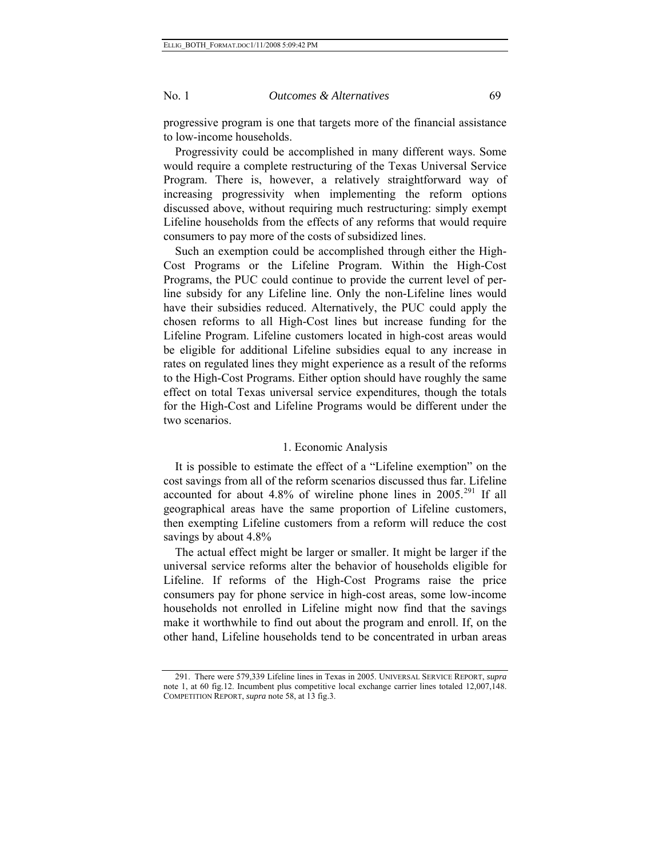progressive program is one that targets more of the financial assistance to low-income households.

Progressivity could be accomplished in many different ways. Some would require a complete restructuring of the Texas Universal Service Program. There is, however, a relatively straightforward way of increasing progressivity when implementing the reform options discussed above, without requiring much restructuring: simply exempt Lifeline households from the effects of any reforms that would require consumers to pay more of the costs of subsidized lines.

Such an exemption could be accomplished through either the High-Cost Programs or the Lifeline Program. Within the High-Cost Programs, the PUC could continue to provide the current level of perline subsidy for any Lifeline line. Only the non-Lifeline lines would have their subsidies reduced. Alternatively, the PUC could apply the chosen reforms to all High-Cost lines but increase funding for the Lifeline Program. Lifeline customers located in high-cost areas would be eligible for additional Lifeline subsidies equal to any increase in rates on regulated lines they might experience as a result of the reforms to the High-Cost Programs. Either option should have roughly the same effect on total Texas universal service expenditures, though the totals for the High-Cost and Lifeline Programs would be different under the two scenarios.

# 1. Economic Analysis

It is possible to estimate the effect of a "Lifeline exemption" on the cost savings from all of the reform scenarios discussed thus far. Lifeline accounted for about 4.8% of wireline phone lines in  $2005.^{291}$  $2005.^{291}$  $2005.^{291}$  If all geographical areas have the same proportion of Lifeline customers, then exempting Lifeline customers from a reform will reduce the cost savings by about 4.8%

The actual effect might be larger or smaller. It might be larger if the universal service reforms alter the behavior of households eligible for Lifeline. If reforms of the High-Cost Programs raise the price consumers pay for phone service in high-cost areas, some low-income households not enrolled in Lifeline might now find that the savings make it worthwhile to find out about the program and enroll. If, on the other hand, Lifeline households tend to be concentrated in urban areas

<span id="page-68-0"></span><sup>291.</sup> There were 579,339 Lifeline lines in Texas in 2005. UNIVERSAL SERVICE REPORT, *supra*  note 1, at 60 fig.12. Incumbent plus competitive local exchange carrier lines totaled 12,007,148. COMPETITION REPORT, *supra* note 58, at 13 fig.3.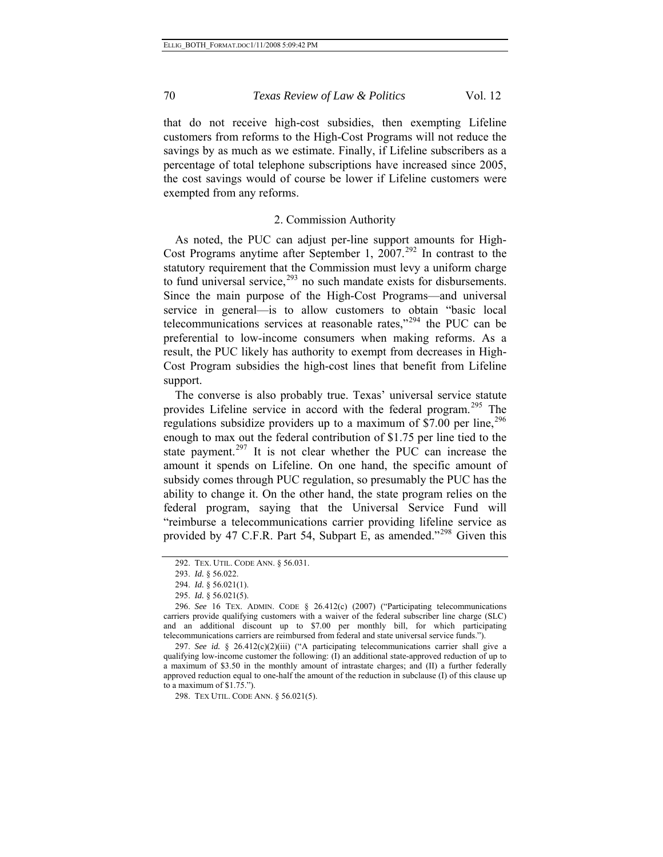that do not receive high-cost subsidies, then exempting Lifeline customers from reforms to the High-Cost Programs will not reduce the savings by as much as we estimate. Finally, if Lifeline subscribers as a percentage of total telephone subscriptions have increased since 2005, the cost savings would of course be lower if Lifeline customers were exempted from any reforms.

# 2. Commission Authority

As noted, the PUC can adjust per-line support amounts for High-Cost Programs anytime after September 1,  $2007<sup>292</sup>$  $2007<sup>292</sup>$  $2007<sup>292</sup>$  In contrast to the statutory requirement that the Commission must levy a uniform charge to fund universal service, $293$  no such mandate exists for disbursements. Since the main purpose of the High-Cost Programs—and universal service in general—is to allow customers to obtain "basic local telecommunications services at reasonable rates, $1294$  $1294$  the PUC can be preferential to low-income consumers when making reforms. As a result, the PUC likely has authority to exempt from decreases in High-Cost Program subsidies the high-cost lines that benefit from Lifeline support.

The converse is also probably true. Texas' universal service statute provides Lifeline service in accord with the federal program.<sup>[295](#page-69-3)</sup> The regulations subsidize providers up to a maximum of \$7.00 per line,  $296$ enough to max out the federal contribution of \$1.75 per line tied to the state payment.<sup>[297](#page-69-5)</sup> It is not clear whether the PUC can increase the amount it spends on Lifeline. On one hand, the specific amount of subsidy comes through PUC regulation, so presumably the PUC has the ability to change it. On the other hand, the state program relies on the federal program, saying that the Universal Service Fund will "reimburse a telecommunications carrier providing lifeline service as provided by 47 C.F.R. Part 54, Subpart E, as amended."<sup>[298](#page-69-6)</sup> Given this

<span id="page-69-6"></span><span id="page-69-5"></span>297. *See id.* § 26.412(c)(2)(iii) ("A participating telecommunications carrier shall give a qualifying low-income customer the following: (I) an additional state-approved reduction of up to a maximum of \$3.50 in the monthly amount of intrastate charges; and (II) a further federally approved reduction equal to one-half the amount of the reduction in subclause (I) of this clause up to a maximum of \$1.75.").

298. TEX UTIL. CODE ANN. § 56.021(5).

<sup>292.</sup> TEX. UTIL. CODE ANN. § 56.031.

<sup>293.</sup> *Id.* § 56.022.

<sup>294.</sup> *Id.* § 56.021(1).

<sup>295.</sup> *Id.* § 56.021(5).

<span id="page-69-4"></span><span id="page-69-3"></span><span id="page-69-2"></span><span id="page-69-1"></span><span id="page-69-0"></span><sup>296.</sup> *See* 16 TEX. ADMIN. CODE § 26.412(c) (2007) ("Participating telecommunications carriers provide qualifying customers with a waiver of the federal subscriber line charge (SLC) and an additional discount up to \$7.00 per monthly bill, for which participating telecommunications carriers are reimbursed from federal and state universal service funds.").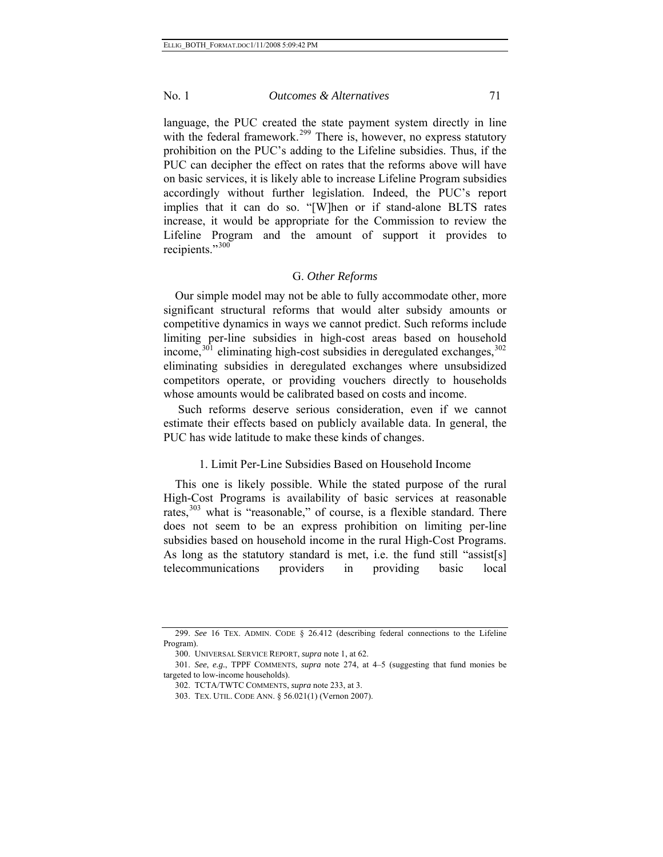language, the PUC created the state payment system directly in line with the federal framework.<sup>[299](#page-70-0)</sup> There is, however, no express statutory prohibition on the PUC's adding to the Lifeline subsidies. Thus, if the PUC can decipher the effect on rates that the reforms above will have on basic services, it is likely able to increase Lifeline Program subsidies accordingly without further legislation. Indeed, the PUC's report implies that it can do so. "[W]hen or if stand-alone BLTS rates increase, it would be appropriate for the Commission to review the Lifeline Program and the amount of support it provides to recipients."[300](#page-70-1)

#### G. *Other Reforms*

Our simple model may not be able to fully accommodate other, more significant structural reforms that would alter subsidy amounts or competitive dynamics in ways we cannot predict. Such reforms include limiting per-line subsidies in high-cost areas based on household income,  $301$  eliminating high-cost subsidies in deregulated exchanges,  $302$ eliminating subsidies in deregulated exchanges where unsubsidized competitors operate, or providing vouchers directly to households whose amounts would be calibrated based on costs and income.

 Such reforms deserve serious consideration, even if we cannot estimate their effects based on publicly available data. In general, the PUC has wide latitude to make these kinds of changes.

### 1. Limit Per-Line Subsidies Based on Household Income

This one is likely possible. While the stated purpose of the rural High-Cost Programs is availability of basic services at reasonable rates, $303$  what is "reasonable," of course, is a flexible standard. There does not seem to be an express prohibition on limiting per-line subsidies based on household income in the rural High-Cost Programs. As long as the statutory standard is met, i.e. the fund still "assist[s] telecommunications providers in providing basic local

<span id="page-70-0"></span><sup>299.</sup> *See* 16 TEX. ADMIN. CODE § 26.412 (describing federal connections to the Lifeline Program).

<sup>300.</sup> UNIVERSAL SERVICE REPORT, *supra* note 1, at 62.

<span id="page-70-4"></span><span id="page-70-3"></span><span id="page-70-2"></span><span id="page-70-1"></span><sup>301.</sup> *See*, *e.g.*, TPPF COMMENTS, *supra* note 274, at 4–5 (suggesting that fund monies be targeted to low-income households).

<sup>302.</sup> TCTA/TWTC COMMENTS, *supra* note 233, at 3.

<sup>303.</sup> TEX. UTIL. CODE ANN. § 56.021(1) (Vernon 2007).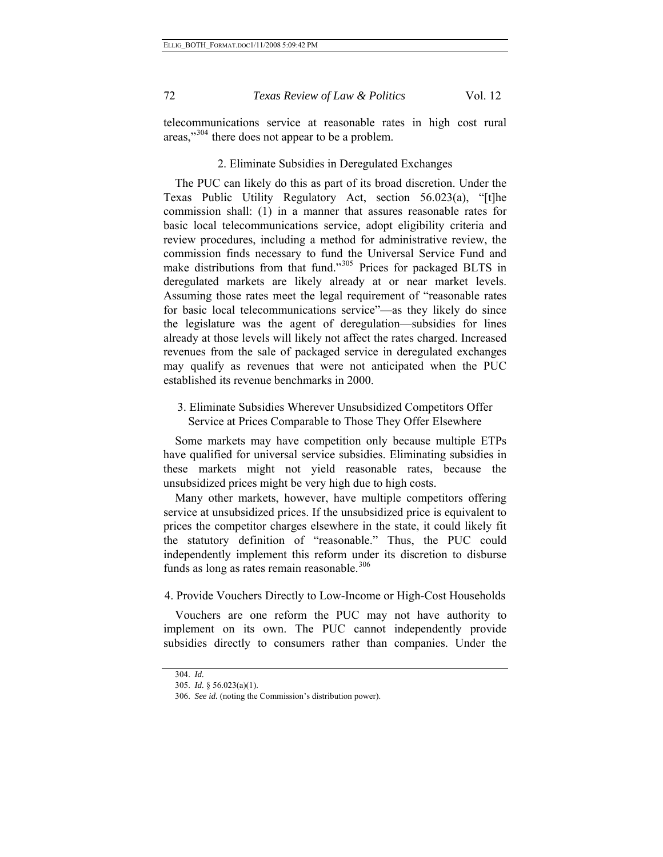telecommunications service at reasonable rates in high cost rural areas,"<sup>[304](#page-71-0)</sup> there does not appear to be a problem.

# 2. Eliminate Subsidies in Deregulated Exchanges

The PUC can likely do this as part of its broad discretion. Under the Texas Public Utility Regulatory Act, section 56.023(a), "[t]he commission shall: (1) in a manner that assures reasonable rates for basic local telecommunications service, adopt eligibility criteria and review procedures, including a method for administrative review, the commission finds necessary to fund the Universal Service Fund and make distributions from that fund."<sup>[305](#page-71-1)</sup> Prices for packaged BLTS in deregulated markets are likely already at or near market levels. Assuming those rates meet the legal requirement of "reasonable rates for basic local telecommunications service"—as they likely do since the legislature was the agent of deregulation—subsidies for lines already at those levels will likely not affect the rates charged. Increased revenues from the sale of packaged service in deregulated exchanges may qualify as revenues that were not anticipated when the PUC established its revenue benchmarks in 2000.

3. Eliminate Subsidies Wherever Unsubsidized Competitors Offer Service at Prices Comparable to Those They Offer Elsewhere

Some markets may have competition only because multiple ETPs have qualified for universal service subsidies. Eliminating subsidies in these markets might not yield reasonable rates, because the unsubsidized prices might be very high due to high costs.

Many other markets, however, have multiple competitors offering service at unsubsidized prices. If the unsubsidized price is equivalent to prices the competitor charges elsewhere in the state, it could likely fit the statutory definition of "reasonable." Thus, the PUC could independently implement this reform under its discretion to disburse funds as long as rates remain reasonable.<sup>[306](#page-71-2)</sup>

### 4. Provide Vouchers Directly to Low-Income or High-Cost Households

Vouchers are one reform the PUC may not have authority to implement on its own. The PUC cannot independently provide subsidies directly to consumers rather than companies. Under the

<span id="page-71-1"></span><span id="page-71-0"></span><sup>304.</sup> *Id.*

<sup>305.</sup> *Id.* § 56.023(a)(1).

<span id="page-71-2"></span><sup>306.</sup> *See id.* (noting the Commission's distribution power).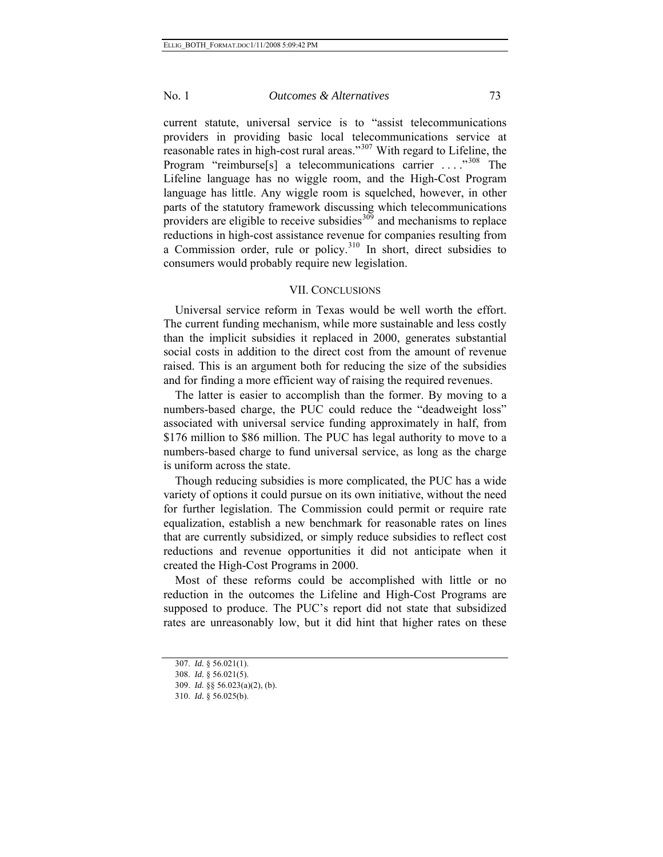current statute, universal service is to "assist telecommunications providers in providing basic local telecommunications service at reasonable rates in high-cost rural areas."[307](#page-72-0) With regard to Lifeline, the Program "reimburse[s] a telecommunications carrier ...."<sup>[308](#page-72-1)</sup> The Lifeline language has no wiggle room, and the High-Cost Program language has little. Any wiggle room is squelched, however, in other parts of the statutory framework discussing which telecommunications providers are eligible to receive subsidies  $309$  and mechanisms to replace reductions in high-cost assistance revenue for companies resulting from a Commission order, rule or policy.[310](#page-72-3) In short, direct subsidies to consumers would probably require new legislation.

## VII. CONCLUSIONS

Universal service reform in Texas would be well worth the effort. The current funding mechanism, while more sustainable and less costly than the implicit subsidies it replaced in 2000, generates substantial social costs in addition to the direct cost from the amount of revenue raised. This is an argument both for reducing the size of the subsidies and for finding a more efficient way of raising the required revenues.

The latter is easier to accomplish than the former. By moving to a numbers-based charge, the PUC could reduce the "deadweight loss" associated with universal service funding approximately in half, from \$176 million to \$86 million. The PUC has legal authority to move to a numbers-based charge to fund universal service, as long as the charge is uniform across the state.

Though reducing subsidies is more complicated, the PUC has a wide variety of options it could pursue on its own initiative, without the need for further legislation. The Commission could permit or require rate equalization, establish a new benchmark for reasonable rates on lines that are currently subsidized, or simply reduce subsidies to reflect cost reductions and revenue opportunities it did not anticipate when it created the High-Cost Programs in 2000.

Most of these reforms could be accomplished with little or no reduction in the outcomes the Lifeline and High-Cost Programs are supposed to produce. The PUC's report did not state that subsidized rates are unreasonably low, but it did hint that higher rates on these

<sup>307.</sup> *Id.* § 56.021(1).

<span id="page-72-2"></span><span id="page-72-1"></span><span id="page-72-0"></span><sup>308.</sup> *Id.* § 56.021(5).

<sup>309.</sup> *Id.* §§ 56.023(a)(2), (b).

<span id="page-72-3"></span><sup>310.</sup> *Id.* § 56.025(b).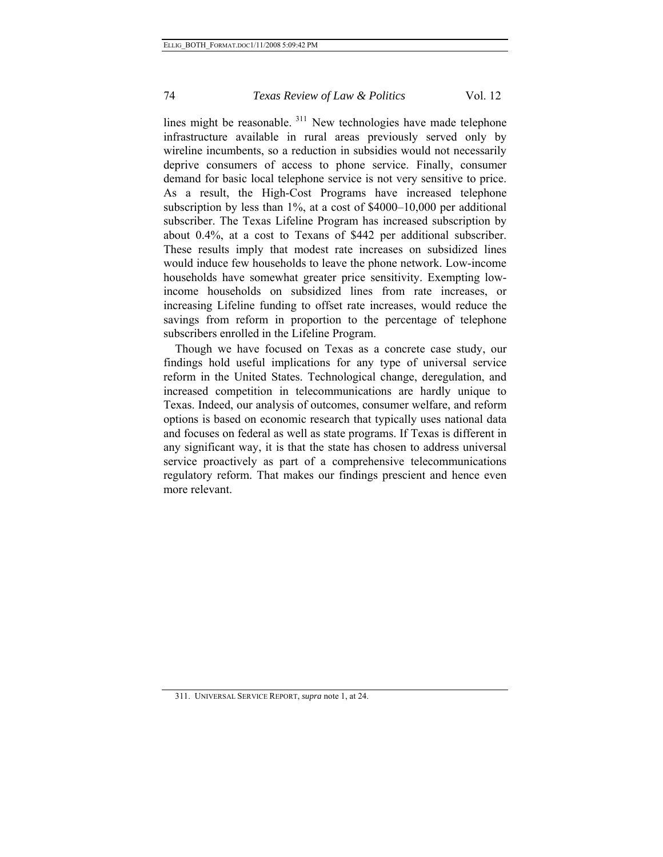lines might be reasonable. [311](#page-73-0) New technologies have made telephone infrastructure available in rural areas previously served only by wireline incumbents, so a reduction in subsidies would not necessarily deprive consumers of access to phone service. Finally, consumer demand for basic local telephone service is not very sensitive to price. As a result, the High-Cost Programs have increased telephone subscription by less than 1%, at a cost of \$4000–10,000 per additional subscriber. The Texas Lifeline Program has increased subscription by about 0.4%, at a cost to Texans of \$442 per additional subscriber. These results imply that modest rate increases on subsidized lines would induce few households to leave the phone network. Low-income households have somewhat greater price sensitivity. Exempting lowincome households on subsidized lines from rate increases, or increasing Lifeline funding to offset rate increases, would reduce the savings from reform in proportion to the percentage of telephone subscribers enrolled in the Lifeline Program.

Though we have focused on Texas as a concrete case study, our findings hold useful implications for any type of universal service reform in the United States. Technological change, deregulation, and increased competition in telecommunications are hardly unique to Texas. Indeed, our analysis of outcomes, consumer welfare, and reform options is based on economic research that typically uses national data and focuses on federal as well as state programs. If Texas is different in any significant way, it is that the state has chosen to address universal service proactively as part of a comprehensive telecommunications regulatory reform. That makes our findings prescient and hence even more relevant.

<span id="page-73-0"></span><sup>311.</sup> UNIVERSAL SERVICE REPORT, *supra* note 1, at 24.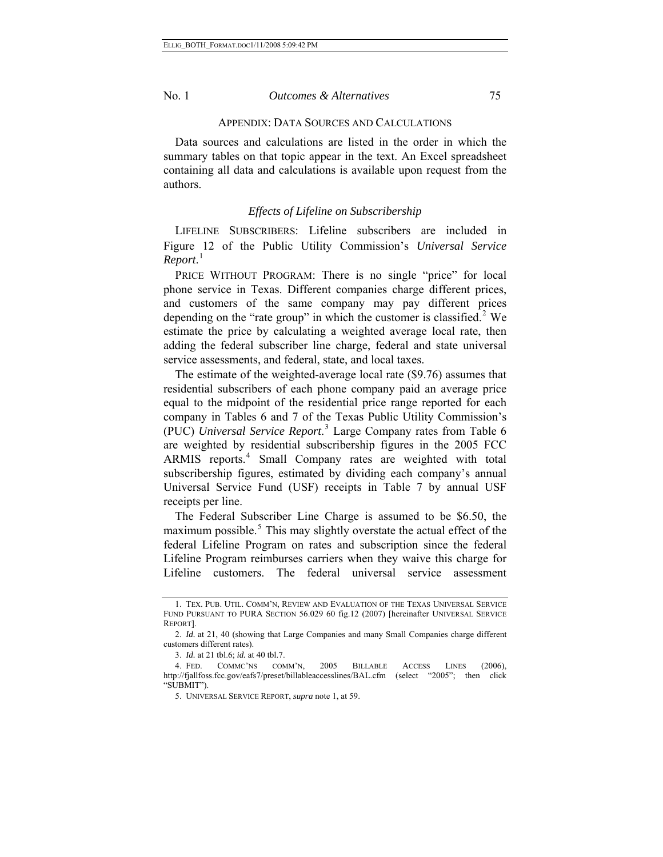#### APPENDIX: DATA SOURCES AND CALCULATIONS

Data sources and calculations are listed in the order in which the summary tables on that topic appear in the text. An Excel spreadsheet containing all data and calculations is available upon request from the authors.

#### *Effects of Lifeline on Subscribership*

LIFELINE SUBSCRIBERS: Lifeline subscribers are included in Figure 12 of the Public Utility Commission's *Universal Service Report*. [1](#page-74-0)

PRICE WITHOUT PROGRAM: There is no single "price" for local phone service in Texas. Different companies charge different prices, and customers of the same company may pay different prices depending on the "rate group" in which the customer is classified.<sup>[2](#page-74-1)</sup> We estimate the price by calculating a weighted average local rate, then adding the federal subscriber line charge, federal and state universal service assessments, and federal, state, and local taxes.

The estimate of the weighted-average local rate (\$9.76) assumes that residential subscribers of each phone company paid an average price equal to the midpoint of the residential price range reported for each company in Tables 6 and 7 of the Texas Public Utility Commission's (PUC) *Universal Service Report*. [3](#page-74-2) Large Company rates from Table 6 are weighted by residential subscribership figures in the 2005 FCC ARMIS reports.<sup>[4](#page-74-3)</sup> Small Company rates are weighted with total subscribership figures, estimated by dividing each company's annual Universal Service Fund (USF) receipts in Table 7 by annual USF receipts per line.

The Federal Subscriber Line Charge is assumed to be \$6.50, the maximum possible.<sup>[5](#page-74-4)</sup> This may slightly overstate the actual effect of the federal Lifeline Program on rates and subscription since the federal Lifeline Program reimburses carriers when they waive this charge for Lifeline customers. The federal universal service assessment

<span id="page-74-0"></span><sup>1.</sup> TEX. PUB. UTIL. COMM'N, REVIEW AND EVALUATION OF THE TEXAS UNIVERSAL SERVICE FUND PURSUANT TO PURA SECTION 56.029 60 fig.12 (2007) [hereinafter UNIVERSAL SERVICE REPORT].

<span id="page-74-1"></span><sup>2.</sup> *Id.* at 21, 40 (showing that Large Companies and many Small Companies charge different customers different rates).

<sup>3.</sup> *Id.* at 21 tbl.6; *id.* at 40 tbl.7.

<span id="page-74-4"></span><span id="page-74-3"></span><span id="page-74-2"></span><sup>4.</sup> FED. COMMC'NS COMM'N, 2005 BILLABLE ACCESS LINES (2006), http://fjallfoss.fcc.gov/eafs7/preset/billableaccesslines/BAL.cfm (select "2005"; then click "SUBMIT").

<sup>5.</sup> UNIVERSAL SERVICE REPORT, *supra* note 1, at 59.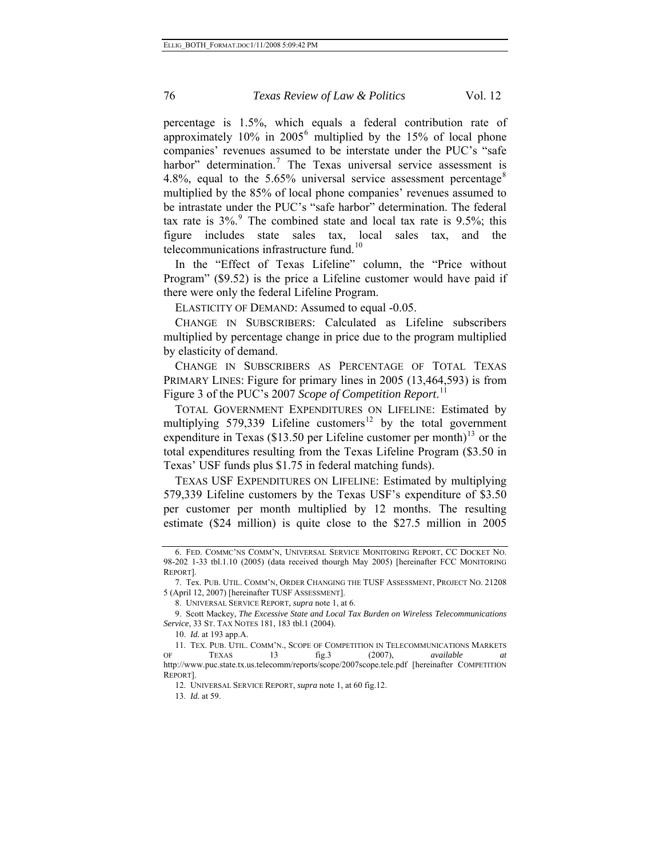percentage is 1.5%, which equals a federal contribution rate of approximately  $10\%$  in  $2005^6$  $2005^6$  multiplied by the 15% of local phone companies' revenues assumed to be interstate under the PUC's "safe harbor" determination.<sup>[7](#page-75-1)</sup> The Texas universal service assessment is 4.[8](#page-75-2)%, equal to the 5.65% universal service assessment percentage<sup>8</sup> multiplied by the 85% of local phone companies' revenues assumed to be intrastate under the PUC's "safe harbor" determination. The federal tax rate is  $3\%$ . The combined state and local tax rate is [9](#page-75-3).5%; this figure includes state sales tax, local sales tax, and the telecommunications infrastructure fund.<sup>[10](#page-75-4)</sup>

In the "Effect of Texas Lifeline" column, the "Price without Program" (\$9.52) is the price a Lifeline customer would have paid if there were only the federal Lifeline Program.

ELASTICITY OF DEMAND: Assumed to equal -0.05.

CHANGE IN SUBSCRIBERS: Calculated as Lifeline subscribers multiplied by percentage change in price due to the program multiplied by elasticity of demand.

CHANGE IN SUBSCRIBERS AS PERCENTAGE OF TOTAL TEXAS PRIMARY LINES: Figure for primary lines in 2005 (13,464,593) is from Figure 3 of the PUC's 2007 *Scope of Competition Report*. [11](#page-75-5)

TOTAL GOVERNMENT EXPENDITURES ON LIFELINE: Estimated by multiplying 579,339 Lifeline customers<sup>[12](#page-75-6)</sup> by the total government expenditure in Texas (\$[13](#page-75-7).50 per Lifeline customer per month)<sup>13</sup> or the total expenditures resulting from the Texas Lifeline Program (\$3.50 in Texas' USF funds plus \$1.75 in federal matching funds).

TEXAS USF EXPENDITURES ON LIFELINE: Estimated by multiplying 579,339 Lifeline customers by the Texas USF's expenditure of \$3.50 per customer per month multiplied by 12 months. The resulting estimate (\$24 million) is quite close to the \$27.5 million in 2005

8. UNIVERSAL SERVICE REPORT, *supra* note 1, at 6.

10. *Id.* at 193 app.A.

12. UNIVERSAL SERVICE REPORT, *supra* note 1, at 60 fig.12.

<span id="page-75-0"></span><sup>6.</sup> FED. COMMC'NS COMM'N, UNIVERSAL SERVICE MONITORING REPORT, CC DOCKET NO. 98-202 1-33 tbl.1.10 (2005) (data received thourgh May 2005) [hereinafter FCC MONITORING REPORT].

<span id="page-75-1"></span><sup>7.</sup> Tex. PUB. UTIL. COMM'N, ORDER CHANGING THE TUSF ASSESSMENT, PROJECT NO. 21208 5 (April 12, 2007) [hereinafter TUSF ASSESSMENT].

<span id="page-75-3"></span><span id="page-75-2"></span><sup>9.</sup> Scott Mackey, *The Excessive State and Local Tax Burden on Wireless Telecommunications Service*, 33 ST. TAX NOTES 181, 183 tbl.1 (2004).

<span id="page-75-7"></span><span id="page-75-6"></span><span id="page-75-5"></span><span id="page-75-4"></span><sup>11.</sup> TEX. PUB. UTIL. COMM'N., SCOPE OF COMPETITION IN TELECOMMUNICATIONS MARKETS OF TEXAS 13 fig.3 (2007), *available at* http://www.puc.state.tx.us.telecomm/reports/scope/2007scope.tele.pdf [hereinafter COMPETITION REPORT].

<sup>13.</sup> *Id.* at 59.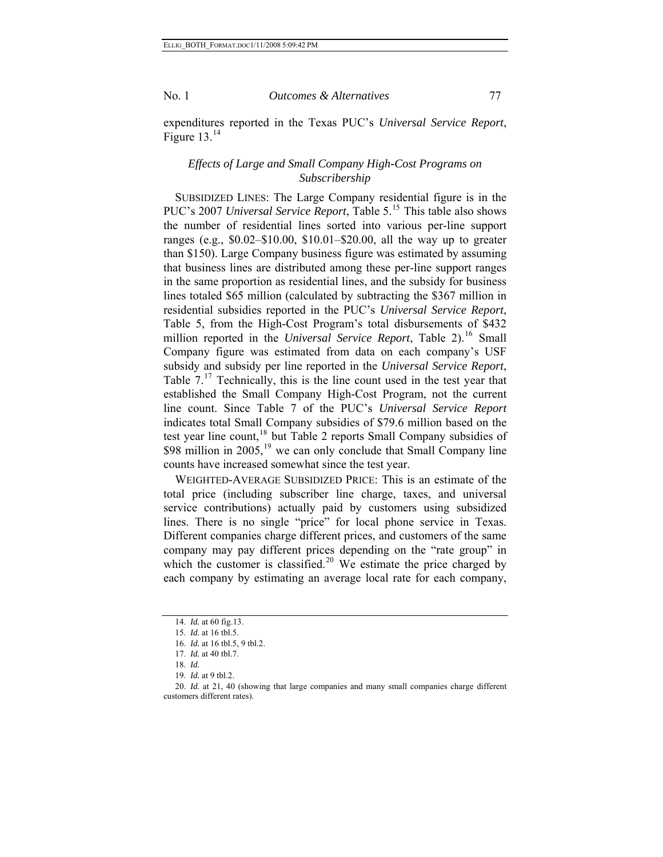expenditures reported in the Texas PUC's *Universal Service Report*, Figure  $13^{14}$  $13^{14}$  $13^{14}$ 

## *Effects of Large and Small Company High-Cost Programs on Subscribership*

SUBSIDIZED LINES: The Large Company residential figure is in the PUC's 2007 *Universal Service Report*, Table 5.<sup>[15](#page-76-1)</sup> This table also shows the number of residential lines sorted into various per-line support ranges (e.g., \$0.02–\$10.00, \$10.01–\$20.00, all the way up to greater than \$150). Large Company business figure was estimated by assuming that business lines are distributed among these per-line support ranges in the same proportion as residential lines, and the subsidy for business lines totaled \$65 million (calculated by subtracting the \$367 million in residential subsidies reported in the PUC's *Universal Service Report*, Table 5, from the High-Cost Program's total disbursements of \$432 million reported in the *Universal Service Report*, Table 2).<sup>[16](#page-76-2)</sup> Small Company figure was estimated from data on each company's USF subsidy and subsidy per line reported in the *Universal Service Report*, Table  $7<sup>17</sup>$  $7<sup>17</sup>$  $7<sup>17</sup>$  Technically, this is the line count used in the test year that established the Small Company High-Cost Program, not the current line count. Since Table 7 of the PUC's *Universal Service Report* indicates total Small Company subsidies of \$79.6 million based on the test year line count, $18$  but Table 2 reports Small Company subsidies of \$98 million in 2005,<sup>[19](#page-76-5)</sup> we can only conclude that Small Company line counts have increased somewhat since the test year.

WEIGHTED-AVERAGE SUBSIDIZED PRICE: This is an estimate of the total price (including subscriber line charge, taxes, and universal service contributions) actually paid by customers using subsidized lines. There is no single "price" for local phone service in Texas. Different companies charge different prices, and customers of the same company may pay different prices depending on the "rate group" in which the customer is classified.<sup>[20](#page-76-6)</sup> We estimate the price charged by each company by estimating an average local rate for each company,

<sup>14.</sup> *Id.* at 60 fig.13.

<span id="page-76-1"></span><span id="page-76-0"></span><sup>15.</sup> *Id.* at 16 tbl.5.

<sup>16.</sup> *Id.* at 16 tbl.5, 9 tbl.2.

<sup>17.</sup> *Id.* at 40 tbl.7.

<sup>18.</sup> *Id.*

<sup>19.</sup> *Id.* at 9 tbl.2.

<span id="page-76-6"></span><span id="page-76-5"></span><span id="page-76-4"></span><span id="page-76-3"></span><span id="page-76-2"></span><sup>20.</sup> *Id.* at 21, 40 (showing that large companies and many small companies charge different customers different rates).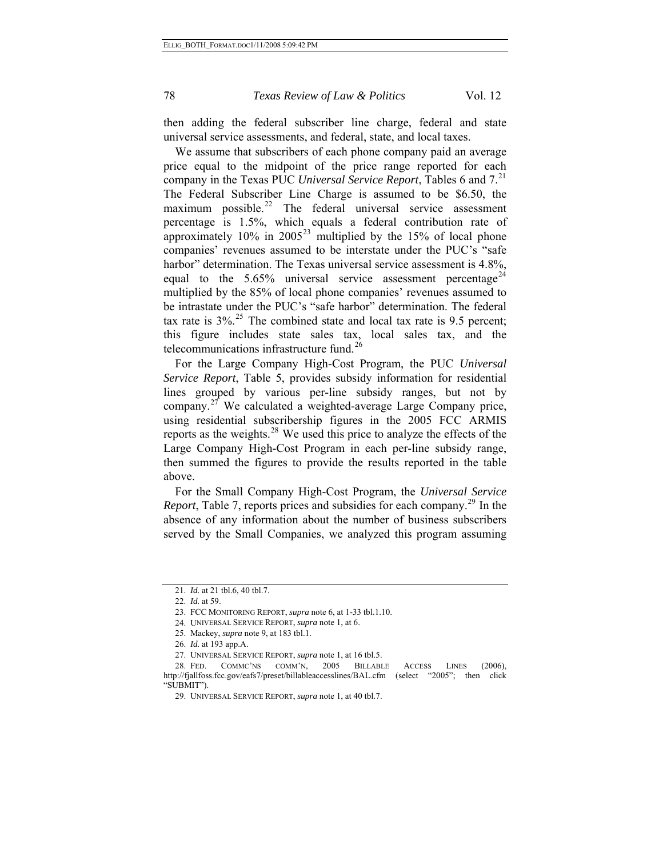then adding the federal subscriber line charge, federal and state universal service assessments, and federal, state, and local taxes.

We assume that subscribers of each phone company paid an average price equal to the midpoint of the price range reported for each company in the Texas PUC *Universal Service Report*, Tables 6 and 7.[21](#page-77-0) The Federal Subscriber Line Charge is assumed to be \$6.50, the maximum possible. $22$  The federal universal service assessment percentage is 1.5%, which equals a federal contribution rate of approximately  $10\%$  in  $2005^{23}$  $2005^{23}$  $2005^{23}$  multiplied by the 15% of local phone companies' revenues assumed to be interstate under the PUC's "safe harbor" determination. The Texas universal service assessment is 4.8%, equal to the  $5.65\%$  universal service assessment percentage<sup>[24](#page-77-3)</sup> multiplied by the 85% of local phone companies' revenues assumed to be intrastate under the PUC's "safe harbor" determination. The federal tax rate is  $3\%$ <sup>[25](#page-77-4)</sup>. The combined state and local tax rate is 9.5 percent; this figure includes state sales tax, local sales tax, and the telecommunications infrastructure fund.<sup>[26](#page-77-5)</sup>

then summed the figures to provide the results reported in the table ab ove. For the Large Company High-Cost Program, the PUC *Universal Service Report*, Table 5, provides subsidy information for residential lines grouped by various per-line subsidy ranges, but not by company.[27](#page-77-6) We calculated a weighted-average Large Company price, using residential subscribership figures in the 2005 FCC ARMIS reports as the weights.<sup>[28](#page-77-7)</sup> We used this price to analyze the effects of the Large Company High-Cost Program in each per-line subsidy range,

served by the Small Companies, we analyzed this program assuming For the Small Company High-Cost Program, the *Universal Service Report*, Table 7, reports prices and subsidies for each company.<sup>[29](#page-77-8)</sup> In the absence of any information about the number of business subscribers

<span id="page-77-1"></span><span id="page-77-0"></span><sup>21.</sup> *Id.* at 21 tbl.6, 40 tbl.7.

<sup>22.</sup> *Id.* at 59.

<sup>23.</sup> FCC MONITORING REPORT, *supra* note 6, at 1-33 tbl.1.10.

<sup>24.</sup> UNIVERSAL SERVICE REPORT, *supra* note 1, at 6.

<sup>25.</sup> Mackey, *supra* note 9, at 183 tbl.1.

<sup>26.</sup> *Id.* at 193 app.A.

<sup>27.</sup> UNIVERSAL SERVICE REPORT, *supra* note 1, at 16 tbl.5.

<span id="page-77-8"></span><span id="page-77-7"></span><span id="page-77-6"></span><span id="page-77-5"></span><span id="page-77-4"></span><span id="page-77-3"></span><span id="page-77-2"></span><sup>28.</sup> FED. COMMC'NS COMM'N, 2005 BILLABLE ACCESS LINES (2006), http://fjallfoss.fcc.gov/eafs7/preset/billableaccesslines/BAL.cfm (select "2005"; then click "SUBMIT").

<sup>29.</sup> UNIVERSAL SERVICE REPORT, *supra* note 1, at 40 tbl.7.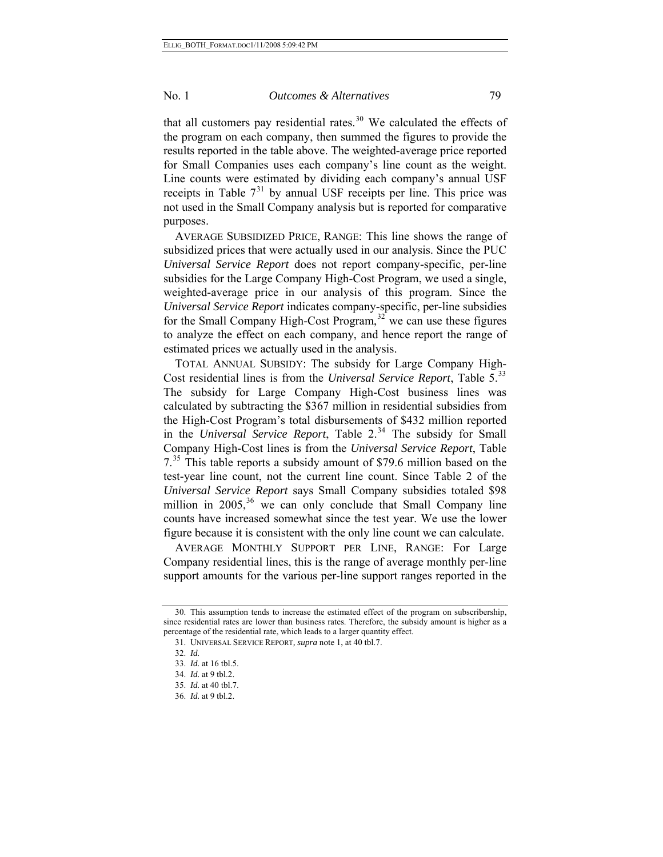that all customers pay residential rates.<sup>[30](#page-78-0)</sup> We calculated the effects of the program on each company, then summed the figures to provide the results reported in the table above. The weighted-average price reported for Small Companies uses each company's line count as the weight. Line counts were estimated by dividing each company's annual USF receipts in Table  $7<sup>31</sup>$  $7<sup>31</sup>$  $7<sup>31</sup>$  by annual USF receipts per line. This price was not used in the Small Company analysis but is reported for comparative purposes.

AVERAGE SUBSIDIZED PRICE, RANGE: This line shows the range of subsidized prices that were actually used in our analysis. Since the PUC *Universal Service Report* does not report company-specific, per-line subsidies for the Large Company High-Cost Program, we used a single, weighted-average price in our analysis of this program. Since the *Universal Service Report* indicates company-specific, per-line subsidies for the Small Company High-Cost Program,  $32$  we can use these figures to analyze the effect on each company, and hence report the range of estimated prices we actually used in the analysis.

TOTAL ANNUAL SUBSIDY: The subsidy for Large Company High-Cost residential lines is from the *Universal Service Report*, Table 5.<sup>[33](#page-78-3)</sup> The subsidy for Large Company High-Cost business lines was calculated by subtracting the \$367 million in residential subsidies from the High-Cost Program's total disbursements of \$432 million reported in the *Universal Service Report*, Table 2.<sup>[34](#page-78-4)</sup> The subsidy for Small Company High-Cost lines is from the *Universal Service Report*, Table 7.<sup>[35](#page-78-5)</sup> This table reports a subsidy amount of \$79.6 million based on the test-year line count, not the current line count. Since Table 2 of the *Universal Service Report* says Small Company subsidies totaled \$98 million in  $2005$ ,<sup>[36](#page-78-6)</sup> we can only conclude that Small Company line counts have increased somewhat since the test year. We use the lower figure because it is consistent with the only line count we can calculate.

AVERAGE MONTHLY SUPPORT PER LINE, RANGE: For Large Company residential lines, this is the range of average monthly per-line support amounts for the various per-line support ranges reported in the

<span id="page-78-3"></span><span id="page-78-2"></span><span id="page-78-1"></span><span id="page-78-0"></span><sup>30.</sup> This assumption tends to increase the estimated effect of the program on subscribership, since residential rates are lower than business rates. Therefore, the subsidy amount is higher as a percentage of the residential rate, which leads to a larger quantity effect.

<sup>31.</sup> UNIVERSAL SERVICE REPORT*, supra* note 1, at 40 tbl.7.

<sup>32.</sup> *Id.* 

<sup>33.</sup> *Id.* at 16 tbl.5.

<span id="page-78-4"></span><sup>34.</sup> *Id.* at 9 tbl.2.

<span id="page-78-6"></span><span id="page-78-5"></span><sup>35.</sup> *Id.* at 40 tbl.7.

<sup>36.</sup> *Id.* at 9 tbl.2.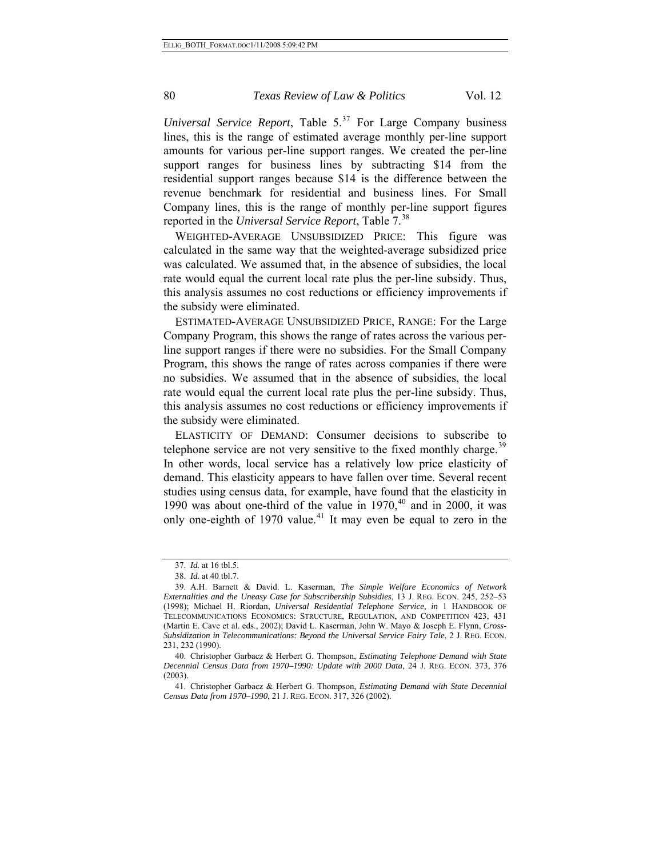*Universal Service Report*, Table  $5^{37}$  $5^{37}$  $5^{37}$  For Large Company business lines, this is the range of estimated average monthly per-line support amounts for various per-line support ranges. We created the per-line support ranges for business lines by subtracting \$14 from the residential support ranges because \$14 is the difference between the revenue benchmark for residential and business lines. For Small Company lines, this is the range of monthly per-line support figures reported in the *Universal Service Report*, Table 7.[38](#page-79-1)

WEIGHTED-AVERAGE UNSUBSIDIZED PRICE: This figure was calculated in the same way that the weighted-average subsidized price was calculated. We assumed that, in the absence of subsidies, the local rate would equal the current local rate plus the per-line subsidy. Thus, this analysis assumes no cost reductions or efficiency improvements if the subsidy were eliminated.

ESTIMATED-AVERAGE UNSUBSIDIZED PRICE, RANGE: For the Large Company Program, this shows the range of rates across the various perline support ranges if there were no subsidies. For the Small Company Program, this shows the range of rates across companies if there were no subsidies. We assumed that in the absence of subsidies, the local rate would equal the current local rate plus the per-line subsidy. Thus, this analysis assumes no cost reductions or efficiency improvements if the subsidy were eliminated.

ELASTICITY OF DEMAND: Consumer decisions to subscribe to telephone service are not very sensitive to the fixed monthly charge.<sup>[39](#page-79-2)</sup> In other words, local service has a relatively low price elasticity of demand. This elasticity appears to have fallen over time. Several recent studies using census data, for example, have found that the elasticity in 1990 was about one-third of the value in  $1970<sup>{40}</sup>$  $1970<sup>{40}</sup>$  $1970<sup>{40}</sup>$  and in 2000, it was only one-eighth of 1970 value.<sup>[41](#page-79-4)</sup> It may even be equal to zero in the

<sup>37.</sup> *Id.* at 16 tbl.5.

<sup>38.</sup> *Id.* at 40 tbl.7.

<span id="page-79-2"></span><span id="page-79-1"></span><span id="page-79-0"></span><sup>39.</sup> A.H. Barnett & David. L. Kaserman, *The Simple Welfare Economics of Network Externalities and the Uneasy Case for Subscribership Subsidies*, 13 J. REG. ECON. 245, 252–53 (1998); Michael H. Riordan, *Universal Residential Telephone Service, in* 1 HANDBOOK OF TELECOMMUNICATIONS ECONOMICS: STRUCTURE, REGULATION, AND COMPETITION 423, 431 (Martin E. Cave et al. eds., 2002); David L. Kaserman, John W. Mayo & Joseph E. Flynn, *Cross-Subsidization in Telecommunications: Beyond the Universal Service Fairy Tale*, 2 J. REG. ECON. 231, 232 (1990).

<span id="page-79-3"></span><sup>40.</sup> Christopher Garbacz & Herbert G. Thompson, *Estimating Telephone Demand with State Decennial Census Data from 1970–1990: Update with 2000 Data*, 24 J. REG. ECON. 373, 376 (2003).

<span id="page-79-4"></span><sup>41.</sup> Christopher Garbacz & Herbert G. Thompson, *Estimating Demand with State Decennial Census Data from 1970–1990*, 21 J. REG. ECON. 317, 326 (2002).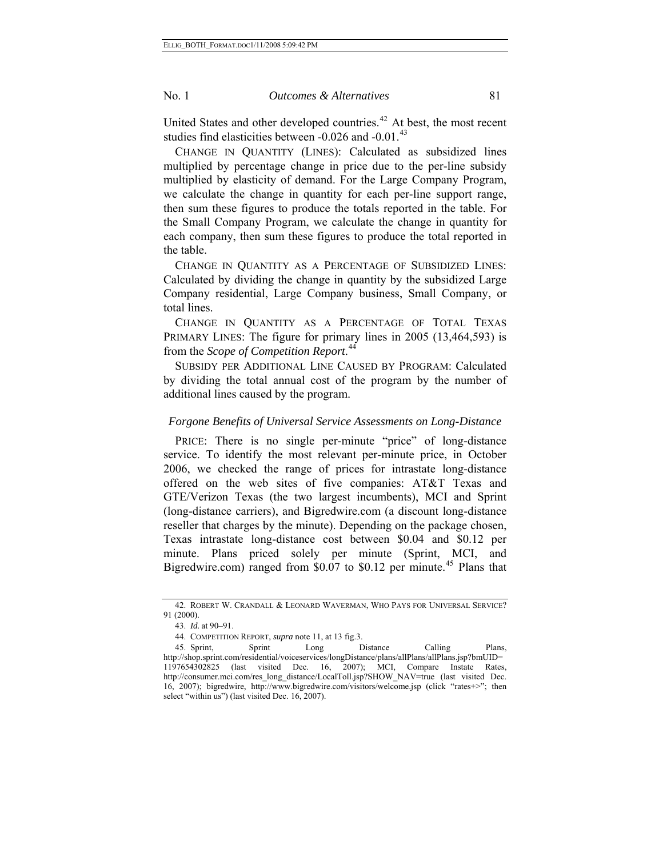United States and other developed countries.<sup>[42](#page-80-0)</sup> At best, the most recent studies find elasticities between  $-0.026$  and  $-0.01$ .<sup>[43](#page-80-1)</sup>

CHANGE IN QUANTITY (LINES): Calculated as subsidized lines multiplied by percentage change in price due to the per-line subsidy multiplied by elasticity of demand. For the Large Company Program, we calculate the change in quantity for each per-line support range, then sum these figures to produce the totals reported in the table. For the Small Company Program, we calculate the change in quantity for each company, then sum these figures to produce the total reported in the table.

CHANGE IN QUANTITY AS A PERCENTAGE OF SUBSIDIZED LINES: Calculated by dividing the change in quantity by the subsidized Large Company residential, Large Company business, Small Company, or total lines.

CHANGE IN QUANTITY AS A PERCENTAGE OF TOTAL TEXAS PRIMARY LINES: The figure for primary lines in 2005 (13,464,593) is from the *Scope of Competition Report*. [44](#page-80-2)

SUBSIDY PER ADDITIONAL LINE CAUSED BY PROGRAM: Calculated by dividing the total annual cost of the program by the number of additional lines caused by the program.

## *Forgone Benefits of Universal Service Assessments on Long-Distance*

PRICE: There is no single per-minute "price" of long-distance service. To identify the most relevant per-minute price, in October 2006, we checked the range of prices for intrastate long-distance offered on the web sites of five companies: AT&T Texas and GTE/Verizon Texas (the two largest incumbents), MCI and Sprint (long-distance carriers), and Bigredwire.com (a discount long-distance reseller that charges by the minute). Depending on the package chosen, Texas intrastate long-distance cost between \$0.04 and \$0.12 per minute. Plans priced solely per minute (Sprint, MCI, and Bigredwire.com) ranged from \$0.07 to \$0.12 per minute.<sup>[45](#page-80-3)</sup> Plans that

<span id="page-80-1"></span><span id="page-80-0"></span><sup>42.</sup> ROBERT W. CRANDALL & LEONARD WAVERMAN, WHO PAYS FOR UNIVERSAL SERVICE? 91 (2000).

<sup>43.</sup> *Id.* at 90–91.

<sup>44.</sup> COMPETITION REPORT, *supra* note 11, at 13 fig.3.

<span id="page-80-3"></span><span id="page-80-2"></span><sup>45.</sup> Sprint, Sprint Long Distance Calling Plans, http://shop.sprint.com/residential/voiceservices/longDistance/plans/allPlans/allPlans.jsp?bmUID= 1197654302825 (last visited Dec. 16, 2007); MCI, Compare Instate Rates, http://consumer.mci.com/res\_long\_distance/LocalToll.jsp?SHOW\_NAV=true (last visited Dec. 16, 2007); bigredwire, http://www.bigredwire.com/visitors/welcome.jsp (click "rates+>"; then select "within us") (last visited Dec. 16, 2007).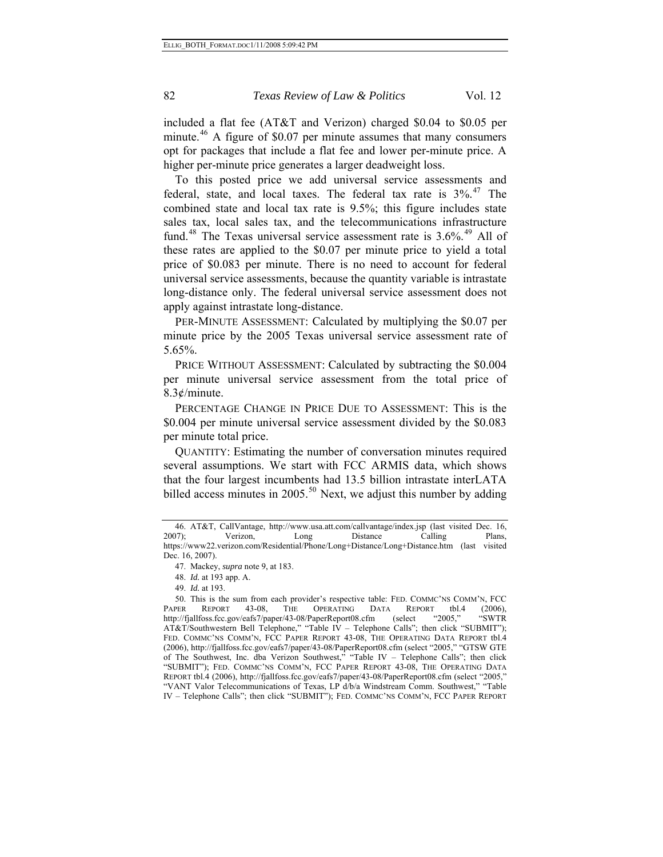included a flat fee (AT&T and Verizon) charged \$0.04 to \$0.05 per minute. $46$  A figure of \$0.07 per minute assumes that many consumers opt for packages that include a flat fee and lower per-minute price. A higher per-minute price generates a larger deadweight loss.

To this posted price we add universal service assessments and federal, state, and local taxes. The federal tax rate is  $3\%$ .<sup>[47](#page-81-1)</sup> The combined state and local tax rate is 9.5%; this figure includes state sales tax, local sales tax, and the telecommunications infrastructure fund.<sup>[48](#page-81-2)</sup> The Texas universal service assessment rate is  $3.6\%$ .<sup>[49](#page-81-3)</sup> All of these rates are applied to the \$0.07 per minute price to yield a total price of \$0.083 per minute. There is no need to account for federal universal service assessments, because the quantity variable is intrastate long-distance only. The federal universal service assessment does not apply against intrastate long-distance.

PER-MINUTE ASSESSMENT: Calculated by multiplying the \$0.07 per minute price by the 2005 Texas universal service assessment rate of 5.65%.

PRICE WITHOUT ASSESSMENT: Calculated by subtracting the \$0.004 per minute universal service assessment from the total price of  $8.3¢/minute.$ 

PERCENTAGE CHANGE IN PRICE DUE TO ASSESSMENT: This is the \$0.004 per minute universal service assessment divided by the \$0.083 per minute total price.

QUANTITY: Estimating the number of conversation minutes required several assumptions. We start with FCC ARMIS data, which shows that the four largest incumbents had 13.5 billion intrastate interLATA billed access minutes in  $2005$ .<sup>[50](#page-81-4)</sup> Next, we adjust this number by adding

<span id="page-81-0"></span><sup>46.</sup> AT&T, CallVantage, http://www.usa.att.com/callvantage/index.jsp (last visited Dec. 16, 2007); Verizon, Long Distance Calling Plans, https://www22.verizon.com/Residential/Phone/Long+Distance/Long+Distance.htm (last visited Dec. 16, 2007).

<sup>47.</sup> Mackey, *supra* note 9, at 183.

<sup>48.</sup> *Id.* at 193 app. A.

<sup>49.</sup> *Id.* at 193.

<span id="page-81-4"></span><span id="page-81-3"></span><span id="page-81-2"></span><span id="page-81-1"></span><sup>50.</sup> This is the sum from each provider's respective table: FED. COMMC'NS COMM'N, FCC PAPER REPORT 43-08, THE OPERATING DATA REPORT tbl.4 (2006),<br>http://fjallfoss.fcc.gov/eafs7/paper/43-08/PaperReport08.cfm (select "2005," "SWTR http://fjallfoss.fcc.gov/eafs7/paper/43-08/PaperReport08.cfm (select "2005," "SWTR AT&T/Southwestern Bell Telephone," "Table IV – Telephone Calls"; then click "SUBMIT"); FED. COMMC'NS COMM'N, FCC PAPER REPORT 43-08, THE OPERATING DATA REPORT tbl.4 (2006), http://fjallfoss.fcc.gov/eafs7/paper/43-08/PaperReport08.cfm (select "2005," "GTSW GTE of The Southwest, Inc. dba Verizon Southwest," "Table IV – Telephone Calls"; then click "SUBMIT"); FED. COMMC'NS COMM'N, FCC PAPER REPORT 43-08, THE OPERATING DATA REPORT tbl.4 (2006), http://fjallfoss.fcc.gov/eafs7/paper/43-08/PaperReport08.cfm (select "2005," "VANT Valor Telecommunications of Texas, LP d/b/a Windstream Comm. Southwest," "Table IV – Telephone Calls"; then click "SUBMIT"); FED. COMMC'NS COMM'N, FCC PAPER REPORT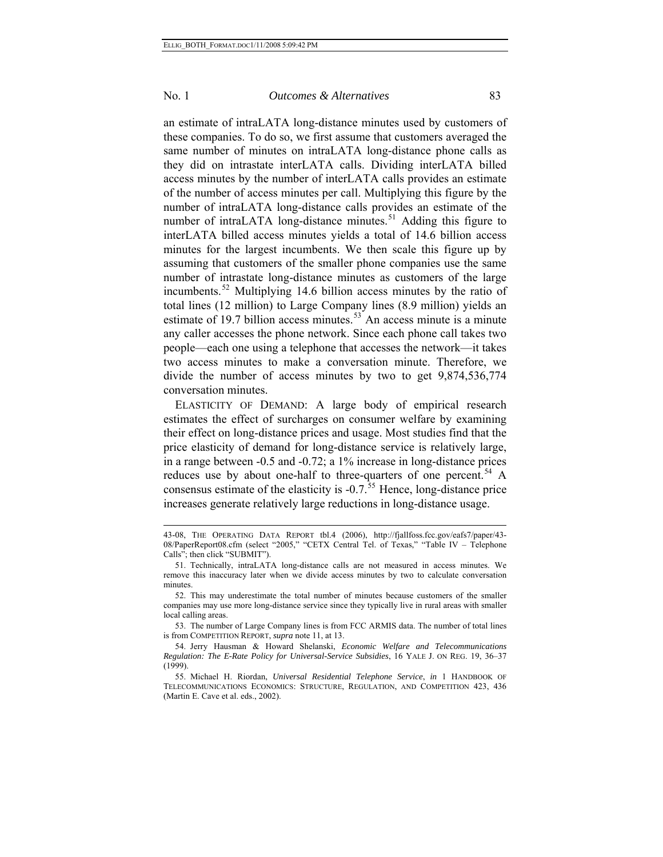l

## No. 1 *Outcomes & Alternatives* 83

an estimate of intraLATA long-distance minutes used by customers of these companies. To do so, we first assume that customers averaged the same number of minutes on intraLATA long-distance phone calls as they did on intrastate interLATA calls. Dividing interLATA billed access minutes by the number of interLATA calls provides an estimate of the number of access minutes per call. Multiplying this figure by the number of intraLATA long-distance calls provides an estimate of the number of intraLATA long-distance minutes.<sup>[51](#page-82-0)</sup> Adding this figure to interLATA billed access minutes yields a total of 14.6 billion access minutes for the largest incumbents. We then scale this figure up by assuming that customers of the smaller phone companies use the same number of intrastate long-distance minutes as customers of the large incumbents.<sup>[52](#page-82-1)</sup> Multiplying 14.6 billion access minutes by the ratio of total lines (12 million) to Large Company lines (8.9 million) yields an estimate of 19.7 billion access minutes.<sup>[53](#page-82-2)</sup> An access minute is a minute any caller accesses the phone network. Since each phone call takes two people—each one using a telephone that accesses the network—it takes two access minutes to make a conversation minute. Therefore, we divide the number of access minutes by two to get 9,874,536,774 conversation minutes.

ELASTICITY OF DEMAND: A large body of empirical research estimates the effect of surcharges on consumer welfare by examining their effect on long-distance prices and usage. Most studies find that the price elasticity of demand for long-distance service is relatively large, in a range between -0.5 and -0.72; a 1% increase in long-distance prices reduces use by about one-half to three-quarters of one percent.<sup>[54](#page-82-3)</sup> A consensus estimate of the elasticity is  $-0.7$ .<sup>[55](#page-82-4)</sup> Hence, long-distance price increases generate relatively large reductions in long-distance usage.

<sup>43-08,</sup> THE OPERATING DATA REPORT tbl.4 (2006), http://fjallfoss.fcc.gov/eafs7/paper/43- 08/PaperReport08.cfm (select "2005," "CETX Central Tel. of Texas," "Table IV – Telephone Calls"; then click "SUBMIT").

<span id="page-82-0"></span><sup>51.</sup> Technically, intraLATA long-distance calls are not measured in access minutes. We remove this inaccuracy later when we divide access minutes by two to calculate conversation minutes.

<span id="page-82-1"></span><sup>52.</sup> This may underestimate the total number of minutes because customers of the smaller companies may use more long-distance service since they typically live in rural areas with smaller local calling areas.

<span id="page-82-2"></span><sup>53.</sup> The number of Large Company lines is from FCC ARMIS data. The number of total lines is from COMPETITION REPORT, *supra* note 11, at 13.

<span id="page-82-3"></span><sup>54.</sup> Jerry Hausman & Howard Shelanski, *Economic Welfare and Telecommunications Regulation: The E-Rate Policy for Universal-Service Subsidies*, 16 YALE J. ON REG. 19, 36–37 (1999).

<span id="page-82-4"></span><sup>55.</sup> Michael H. Riordan, *Universal Residential Telephone Service*, *in* 1 HANDBOOK OF TELECOMMUNICATIONS ECONOMICS: STRUCTURE, REGULATION, AND COMPETITION 423, 436 (Martin E. Cave et al. eds., 2002).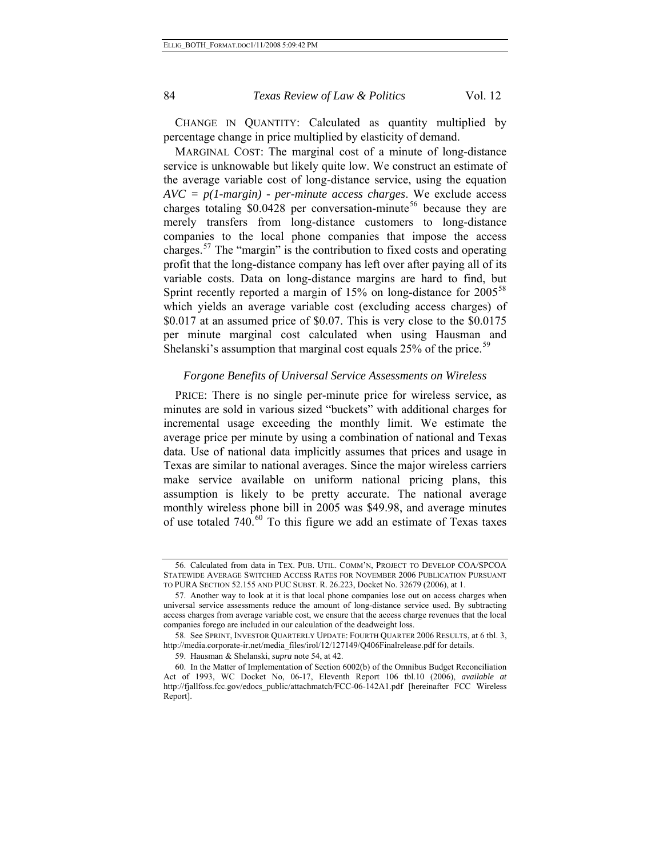CHANGE IN QUANTITY: Calculated as quantity multiplied by percentage change in price multiplied by elasticity of demand.

MARGINAL COST: The marginal cost of a minute of long-distance service is unknowable but likely quite low. We construct an estimate of the average variable cost of long-distance service, using the equation *AVC = p(1-margin) - per-minute access charges*. We exclude access charges totaling  $$0.0428$  per conversation-minute<sup>[56](#page-83-0)</sup> because they are merely transfers from long-distance customers to long-distance companies to the local phone companies that impose the access charges.[57](#page-83-1) The "margin" is the contribution to fixed costs and operating profit that the long-distance company has left over after paying all of its variable costs. Data on long-distance margins are hard to find, but Sprint recently reported a margin of 15% on long-distance for 2005<sup>[58](#page-83-2)</sup> which yields an average variable cost (excluding access charges) of \$0.017 at an assumed price of \$0.07. This is very close to the \$0.0175 per minute marginal cost calculated when using Hausman and Shelanski's assumption that marginal cost equals 25% of the price.<sup>[59](#page-83-3)</sup>

#### *Forgone Benefits of Universal Service Assessments on Wireless*

PRICE: There is no single per-minute price for wireless service, as minutes are sold in various sized "buckets" with additional charges for incremental usage exceeding the monthly limit. We estimate the average price per minute by using a combination of national and Texas data. Use of national data implicitly assumes that prices and usage in Texas are similar to national averages. Since the major wireless carriers make service available on uniform national pricing plans, this assumption is likely to be pretty accurate. The national average monthly wireless phone bill in 2005 was \$49.98, and average minutes of use totaled  $740<sup>60</sup>$  $740<sup>60</sup>$  $740<sup>60</sup>$  To this figure we add an estimate of Texas taxes

<span id="page-83-0"></span><sup>56.</sup> Calculated from data in TEX. PUB. UTIL. COMM'N, PROJECT TO DEVELOP COA/SPCOA STATEWIDE AVERAGE SWITCHED ACCESS RATES FOR NOVEMBER 2006 PUBLICATION PURSUANT TO PURA SECTION 52.155 AND PUC SUBST. R. 26.223, Docket No. 32679 (2006), at 1.

<span id="page-83-1"></span><sup>57.</sup> Another way to look at it is that local phone companies lose out on access charges when universal service assessments reduce the amount of long-distance service used. By subtracting access charges from average variable cost, we ensure that the access charge revenues that the local companies forego are included in our calculation of the deadweight loss.

<span id="page-83-2"></span><sup>58.</sup> See SPRINT, INVESTOR QUARTERLY UPDATE: FOURTH QUARTER 2006 RESULTS, at 6 tbl. 3, http://media.corporate-ir.net/media\_files/irol/12/127149/Q406Finalrelease.pdf for details.

<sup>59.</sup> Hausman & Shelanski, *supra* note 54, at 42.

<span id="page-83-4"></span><span id="page-83-3"></span><sup>60.</sup> In the Matter of Implementation of Section 6002(b) of the Omnibus Budget Reconciliation Act of 1993, WC Docket No, 06-17, Eleventh Report 106 tbl.10 (2006), *available at* http://fjallfoss.fcc.gov/edocs\_public/attachmatch/FCC-06-142A1.pdf [hereinafter FCC Wireless Report].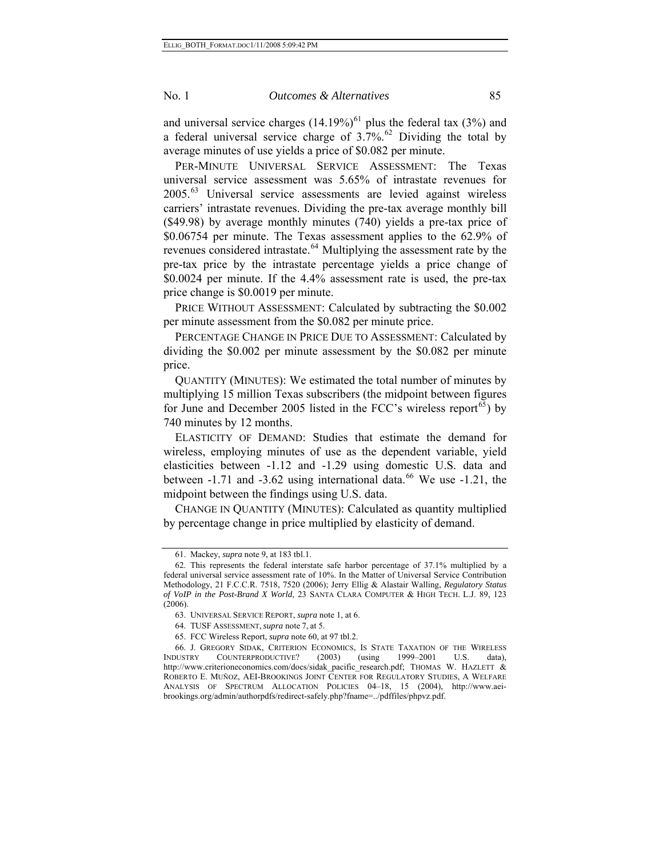average minutes of use yields a price of \$0.082 per minute. PER-MINUTE UNIVERSAL SERVICE ASSESSMENT: The Texas universal service assessment was 5.65% of intrastate revenues for 2005.[63](#page-84-2) Universal service assessments are levied against wireless carriers' intrastate revenues. Dividing the pre-tax average monthly bill (\$49.98) by average monthly minutes (740) yields a pre-tax price of \$0.06754 per minute. The Texas assessment applies to the 62.9% of revenues considered intrastate.<sup>[64](#page-84-3)</sup> Multiplying the assessment rate by the pre-tax price by the intrastate percentage yields a price change of \$0.0024 per minute. If the 4.4% assessment rate is used, the pre-tax price change is \$0.0019 per minute.

PRICE WITHOUT ASSESSMENT: Calculated by subtracting the \$0.002 per minute assessment from the \$0.082 per minute price.

PERCENTAGE CHANGE IN PRICE DUE TO ASSESSMENT: Calculated by dividing the \$0.002 per minute assessment by the \$0.082 per minute price.

QUANTITY (MINUTES): We estimated the total number of minutes by multiplying 15 million Texas subscribers (the midpoint between figures for June and December 2005 listed in the FCC's wireless report<sup>[65](#page-84-4)</sup>) by 740 minutes by 12 months.

ELASTICITY OF DEMAND: Studies that estimate the demand for wireless, employing minutes of use as the dependent variable, yield elasticities between -1.12 and -1.29 using domestic U.S. data and between  $-1.71$  and  $-3.62$  using international data.<sup>[66](#page-84-5)</sup> We use  $-1.21$ , the midpoint between the findings using U.S. data.

CHANGE IN QUANTITY (MINUTES): Calculated as quantity multiplied by percentage change in price multiplied by elasticity of demand.

<sup>61.</sup> Mackey, *supra* note 9, at 183 tbl.1.

<span id="page-84-1"></span><span id="page-84-0"></span><sup>62.</sup> This represents the federal interstate safe harbor percentage of 37.1% multiplied by a federal universal service assessment rate of 10%. In the Matter of Universal Service Contribution Methodology, 21 F.C.C.R. 7518, 7520 (2006); Jerry Ellig & Alastair Walling, *Regulatory Status of VoIP in the Post-Brand X World*, 23 SANTA CLARA COMPUTER & HIGH TECH. L.J. 89, 123 (2006).

<sup>63.</sup> UNIVERSAL SERVICE REPORT, *supra* note 1, at 6.

<sup>64.</sup> TUSF ASSESSMENT, *supra* note 7, at 5.

<sup>65.</sup> FCC Wireless Report, *supra* note 60, at 97 tbl.2.

<span id="page-84-5"></span><span id="page-84-4"></span><span id="page-84-3"></span><span id="page-84-2"></span><sup>66.</sup> J. GREGORY SIDAK, CRITERION ECONOMICS, IS STATE TAXATION OF THE WIRELESS INDUSTRY COUNTERPRODUCTIVE? (2003) (using 1999–2001 U.S. data), http://www.criterioneconomics.com/docs/sidak\_pacific\_research.pdf; THOMAS W. HAZLETT & ROBERTO E. MUÑOZ, AEI-BROOKINGS JOINT CENTER FOR REGULATORY STUDIES, A WELFARE ANALYSIS OF SPECTRUM ALLOCATION POLICIES 04–18, 15 (2004), http://www.aeibrookings.org/admin/authorpdfs/redirect-safely.php?fname=../pdffiles/phpvz.pdf.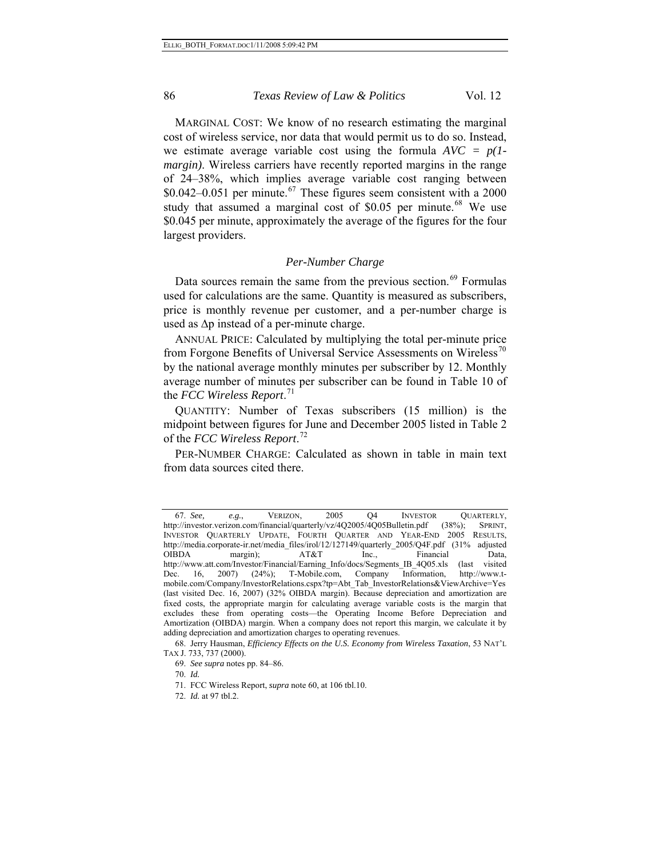MARGINAL COST: We know of no research estimating the marginal cost of wireless service, nor data that would permit us to do so. Instead, we estimate average variable cost using the formula *AVC = p(1 margin*). Wireless carriers have recently reported margins in the range of 24–38%, which implies average variable cost ranging between  $$0.042-0.051$  per minute.<sup>[67](#page-85-0)</sup> These figures seem consistent with a 2000 study that assumed a marginal cost of  $$0.05$  per minute.<sup>[68](#page-85-1)</sup> We use \$0.045 per minute, approximately the average of the figures for the four largest providers.

### *Per-Number Charge*

Data sources remain the same from the previous section.<sup>[69](#page-85-2)</sup> Formulas used for calculations are the same. Quantity is measured as subscribers, price is monthly revenue per customer, and a per-number charge is used as Δp instead of a per-minute charge.

ANNUAL PRICE: Calculated by multiplying the total per-minute price from Forgone Benefits of Universal Service Assessments on Wireless<sup>[70](#page-85-3)</sup> by the national average monthly minutes per subscriber by 12. Monthly average number of minutes per subscriber can be found in Table 10 of the *FCC Wireless Report*. [71](#page-85-4)

QUANTITY: Number of Texas subscribers (15 million) is the midpoint between figures for June and December 2005 listed in Table 2 of the *FCC Wireless Report*. [72](#page-85-5)

PER-NUMBER CHARGE: Calculated as shown in table in main text from data sources cited there.

70. *Id.* 

<span id="page-85-0"></span><sup>67.</sup> *See, e.g.*, VERIZON, 2005 Q4 INVESTOR QUARTERLY, http://investor.verizon.com/financial/quarterly/vz/4Q2005/4Q05Bulletin.pdf (38%); SPRINT, INVESTOR QUARTERLY UPDATE, FOURTH QUARTER AND YEAR-END 2005 RESULTS, http://media.corporate-ir.net/media\_files/irol/12/127149/quarterly\_2005/Q4F.pdf (31% adjusted<br>OIBDA margin); AT&T Inc., Financial Data, OIBDA margin); AT&T Inc., Financial Data, http://www.att.com/Investor/Financial/Earning\_Info/docs/Segments\_IB\_4Q05.xls (last visited Dec. 16, 2007) (24%); T-Mobile.com, Company Information, http://www.tmobile.com/Company/InvestorRelations.cspx?tp=Abt\_Tab\_InvestorRelations&ViewArchive=Yes (last visited Dec. 16, 2007) (32% OIBDA margin). Because depreciation and amortization are fixed costs, the appropriate margin for calculating average variable costs is the margin that excludes these from operating costs—the Operating Income Before Depreciation and Amortization (OIBDA) margin. When a company does not report this margin, we calculate it by adding depreciation and amortization charges to operating revenues.

<span id="page-85-5"></span><span id="page-85-4"></span><span id="page-85-3"></span><span id="page-85-2"></span><span id="page-85-1"></span><sup>68.</sup> Jerry Hausman, *Efficiency Effects on the U.S. Economy from Wireless Taxation*, 53 NAT'L TAX J. 733, 737 (2000).

<sup>69.</sup> *See supra* notes pp. 84–86.

<sup>71.</sup> FCC Wireless Report, *supra* note 60, at 106 tbl.10.

<sup>72.</sup> *Id.* at 97 tbl.2.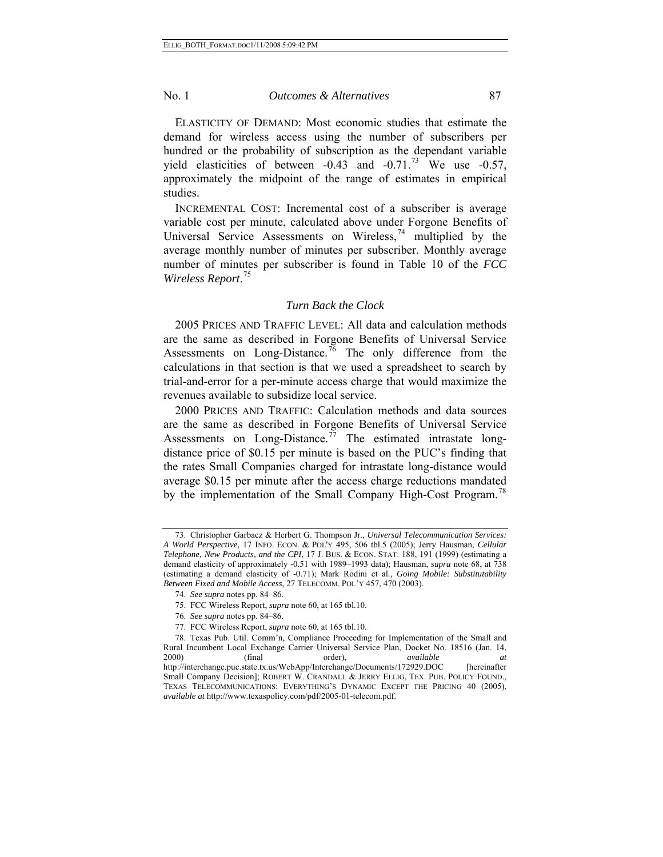ELASTICITY OF DEMAND: Most economic studies that estimate the demand for wireless access using the number of subscribers per hundred or the probability of subscription as the dependant variable yield elasticities of between  $-0.43$  and  $-0.71$ .<sup>[73](#page-86-0)</sup> We use  $-0.57$ , approximately the midpoint of the range of estimates in empirical studies.

INCREMENTAL COST: Incremental cost of a subscriber is average variable cost per minute, calculated above under Forgone Benefits of Universal Service Assessments on Wireless,  $74$  multiplied by the average monthly number of minutes per subscriber. Monthly average number of minutes per subscriber is found in Table 10 of the *FCC Wireless Report*. [75](#page-86-2)

#### *Turn Back the Clock*

2005 PRICES AND TRAFFIC LEVEL: All data and calculation methods are the same as described in Forgone Benefits of Universal Service Assessments on Long-Distance.<sup>[76](#page-86-3)</sup> The only difference from the calculations in that section is that we used a spreadsheet to search by trial-and-error for a per-minute access charge that would maximize the revenues available to subsidize local service.

2000 PRICES AND TRAFFIC: Calculation methods and data sources are the same as described in Forgone Benefits of Universal Service Assessments on Long-Distance.<sup>[77](#page-86-4)</sup> The estimated intrastate longdistance price of \$0.15 per minute is based on the PUC's finding that the rates Small Companies charged for intrastate long-distance would average \$0.15 per minute after the access charge reductions mandated by the implementation of the Small Company High-Cost Program.<sup>[78](#page-86-5)</sup>

77. FCC Wireless Report, *supra* note 60, at 165 tbl.10.

<span id="page-86-0"></span><sup>73.</sup> Christopher Garbacz & Herbert G. Thompson Jr., *Universal Telecommunication Services: A World Perspective*, 17 INFO. ECON. & POL'Y 495, 506 tbl.5 (2005); Jerry Hausman, *Cellular Telephone, New Products, and the CPI*, 17 J. BUS. & ECON. STAT. 188, 191 (1999) (estimating a demand elasticity of approximately -0.51 with 1989–1993 data); Hausman, *supra* note 68, at 738 (estimating a demand elasticity of -0.71); Mark Rodini et al*., Going Mobile: Substitutability Between Fixed and Mobile Access*, 27 TELECOMM. POL'Y 457, 470 (2003).

<sup>74.</sup> *See supra* notes pp. 84–86.

<sup>75.</sup> FCC Wireless Report, *supra* note 60, at 165 tbl.10.

<sup>76.</sup> *See supra* notes pp. 84–86.

<span id="page-86-5"></span><span id="page-86-4"></span><span id="page-86-3"></span><span id="page-86-2"></span><span id="page-86-1"></span><sup>78.</sup> Texas Pub. Util. Comm'n, Compliance Proceeding for Implementation of the Small and Rural Incumbent Local Exchange Carrier Universal Service Plan, Docket No. 18516 (Jan. 14, 2000) (final order), *available at* http://interchange.puc.state.tx.us/WebApp/Interchange/Documents/172929.DOC [hereinafter Small Company Decision]; ROBERT W. CRANDALL & JERRY ELLIG, TEX. PUB. POLICY FOUND., TEXAS TELECOMMUNICATIONS: EVERYTHING'S DYNAMIC EXCEPT THE PRICING 40 (2005), *available at* http://www.texaspolicy.com/pdf/2005-01-telecom.pdf.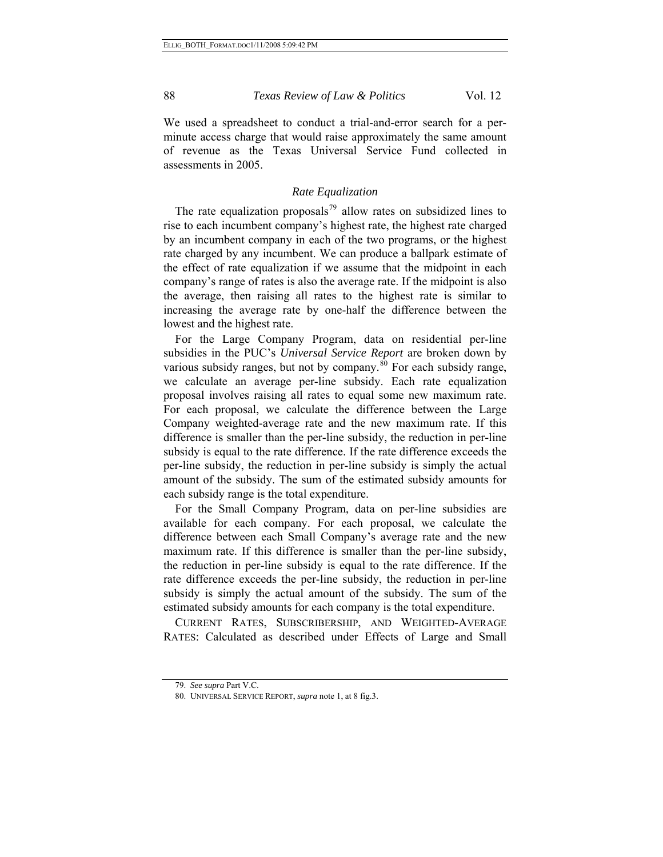We used a spreadsheet to conduct a trial-and-error search for a perminute access charge that would raise approximately the same amount of revenue as the Texas Universal Service Fund collected in assessments in 2005.

#### *Rate Equalization*

The rate equalization proposals<sup>[79](#page-87-0)</sup> allow rates on subsidized lines to rise to each incumbent company's highest rate, the highest rate charged by an incumbent company in each of the two programs, or the highest rate charged by any incumbent. We can produce a ballpark estimate of the effect of rate equalization if we assume that the midpoint in each company's range of rates is also the average rate. If the midpoint is also the average, then raising all rates to the highest rate is similar to increasing the average rate by one-half the difference between the lowest and the highest rate.

For the Large Company Program, data on residential per-line subsidies in the PUC's *Universal Service Report* are broken down by various subsidy ranges, but not by company. $80$  For each subsidy range, we calculate an average per-line subsidy. Each rate equalization proposal involves raising all rates to equal some new maximum rate. For each proposal, we calculate the difference between the Large Company weighted-average rate and the new maximum rate. If this difference is smaller than the per-line subsidy, the reduction in per-line subsidy is equal to the rate difference. If the rate difference exceeds the per-line subsidy, the reduction in per-line subsidy is simply the actual amount of the subsidy. The sum of the estimated subsidy amounts for each subsidy range is the total expenditure.

For the Small Company Program, data on per-line subsidies are available for each company. For each proposal, we calculate the difference between each Small Company's average rate and the new maximum rate. If this difference is smaller than the per-line subsidy, the reduction in per-line subsidy is equal to the rate difference. If the rate difference exceeds the per-line subsidy, the reduction in per-line subsidy is simply the actual amount of the subsidy. The sum of the estimated subsidy amounts for each company is the total expenditure.

CURRENT RATES, SUBSCRIBERSHIP, AND WEIGHTED-AVERAGE RATES: Calculated as described under Effects of Large and Small

<span id="page-87-1"></span><span id="page-87-0"></span><sup>79.</sup> *See supra* Part V.C.

<sup>80.</sup> UNIVERSAL SERVICE REPORT, *supra* note 1, at 8 fig.3.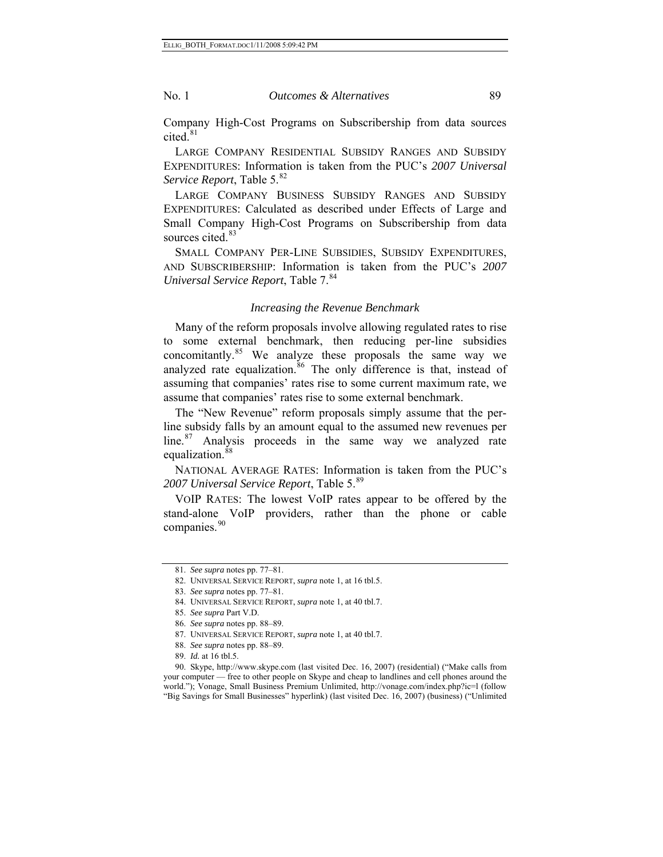Company High-Cost Programs on Subscribership from data sources cited. $81$ 

LARGE COMPANY RESIDENTIAL SUBSIDY RANGES AND SUBSIDY EXPENDITURES: Information is taken from the PUC's *2007 Universal Service Report*, Table 5.<sup>[82](#page-88-1)</sup>

LARGE COMPANY BUSINESS SUBSIDY RANGES AND SUBSIDY EXPENDITURES: Calculated as described under Effects of Large and Small Company High-Cost Programs on Subscribership from data sources cited.<sup>[83](#page-88-2)</sup>

SMALL COMPANY PER-LINE SUBSIDIES, SUBSIDY EXPENDITURES, AND SUBSCRIBERSHIP: Information is taken from the PUC's *2007 Universal Service Report*, Table 7.<sup>[84](#page-88-3)</sup>

#### *Increasing the Revenue Benchmark*

Many of the reform proposals involve allowing regulated rates to rise to some external benchmark, then reducing per-line subsidies concomitantly.<sup>[85](#page-88-4)</sup> We analyze these proposals the same way we analyzed rate equalization.<sup>[86](#page-88-5)</sup> The only difference is that, instead of assuming that companies' rates rise to some current maximum rate, we assume that companies' rates rise to some external benchmark.

The "New Revenue" reform proposals simply assume that the perline subsidy falls by an amount equal to the assumed new revenues per line.<sup>[87](#page-88-6)</sup> Analysis proceeds in the same way we analyzed rate equalization.<sup>[88](#page-88-7)</sup>

NATIONAL AVERAGE RATES: Information is taken from the PUC's *2007 Universal Service Report*, Table 5.[89](#page-88-8)

VOIP RATES: The lowest VoIP rates appear to be offered by the stand-alone VoIP providers, rather than the phone or cable companies.<sup>[90](#page-88-9)</sup>

<span id="page-88-2"></span><span id="page-88-1"></span><span id="page-88-0"></span><sup>81.</sup> *See supra* notes pp. 77–81.

<sup>82.</sup> UNIVERSAL SERVICE REPORT, *supra* note 1, at 16 tbl.5.

<sup>83.</sup> *See supra* notes pp. 77–81.

<span id="page-88-3"></span><sup>84.</sup> UNIVERSAL SERVICE REPORT, *supra* note 1, at 40 tbl.7.

<sup>85.</sup> *See supra* Part V.D.

<sup>86.</sup> *See supra* notes pp. 88–89.

<sup>87.</sup> UNIVERSAL SERVICE REPORT, *supra* note 1, at 40 tbl.7.

<sup>88.</sup> *See supra* notes pp. 88–89.

<sup>89.</sup> *Id.* at 16 tbl.5.

<span id="page-88-9"></span><span id="page-88-8"></span><span id="page-88-7"></span><span id="page-88-6"></span><span id="page-88-5"></span><span id="page-88-4"></span><sup>90.</sup> Skype, http://www.skype.com (last visited Dec. 16, 2007) (residential) ("Make calls from your computer — free to other people on Skype and cheap to landlines and cell phones around the world."); Vonage, Small Business Premium Unlimited, http://vonage.com/index.php?ic=l (follow "Big Savings for Small Businesses" hyperlink) (last visited Dec. 16, 2007) (business) ("Unlimited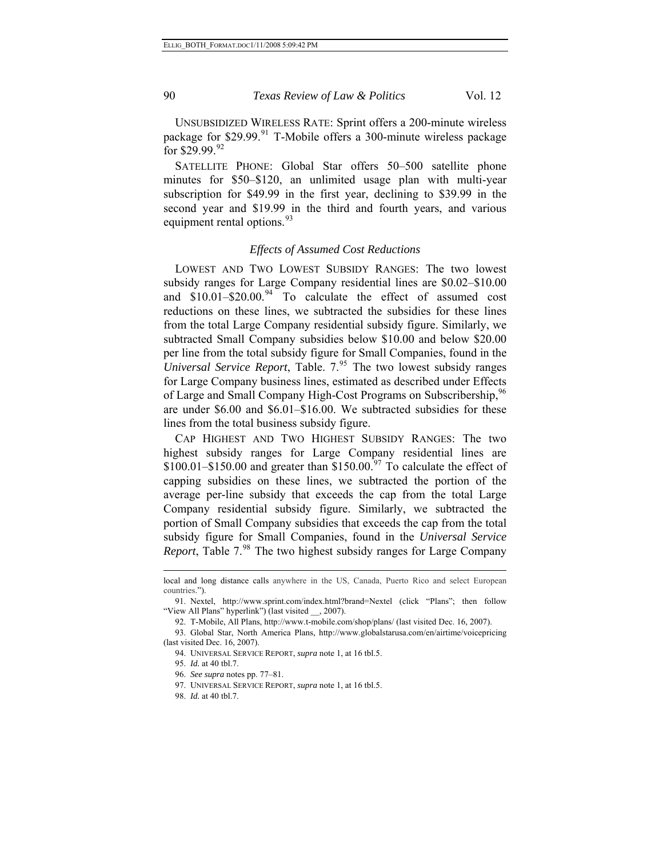UNSUBSIDIZED WIRELESS RATE: Sprint offers a 200-minute wireless package for  $$29.99$ <sup>[91](#page-89-0)</sup> T-Mobile offers a 300-minute wireless package for \$29.99.[92](#page-89-1)

SATELLITE PHONE: Global Star offers 50–500 satellite phone minutes for \$50–\$120, an unlimited usage plan with multi-year subscription for \$49.99 in the first year, declining to \$39.99 in the second year and \$19.99 in the third and fourth years, and various equipment rental options.<sup>[93](#page-89-2)</sup>

#### *Effects of Assumed Cost Reductions*

LOWEST AND TWO LOWEST SUBSIDY RANGES: The two lowest subsidy ranges for Large Company residential lines are \$0.02–\$10.00 and  $$10.01 - $20.00$ .<sup>[94](#page-89-3)</sup> To calculate the effect of assumed cost reductions on these lines, we subtracted the subsidies for these lines from the total Large Company residential subsidy figure. Similarly, we subtracted Small Company subsidies below \$10.00 and below \$20.00 per line from the total subsidy figure for Small Companies, found in the *Universal Service Report*, Table. 7.<sup>[95](#page-89-4)</sup> The two lowest subsidy ranges for Large Company business lines, estimated as described under Effects of Large and Small Company High-Cost Programs on Subscribership,<sup>[96](#page-89-5)</sup> are under \$6.00 and \$6.01–\$16.00. We subtracted subsidies for these lines from the total business subsidy figure.

CAP HIGHEST AND TWO HIGHEST SUBSIDY RANGES: The two highest subsidy ranges for Large Company residential lines are  $$100.01 - $150.00$  and greater than  $$150.00<sup>97</sup>$  $$150.00<sup>97</sup>$  $$150.00<sup>97</sup>$  To calculate the effect of capping subsidies on these lines, we subtracted the portion of the average per-line subsidy that exceeds the cap from the total Large Company residential subsidy figure. Similarly, we subtracted the portion of Small Company subsidies that exceeds the cap from the total subsidy figure for Small Companies, found in the *Universal Service Report*, Table 7.<sup>[98](#page-89-7)</sup> The two highest subsidy ranges for Large Company

l

local and long distance calls anywhere in the US, Canada, Puerto Rico and select European countries.").

<span id="page-89-0"></span><sup>91.</sup> Nextel, http://www.sprint.com/index.html?brand=Nextel (click "Plans"; then follow "View All Plans" hyperlink") (last visited \_\_, 2007).

<sup>92.</sup> T-Mobile, All Plans, http://www.t-mobile.com/shop/plans/ (last visited Dec. 16, 2007).

<span id="page-89-6"></span><span id="page-89-5"></span><span id="page-89-4"></span><span id="page-89-3"></span><span id="page-89-2"></span><span id="page-89-1"></span><sup>93.</sup> Global Star, North America Plans, http://www.globalstarusa.com/en/airtime/voicepricing (last visited Dec. 16, 2007).

<sup>94.</sup> UNIVERSAL SERVICE REPORT, *supra* note 1, at 16 tbl.5.

<sup>95.</sup> *Id.* at 40 tbl.7.

<sup>96.</sup> *See supra* notes pp. 77–81.

<sup>97.</sup> UNIVERSAL SERVICE REPORT, *supra* note 1, at 16 tbl.5.

<span id="page-89-7"></span><sup>98.</sup> *Id.* at 40 tbl.7.